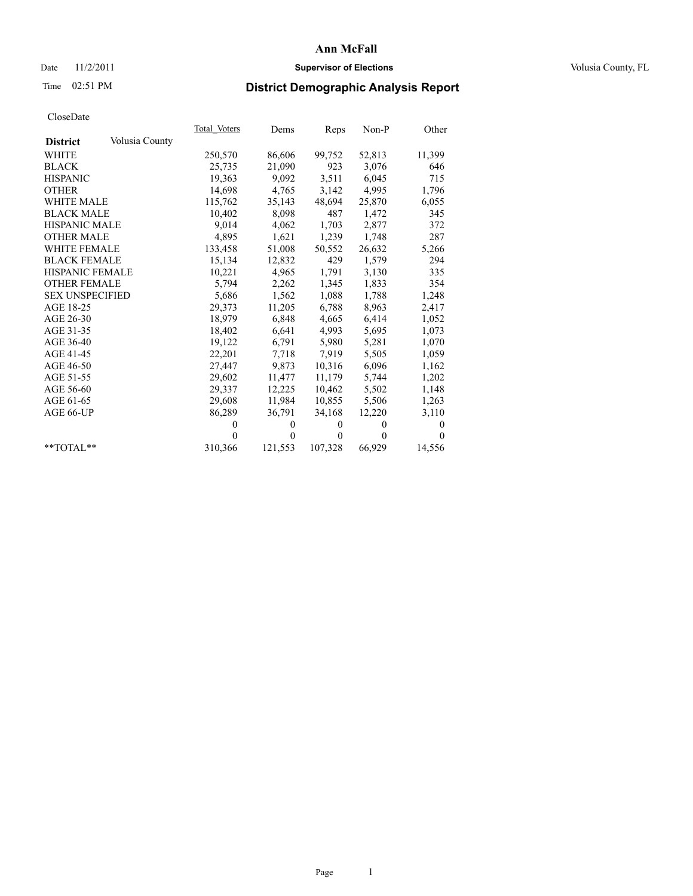#### Date 11/2/2011 **Supervisor of Elections Supervisor of Elections** Volusia County, FL

# Time 02:51 PM **District Demographic Analysis Report**

|                                   | Total Voters | Dems         | Reps         | $Non-P$  | Other    |
|-----------------------------------|--------------|--------------|--------------|----------|----------|
| Volusia County<br><b>District</b> |              |              |              |          |          |
| <b>WHITE</b>                      | 250,570      | 86,606       | 99,752       | 52,813   | 11,399   |
| <b>BLACK</b>                      | 25,735       | 21,090       | 923          | 3,076    | 646      |
| <b>HISPANIC</b>                   | 19,363       | 9.092        | 3,511        | 6,045    | 715      |
| <b>OTHER</b>                      | 14,698       | 4,765        | 3,142        | 4,995    | 1,796    |
| <b>WHITE MALE</b>                 | 115,762      | 35,143       | 48,694       | 25,870   | 6,055    |
| <b>BLACK MALE</b>                 | 10,402       | 8,098        | 487          | 1,472    | 345      |
| <b>HISPANIC MALE</b>              | 9,014        | 4,062        | 1,703        | 2,877    | 372      |
| <b>OTHER MALE</b>                 | 4,895        | 1,621        | 1,239        | 1,748    | 287      |
| <b>WHITE FEMALE</b>               | 133,458      | 51,008       | 50,552       | 26,632   | 5,266    |
| <b>BLACK FEMALE</b>               | 15,134       | 12,832       | 429          | 1,579    | 294      |
| HISPANIC FEMALE                   | 10,221       | 4,965        | 1,791        | 3,130    | 335      |
| <b>OTHER FEMALE</b>               | 5,794        | 2,262        | 1,345        | 1,833    | 354      |
| <b>SEX UNSPECIFIED</b>            | 5,686        | 1,562        | 1,088        | 1,788    | 1,248    |
| AGE 18-25                         | 29,373       | 11,205       | 6,788        | 8,963    | 2,417    |
| AGE 26-30                         | 18,979       | 6,848        | 4,665        | 6,414    | 1,052    |
| AGE 31-35                         | 18,402       | 6,641        | 4,993        | 5,695    | 1,073    |
| AGE 36-40                         | 19,122       | 6,791        | 5,980        | 5,281    | 1,070    |
| AGE 41-45                         | 22,201       | 7,718        | 7.919        | 5,505    | 1,059    |
| AGE 46-50                         | 27,447       | 9,873        | 10,316       | 6,096    | 1,162    |
| AGE 51-55                         | 29,602       | 11,477       | 11,179       | 5,744    | 1,202    |
| AGE 56-60                         | 29,337       | 12,225       | 10,462       | 5,502    | 1,148    |
| AGE 61-65                         | 29,608       | 11,984       | 10,855       | 5,506    | 1,263    |
| AGE 66-UP                         | 86,289       | 36,791       | 34,168       | 12,220   | 3,110    |
|                                   | $\theta$     | $\mathbf{0}$ | $\theta$     | $\theta$ | $\theta$ |
|                                   | $\theta$     | $\Omega$     | $\mathbf{0}$ | $\theta$ | $\theta$ |
| $*$ TOTAL $*$                     | 310,366      | 121,553      | 107,328      | 66,929   | 14,556   |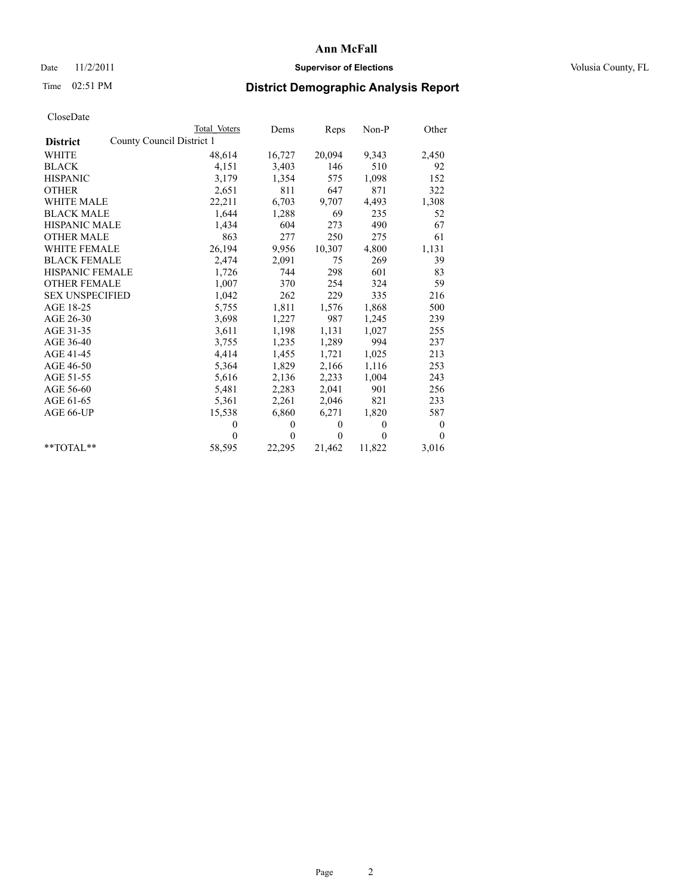#### Date 11/2/2011 **Supervisor of Elections Supervisor of Elections** Volusia County, FL

# Time 02:51 PM **District Demographic Analysis Report**

|                        | Total Voters              | Dems         | Reps         | $Non-P$      | Other    |
|------------------------|---------------------------|--------------|--------------|--------------|----------|
| <b>District</b>        | County Council District 1 |              |              |              |          |
| <b>WHITE</b>           | 48,614                    | 16,727       | 20,094       | 9,343        | 2,450    |
| <b>BLACK</b>           | 4,151                     | 3,403        | 146          | 510          | 92       |
| <b>HISPANIC</b>        | 3,179                     | 1,354        | 575          | 1,098        | 152      |
| <b>OTHER</b>           | 2,651                     | 811          | 647          | 871          | 322      |
| <b>WHITE MALE</b>      | 22,211                    | 6,703        | 9,707        | 4,493        | 1,308    |
| <b>BLACK MALE</b>      | 1,644                     | 1,288        | 69           | 235          | 52       |
| <b>HISPANIC MALE</b>   | 1,434                     | 604          | 273          | 490          | 67       |
| <b>OTHER MALE</b>      | 863                       | 277          | 250          | 275          | 61       |
| <b>WHITE FEMALE</b>    | 26,194                    | 9,956        | 10,307       | 4,800        | 1,131    |
| <b>BLACK FEMALE</b>    | 2,474                     | 2,091        | 75           | 269          | 39       |
| HISPANIC FEMALE        | 1,726                     | 744          | 298          | 601          | 83       |
| <b>OTHER FEMALE</b>    | 1,007                     | 370          | 254          | 324          | 59       |
| <b>SEX UNSPECIFIED</b> | 1,042                     | 262          | 229          | 335          | 216      |
| AGE 18-25              | 5,755                     | 1,811        | 1,576        | 1,868        | 500      |
| AGE 26-30              | 3,698                     | 1,227        | 987          | 1,245        | 239      |
| AGE 31-35              | 3,611                     | 1,198        | 1,131        | 1,027        | 255      |
| AGE 36-40              | 3,755                     | 1,235        | 1,289        | 994          | 237      |
| AGE 41-45              | 4,414                     | 1,455        | 1,721        | 1,025        | 213      |
| AGE 46-50              | 5,364                     | 1,829        | 2,166        | 1,116        | 253      |
| AGE 51-55              | 5,616                     | 2,136        | 2,233        | 1,004        | 243      |
| AGE 56-60              | 5,481                     | 2,283        | 2,041        | 901          | 256      |
| AGE 61-65              | 5,361                     | 2,261        | 2,046        | 821          | 233      |
| AGE 66-UP              | 15,538                    | 6,860        | 6,271        | 1,820        | 587      |
|                        | $\theta$                  | $\mathbf{0}$ | $\mathbf{0}$ | $\mathbf{0}$ | $\bf{0}$ |
|                        | $\Omega$                  | $\mathbf{0}$ | $\Omega$     | $\theta$     | $\Omega$ |
| $*$ $TOTAI.**$         | 58,595                    | 22,295       | 21,462       | 11,822       | 3,016    |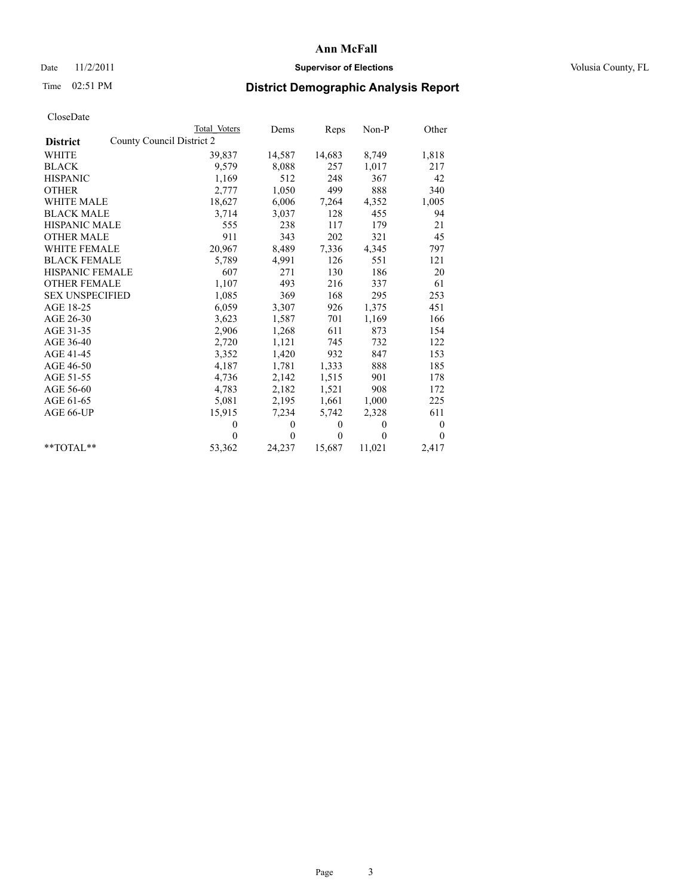#### Date 11/2/2011 **Supervisor of Elections Supervisor of Elections** Volusia County, FL

# Time 02:51 PM **District Demographic Analysis Report**

|                        | <b>Total Voters</b>       | Dems     | Reps     | Non-P    | Other            |
|------------------------|---------------------------|----------|----------|----------|------------------|
| <b>District</b>        | County Council District 2 |          |          |          |                  |
| WHITE                  | 39,837                    | 14,587   | 14,683   | 8,749    | 1,818            |
| <b>BLACK</b>           | 9,579                     | 8,088    | 257      | 1,017    | 217              |
| <b>HISPANIC</b>        | 1,169                     | 512      | 248      | 367      | 42               |
| <b>OTHER</b>           | 2,777                     | 1,050    | 499      | 888      | 340              |
| <b>WHITE MALE</b>      | 18,627                    | 6,006    | 7,264    | 4,352    | 1,005            |
| <b>BLACK MALE</b>      | 3,714                     | 3,037    | 128      | 455      | 94               |
| <b>HISPANIC MALE</b>   | 555                       | 238      | 117      | 179      | 21               |
| <b>OTHER MALE</b>      | 911                       | 343      | 202      | 321      | 45               |
| WHITE FEMALE           | 20,967                    | 8,489    | 7,336    | 4,345    | 797              |
| <b>BLACK FEMALE</b>    | 5,789                     | 4,991    | 126      | 551      | 121              |
| HISPANIC FEMALE        | 607                       | 271      | 130      | 186      | 20               |
| <b>OTHER FEMALE</b>    | 1,107                     | 493      | 216      | 337      | 61               |
| <b>SEX UNSPECIFIED</b> | 1,085                     | 369      | 168      | 295      | 253              |
| AGE 18-25              | 6,059                     | 3,307    | 926      | 1,375    | 451              |
| AGE 26-30              | 3,623                     | 1,587    | 701      | 1,169    | 166              |
| AGE 31-35              | 2,906                     | 1,268    | 611      | 873      | 154              |
| AGE 36-40              | 2,720                     | 1,121    | 745      | 732      | 122              |
| AGE 41-45              | 3,352                     | 1,420    | 932      | 847      | 153              |
| AGE 46-50              | 4,187                     | 1,781    | 1,333    | 888      | 185              |
| AGE 51-55              | 4,736                     | 2,142    | 1,515    | 901      | 178              |
| AGE 56-60              | 4,783                     | 2,182    | 1,521    | 908      | 172              |
| AGE 61-65              | 5,081                     | 2,195    | 1,661    | 1,000    | 225              |
| AGE 66-UP              | 15,915                    | 7,234    | 5,742    | 2,328    | 611              |
|                        | $\theta$                  | $\theta$ | $\theta$ | $\theta$ | $\boldsymbol{0}$ |
|                        | $\theta$                  | $\theta$ | $\theta$ | $\theta$ | $\theta$         |
| **TOTAL**              | 53,362                    | 24,237   | 15,687   | 11,021   | 2,417            |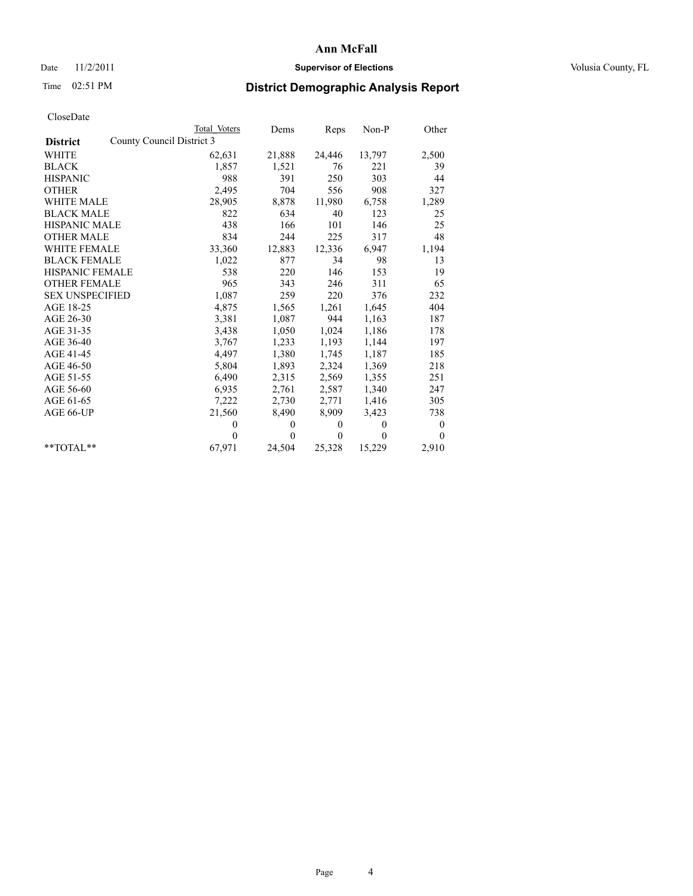#### Date 11/2/2011 **Supervisor of Elections Supervisor of Elections** Volusia County, FL

# Time 02:51 PM **District Demographic Analysis Report**

|                                              | <b>Total Voters</b> | Dems         | Reps         | $Non-P$      | Other    |
|----------------------------------------------|---------------------|--------------|--------------|--------------|----------|
| County Council District 3<br><b>District</b> |                     |              |              |              |          |
| <b>WHITE</b>                                 | 62,631              | 21,888       | 24,446       | 13,797       | 2,500    |
| <b>BLACK</b>                                 | 1,857               | 1,521        | 76           | 221          | 39       |
| <b>HISPANIC</b>                              | 988                 | 391          | 250          | 303          | 44       |
| <b>OTHER</b>                                 | 2,495               | 704          | 556          | 908          | 327      |
| <b>WHITE MALE</b>                            | 28,905              | 8,878        | 11,980       | 6,758        | 1,289    |
| <b>BLACK MALE</b>                            | 822                 | 634          | 40           | 123          | 25       |
| <b>HISPANIC MALE</b>                         | 438                 | 166          | 101          | 146          | 25       |
| <b>OTHER MALE</b>                            | 834                 | 244          | 225          | 317          | 48       |
| <b>WHITE FEMALE</b>                          | 33,360              | 12,883       | 12,336       | 6,947        | 1,194    |
| <b>BLACK FEMALE</b>                          | 1,022               | 877          | 34           | 98           | 13       |
| HISPANIC FEMALE                              | 538                 | 220          | 146          | 153          | 19       |
| <b>OTHER FEMALE</b>                          | 965                 | 343          | 246          | 311          | 65       |
| <b>SEX UNSPECIFIED</b>                       | 1,087               | 259          | 220          | 376          | 232      |
| AGE 18-25                                    | 4,875               | 1,565        | 1,261        | 1,645        | 404      |
| AGE 26-30                                    | 3,381               | 1,087        | 944          | 1,163        | 187      |
| AGE 31-35                                    | 3,438               | 1,050        | 1,024        | 1,186        | 178      |
| AGE 36-40                                    | 3,767               | 1,233        | 1,193        | 1,144        | 197      |
| AGE 41-45                                    | 4,497               | 1,380        | 1,745        | 1,187        | 185      |
| AGE 46-50                                    | 5,804               | 1,893        | 2,324        | 1,369        | 218      |
| AGE 51-55                                    | 6,490               | 2,315        | 2,569        | 1,355        | 251      |
| AGE 56-60                                    | 6,935               | 2,761        | 2,587        | 1,340        | 247      |
| AGE 61-65                                    | 7,222               | 2,730        | 2,771        | 1,416        | 305      |
| AGE 66-UP                                    | 21,560              | 8,490        | 8,909        | 3,423        | 738      |
|                                              | $\theta$            | $\mathbf{0}$ | $\mathbf{0}$ | $\mathbf{0}$ | $\bf{0}$ |
|                                              | $\theta$            | $\theta$     | $\theta$     | $\theta$     | $\theta$ |
| $*$ $TOTAI.**$                               | 67,971              | 24,504       | 25,328       | 15,229       | 2,910    |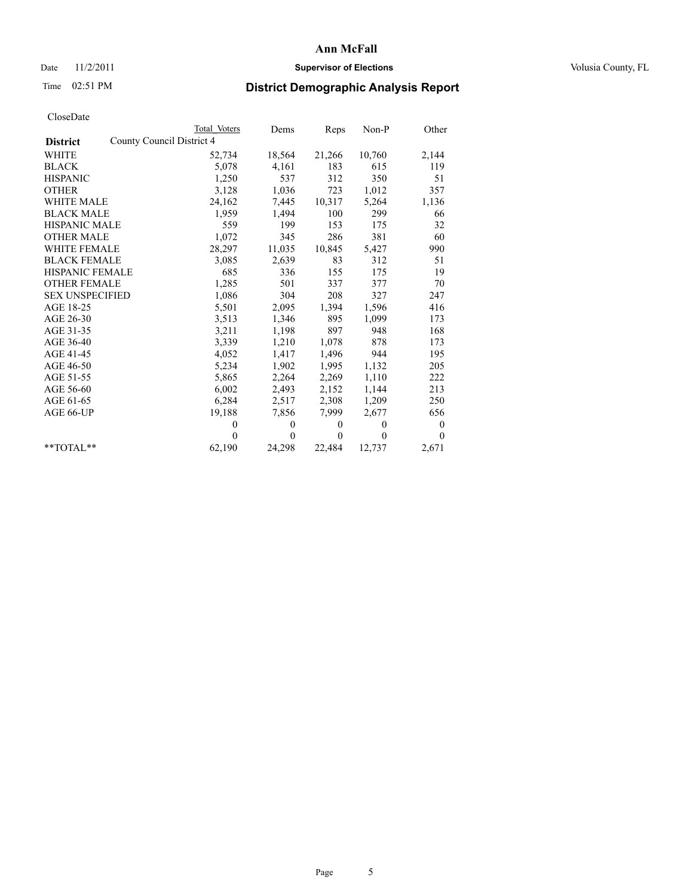#### Date 11/2/2011 **Supervisor of Elections Supervisor of Elections** Volusia County, FL

# Time 02:51 PM **District Demographic Analysis Report**

|                                              | <b>Total Voters</b> | Dems     | Reps         | $Non-P$  | Other            |
|----------------------------------------------|---------------------|----------|--------------|----------|------------------|
| County Council District 4<br><b>District</b> |                     |          |              |          |                  |
| <b>WHITE</b>                                 | 52,734              | 18,564   | 21,266       | 10,760   | 2,144            |
| <b>BLACK</b>                                 | 5,078               | 4,161    | 183          | 615      | 119              |
| <b>HISPANIC</b>                              | 1,250               | 537      | 312          | 350      | 51               |
| <b>OTHER</b>                                 | 3,128               | 1,036    | 723          | 1,012    | 357              |
| <b>WHITE MALE</b>                            | 24,162              | 7,445    | 10,317       | 5,264    | 1,136            |
| <b>BLACK MALE</b>                            | 1,959               | 1,494    | 100          | 299      | 66               |
| <b>HISPANIC MALE</b>                         | 559                 | 199      | 153          | 175      | 32               |
| <b>OTHER MALE</b>                            | 1,072               | 345      | 286          | 381      | 60               |
| <b>WHITE FEMALE</b>                          | 28,297              | 11,035   | 10,845       | 5,427    | 990              |
| <b>BLACK FEMALE</b>                          | 3,085               | 2,639    | 83           | 312      | 51               |
| HISPANIC FEMALE                              | 685                 | 336      | 155          | 175      | 19               |
| <b>OTHER FEMALE</b>                          | 1,285               | 501      | 337          | 377      | 70               |
| <b>SEX UNSPECIFIED</b>                       | 1,086               | 304      | 208          | 327      | 247              |
| AGE 18-25                                    | 5,501               | 2,095    | 1,394        | 1,596    | 416              |
| AGE 26-30                                    | 3,513               | 1,346    | 895          | 1,099    | 173              |
| AGE 31-35                                    | 3,211               | 1,198    | 897          | 948      | 168              |
| AGE 36-40                                    | 3,339               | 1,210    | 1,078        | 878      | 173              |
| AGE 41-45                                    | 4,052               | 1,417    | 1,496        | 944      | 195              |
| AGE 46-50                                    | 5,234               | 1,902    | 1,995        | 1,132    | 205              |
| AGE 51-55                                    | 5,865               | 2,264    | 2,269        | 1,110    | 222              |
| AGE 56-60                                    | 6,002               | 2,493    | 2,152        | 1,144    | 213              |
| AGE 61-65                                    | 6,284               | 2,517    | 2,308        | 1,209    | 250              |
| AGE 66-UP                                    | 19,188              | 7,856    | 7,999        | 2,677    | 656              |
|                                              | $\theta$            | $\theta$ | $\mathbf{0}$ | $\theta$ | $\boldsymbol{0}$ |
|                                              | $\Omega$            | $\theta$ | $\mathbf{0}$ | $\theta$ | $\theta$         |
| $*$ $TOTAI.**$                               | 62,190              | 24,298   | 22,484       | 12,737   | 2,671            |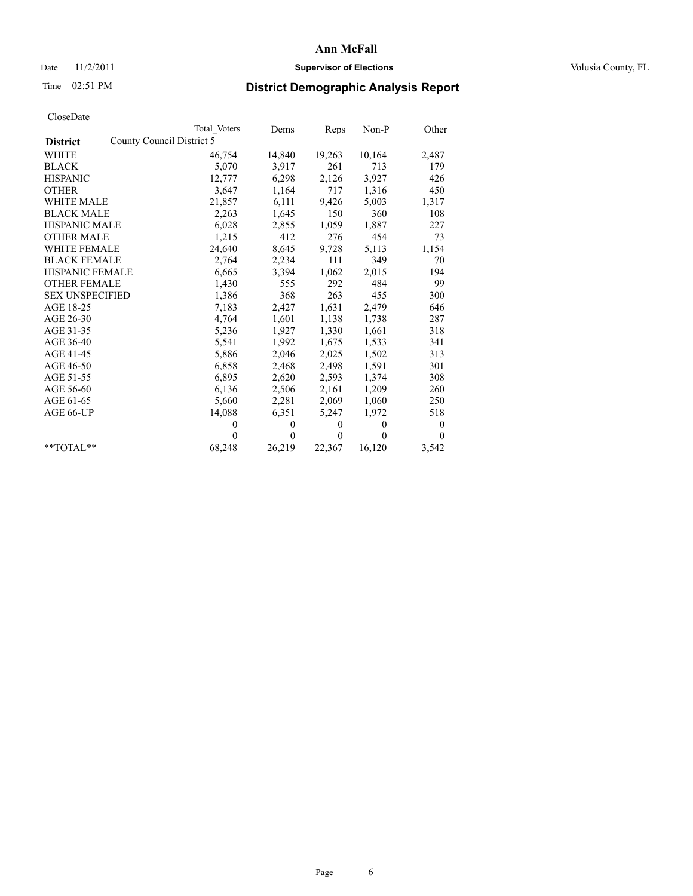## Date 11/2/2011 **Supervisor of Elections Supervisor of Elections** Volusia County, FL

# Time 02:51 PM **District Demographic Analysis Report**

|                        | Total Voters              | Dems         | Reps         | $Non-P$      | Other            |
|------------------------|---------------------------|--------------|--------------|--------------|------------------|
| <b>District</b>        | County Council District 5 |              |              |              |                  |
| <b>WHITE</b>           | 46,754                    | 14,840       | 19,263       | 10,164       | 2,487            |
| <b>BLACK</b>           | 5,070                     | 3,917        | 261          | 713          | 179              |
| <b>HISPANIC</b>        | 12,777                    | 6,298        | 2,126        | 3,927        | 426              |
| <b>OTHER</b>           | 3,647                     | 1,164        | 717          | 1,316        | 450              |
| <b>WHITE MALE</b>      | 21,857                    | 6,111        | 9,426        | 5,003        | 1,317            |
| <b>BLACK MALE</b>      | 2,263                     | 1,645        | 150          | 360          | 108              |
| <b>HISPANIC MALE</b>   | 6,028                     | 2,855        | 1,059        | 1,887        | 227              |
| <b>OTHER MALE</b>      | 1,215                     | 412          | 276          | 454          | 73               |
| <b>WHITE FEMALE</b>    | 24,640                    | 8,645        | 9,728        | 5,113        | 1,154            |
| <b>BLACK FEMALE</b>    | 2,764                     | 2,234        | 111          | 349          | 70               |
| <b>HISPANIC FEMALE</b> | 6,665                     | 3,394        | 1,062        | 2,015        | 194              |
| <b>OTHER FEMALE</b>    | 1,430                     | 555          | 292          | 484          | 99               |
| <b>SEX UNSPECIFIED</b> | 1,386                     | 368          | 263          | 455          | 300              |
| AGE 18-25              | 7,183                     | 2,427        | 1,631        | 2,479        | 646              |
| AGE 26-30              | 4,764                     | 1,601        | 1,138        | 1,738        | 287              |
| AGE 31-35              | 5,236                     | 1,927        | 1,330        | 1,661        | 318              |
| AGE 36-40              | 5,541                     | 1,992        | 1,675        | 1,533        | 341              |
| AGE 41-45              | 5,886                     | 2,046        | 2,025        | 1,502        | 313              |
| AGE 46-50              | 6,858                     | 2,468        | 2,498        | 1,591        | 301              |
| AGE 51-55              | 6,895                     | 2,620        | 2,593        | 1,374        | 308              |
| AGE 56-60              | 6,136                     | 2,506        | 2,161        | 1,209        | 260              |
| AGE 61-65              | 5,660                     | 2,281        | 2,069        | 1,060        | 250              |
| AGE 66-UP              | 14,088                    | 6,351        | 5,247        | 1,972        | 518              |
|                        | $\theta$                  | $\mathbf{0}$ | $\mathbf{0}$ | $\mathbf{0}$ | $\boldsymbol{0}$ |
|                        | $\theta$                  | $\theta$     | $\theta$     | $\theta$     | $\theta$         |
| $*$ $TOTAI.**$         | 68,248                    | 26,219       | 22,367       | 16,120       | 3,542            |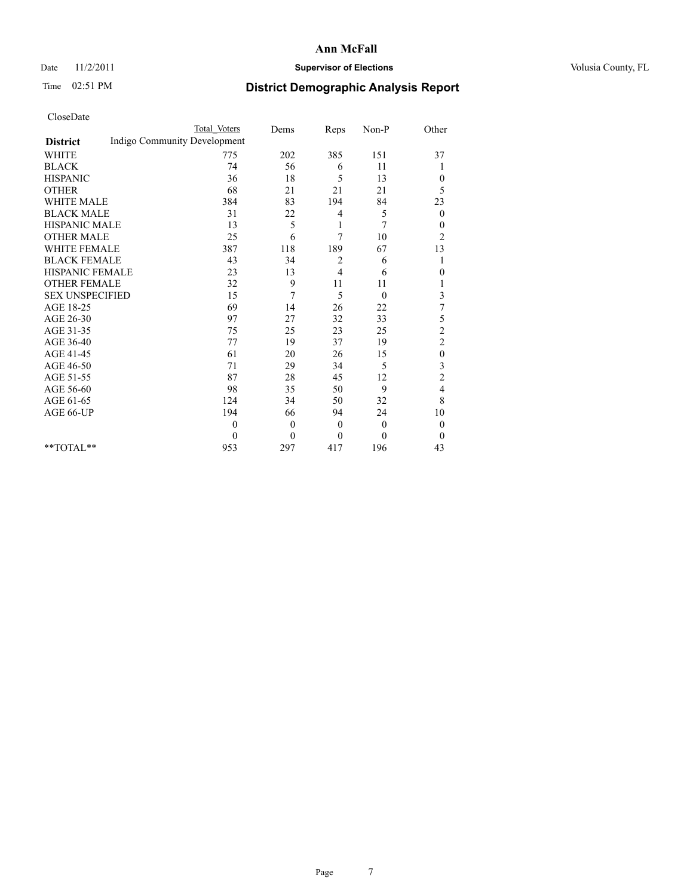#### Date 11/2/2011 **Supervisor of Elections Supervisor of Elections** Volusia County, FL

## Time 02:51 PM **District Demographic Analysis Report**

|                                                 | <b>Total Voters</b> | Dems           | Reps         | Non-P        | Other            |
|-------------------------------------------------|---------------------|----------------|--------------|--------------|------------------|
| Indigo Community Development<br><b>District</b> |                     |                |              |              |                  |
| <b>WHITE</b>                                    | 775                 | 202            | 385          | 151          | 37               |
| <b>BLACK</b>                                    | 74                  | 56             | 6            | 11           |                  |
| <b>HISPANIC</b>                                 | 36                  | 18             | 5            | 13           | $\mathbf{0}$     |
| <b>OTHER</b>                                    | 68                  | 21             | 21           | 21           | 5                |
| <b>WHITE MALE</b>                               | 384                 | 83             | 194          | 84           | 23               |
| <b>BLACK MALE</b>                               | 31                  | 22             | 4            | 5            | $\mathbf{0}$     |
| <b>HISPANIC MALE</b>                            | 13                  | 5              | 1            | 7            | $\boldsymbol{0}$ |
| <b>OTHER MALE</b>                               | 25                  | 6              | 7            | 10           | $\overline{c}$   |
| <b>WHITE FEMALE</b>                             | 387                 | 118            | 189          | 67           | 13               |
| <b>BLACK FEMALE</b>                             | 43                  | 34             | 2            | 6            |                  |
| HISPANIC FEMALE                                 | 23                  | 13             | 4            | 6            | $\theta$         |
| <b>OTHER FEMALE</b>                             | 32                  | 9              | 11           | 11           |                  |
| <b>SEX UNSPECIFIED</b>                          | 15                  | 7              | 5            | $\theta$     | 3                |
| AGE 18-25                                       | 69                  | 14             | 26           | 22           | 7                |
| AGE 26-30                                       | 97                  | 27             | 32           | 33           | 5                |
| AGE 31-35                                       | 75                  | 25             | 23           | 25           | $\overline{c}$   |
| AGE 36-40                                       | 77                  | 19             | 37           | 19           | $\overline{c}$   |
| AGE 41-45                                       | 61                  | 20             | 26           | 15           | $\boldsymbol{0}$ |
| AGE 46-50                                       | 71                  | 29             | 34           | 5            | 3                |
| AGE 51-55                                       | 87                  | 28             | 45           | 12           | $\overline{c}$   |
| AGE 56-60                                       | 98                  | 35             | 50           | 9            | $\overline{4}$   |
| AGE 61-65                                       | 124                 | 34             | 50           | 32           | 8                |
| AGE 66-UP                                       | 194                 | 66             | 94           | 24           | 10               |
|                                                 | $\theta$            | $\overline{0}$ | $\theta$     | $\mathbf{0}$ | $\mathbf{0}$     |
|                                                 | $\theta$            | $\theta$       | $\mathbf{0}$ | $\theta$     | $\overline{0}$   |
| $*$ $TOTAI.**$                                  | 953                 | 297            | 417          | 196          | 43               |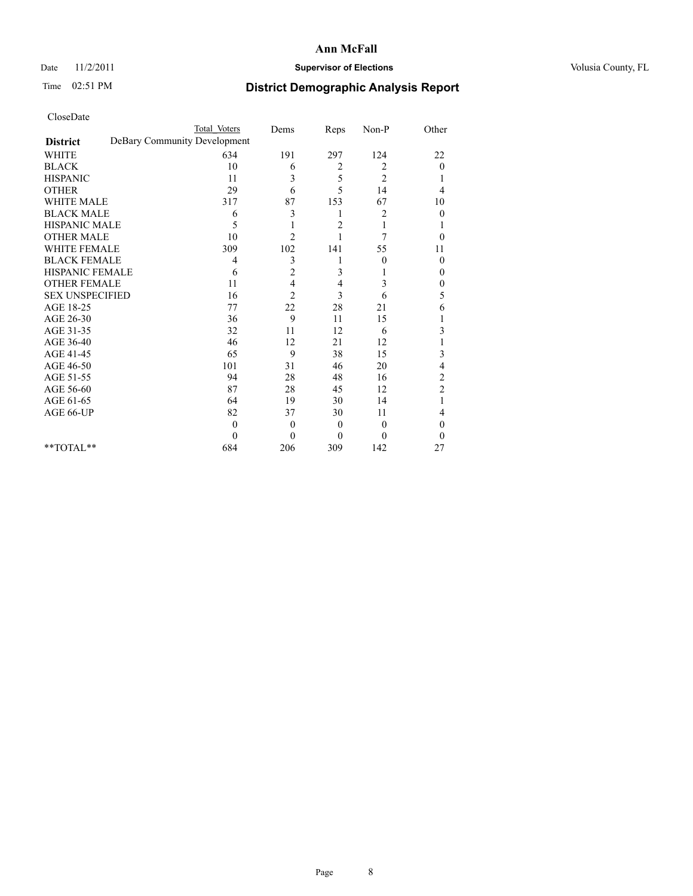#### Date 11/2/2011 **Supervisor of Elections Supervisor of Elections** Volusia County, FL

# Time 02:51 PM **District Demographic Analysis Report**

|                        | <b>Total Voters</b>          | Dems           | Reps           | Non-P            | Other                   |
|------------------------|------------------------------|----------------|----------------|------------------|-------------------------|
| <b>District</b>        | DeBary Community Development |                |                |                  |                         |
| <b>WHITE</b>           | 634                          | 191            | 297            | 124              | 22                      |
| <b>BLACK</b>           | 10                           | 6              | 2              | 2                | $\theta$                |
| <b>HISPANIC</b>        | 11                           | 3              | 5              | $\overline{c}$   |                         |
| <b>OTHER</b>           | 29                           | 6              | 5              | 14               | 4                       |
| <b>WHITE MALE</b>      | 317                          | 87             | 153            | 67               | 10                      |
| <b>BLACK MALE</b>      | 6                            | 3              | 1              | 2                | $\theta$                |
| HISPANIC MALE          | 5                            |                | $\overline{c}$ |                  |                         |
| <b>OTHER MALE</b>      | 10                           | $\overline{c}$ |                | 7                | $\theta$                |
| <b>WHITE FEMALE</b>    | 309                          | 102            | 141            | 55               | 11                      |
| <b>BLACK FEMALE</b>    | $\overline{4}$               | 3              |                | $\boldsymbol{0}$ | $\mathbf{0}$            |
| HISPANIC FEMALE        | 6                            | 2              | 3              |                  | 0                       |
| <b>OTHER FEMALE</b>    | 11                           | 4              | 4              | 3                | 0                       |
| <b>SEX UNSPECIFIED</b> | 16                           | $\overline{c}$ | 3              | 6                | 5                       |
| AGE 18-25              | 77                           | 22             | 28             | 21               | 6                       |
| AGE 26-30              | 36                           | 9              | 11             | 15               |                         |
| AGE 31-35              | 32                           | 11             | 12             | 6                | 3                       |
| AGE 36-40              | 46                           | 12             | 21             | 12               |                         |
| AGE 41-45              | 65                           | 9              | 38             | 15               | 3                       |
| AGE 46-50              | 101                          | 31             | 46             | 20               | 4                       |
| AGE 51-55              | 94                           | 28             | 48             | 16               | $\overline{\mathbf{c}}$ |
| AGE 56-60              | 87                           | 28             | 45             | 12               | $\overline{c}$          |
| AGE 61-65              | 64                           | 19             | 30             | 14               |                         |
| AGE 66-UP              | 82                           | 37             | 30             | 11               | 4                       |
|                        | $\mathbf{0}$                 | $\overline{0}$ | $\mathbf{0}$   | $\theta$         | $\theta$                |
|                        | $\Omega$                     | $\mathbf{0}$   | $\mathbf{0}$   | $\theta$         | $\theta$                |
| **TOTAL**              | 684                          | 206            | 309            | 142              | 27                      |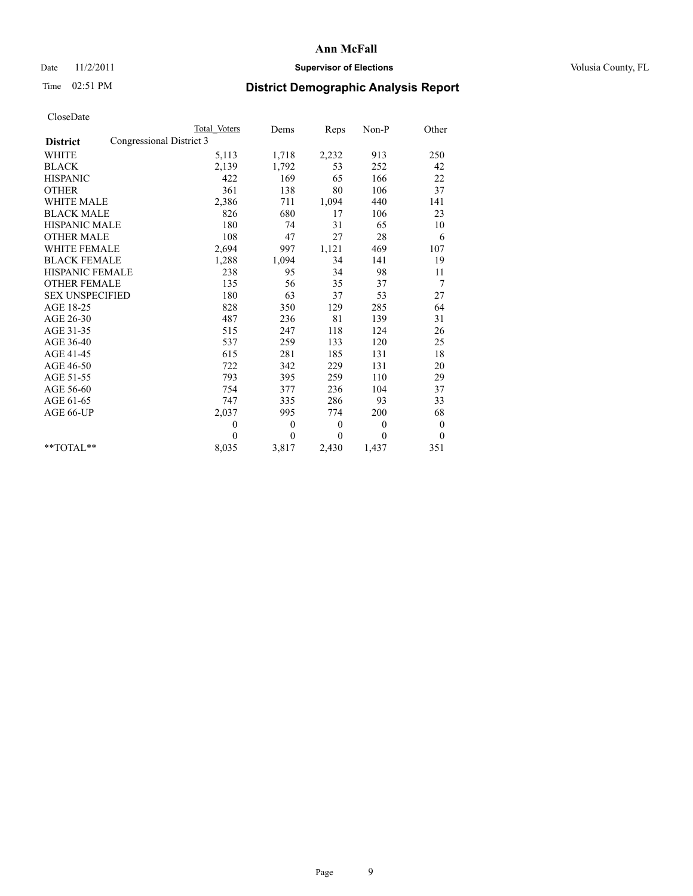#### Date 11/2/2011 **Supervisor of Elections Supervisor of Elections** Volusia County, FL

# Time 02:51 PM **District Demographic Analysis Report**

|                                             | <b>Total Voters</b> | Dems             | Reps             | Non-P        | Other        |
|---------------------------------------------|---------------------|------------------|------------------|--------------|--------------|
| Congressional District 3<br><b>District</b> |                     |                  |                  |              |              |
| <b>WHITE</b>                                | 5,113               | 1,718            | 2,232            | 913          | 250          |
| <b>BLACK</b>                                | 2,139               | 1,792            | 53               | 252          | 42           |
| <b>HISPANIC</b>                             | 422                 | 169              | 65               | 166          | 22           |
| <b>OTHER</b>                                | 361                 | 138              | 80               | 106          | 37           |
| WHITE MALE                                  | 2,386               | 711              | 1,094            | 440          | 141          |
| <b>BLACK MALE</b>                           | 826                 | 680              | 17               | 106          | 23           |
| <b>HISPANIC MALE</b>                        | 180                 | 74               | 31               | 65           | 10           |
| <b>OTHER MALE</b>                           | 108                 | 47               | 27               | 28           | 6            |
| <b>WHITE FEMALE</b>                         | 2,694               | 997              | 1,121            | 469          | 107          |
| <b>BLACK FEMALE</b>                         | 1,288               | 1,094            | 34               | 141          | 19           |
| <b>HISPANIC FEMALE</b>                      | 238                 | 95               | 34               | 98           | 11           |
| <b>OTHER FEMALE</b>                         | 135                 | 56               | 35               | 37           | 7            |
| <b>SEX UNSPECIFIED</b>                      | 180                 | 63               | 37               | 53           | 27           |
| AGE 18-25                                   | 828                 | 350              | 129              | 285          | 64           |
| AGE 26-30                                   | 487                 | 236              | 81               | 139          | 31           |
| AGE 31-35                                   | 515                 | 247              | 118              | 124          | 26           |
| AGE 36-40                                   | 537                 | 259              | 133              | 120          | 25           |
| AGE 41-45                                   | 615                 | 281              | 185              | 131          | 18           |
| AGE 46-50                                   | 722                 | 342              | 229              | 131          | 20           |
| AGE 51-55                                   | 793                 | 395              | 259              | 110          | 29           |
| AGE 56-60                                   | 754                 | 377              | 236              | 104          | 37           |
| AGE 61-65                                   | 747                 | 335              | 286              | 93           | 33           |
| AGE 66-UP                                   | 2,037               | 995              | 774              | 200          | 68           |
|                                             | $\mathbf{0}$        | $\boldsymbol{0}$ | $\boldsymbol{0}$ | $\mathbf{0}$ | $\mathbf{0}$ |
|                                             | $\theta$            | $\theta$         | $\theta$         | $\theta$     | $\theta$     |
| **TOTAL**                                   | 8,035               | 3,817            | 2,430            | 1,437        | 351          |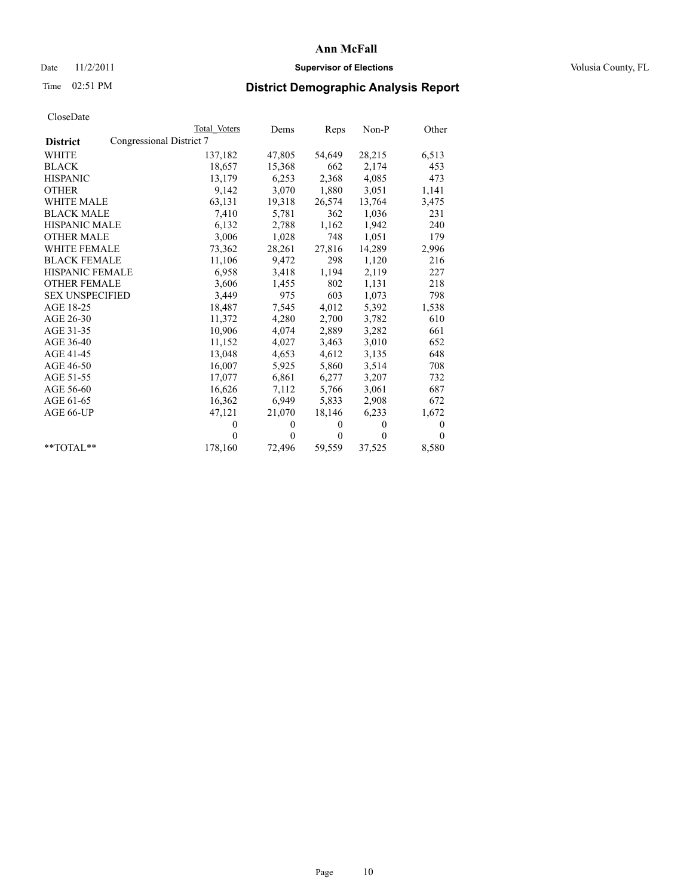## Date 11/2/2011 **Supervisor of Elections Supervisor of Elections** Volusia County, FL

# Time 02:51 PM **District Demographic Analysis Report**

|                                             | Total Voters | Dems     | Reps         | $Non-P$  | Other    |  |
|---------------------------------------------|--------------|----------|--------------|----------|----------|--|
| Congressional District 7<br><b>District</b> |              |          |              |          |          |  |
| <b>WHITE</b>                                | 137,182      | 47,805   | 54,649       | 28,215   | 6,513    |  |
| <b>BLACK</b>                                | 18,657       | 15,368   | 662          | 2,174    | 453      |  |
| <b>HISPANIC</b>                             | 13,179       | 6,253    | 2,368        | 4,085    | 473      |  |
| <b>OTHER</b>                                | 9,142        | 3,070    | 1,880        | 3,051    | 1,141    |  |
| <b>WHITE MALE</b>                           | 63,131       | 19,318   | 26,574       | 13,764   | 3,475    |  |
| <b>BLACK MALE</b>                           | 7,410        | 5,781    | 362          | 1,036    | 231      |  |
| <b>HISPANIC MALE</b>                        | 6,132        | 2,788    | 1,162        | 1,942    | 240      |  |
| <b>OTHER MALE</b>                           | 3,006        | 1,028    | 748          | 1,051    | 179      |  |
| <b>WHITE FEMALE</b>                         | 73,362       | 28,261   | 27,816       | 14,289   | 2,996    |  |
| <b>BLACK FEMALE</b>                         | 11,106       | 9,472    | 298          | 1,120    | 216      |  |
| HISPANIC FEMALE                             | 6,958        | 3,418    | 1,194        | 2,119    | 227      |  |
| <b>OTHER FEMALE</b>                         | 3,606        | 1,455    | 802          | 1,131    | 218      |  |
| <b>SEX UNSPECIFIED</b>                      | 3,449        | 975      | 603          | 1,073    | 798      |  |
| AGE 18-25                                   | 18,487       | 7,545    | 4,012        | 5,392    | 1,538    |  |
| AGE 26-30                                   | 11,372       | 4,280    | 2,700        | 3,782    | 610      |  |
| AGE 31-35                                   | 10,906       | 4,074    | 2,889        | 3,282    | 661      |  |
| AGE 36-40                                   | 11,152       | 4,027    | 3,463        | 3,010    | 652      |  |
| AGE 41-45                                   | 13,048       | 4,653    | 4,612        | 3,135    | 648      |  |
| AGE 46-50                                   | 16,007       | 5,925    | 5,860        | 3,514    | 708      |  |
| AGE 51-55                                   | 17,077       | 6,861    | 6,277        | 3,207    | 732      |  |
| AGE 56-60                                   | 16,626       | 7,112    | 5,766        | 3,061    | 687      |  |
| AGE 61-65                                   | 16,362       | 6,949    | 5,833        | 2,908    | 672      |  |
| AGE 66-UP                                   | 47,121       | 21,070   | 18,146       | 6,233    | 1,672    |  |
|                                             | $\mathbf{0}$ | $\theta$ | $\mathbf{0}$ | $\theta$ | $\theta$ |  |
|                                             | $\theta$     | $\theta$ | $\mathbf{0}$ | $\theta$ | $\Omega$ |  |
| $*$ TOTAL $*$                               | 178,160      | 72,496   | 59,559       | 37,525   | 8,580    |  |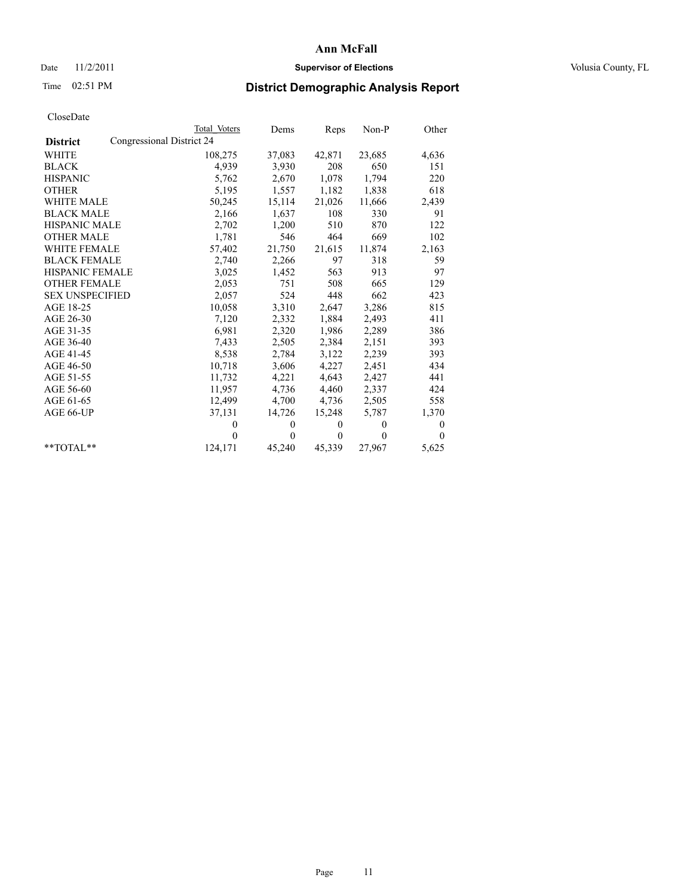## Date 11/2/2011 **Supervisor of Elections Supervisor of Elections** Volusia County, FL

# Time 02:51 PM **District Demographic Analysis Report**

|                                              | <b>Total Voters</b> | Dems     | Reps         | $Non-P$  | Other    |
|----------------------------------------------|---------------------|----------|--------------|----------|----------|
| Congressional District 24<br><b>District</b> |                     |          |              |          |          |
| <b>WHITE</b>                                 | 108,275             | 37,083   | 42,871       | 23,685   | 4,636    |
| <b>BLACK</b>                                 | 4,939               | 3,930    | 208          | 650      | 151      |
| <b>HISPANIC</b>                              | 5,762               | 2,670    | 1,078        | 1,794    | 220      |
| <b>OTHER</b>                                 | 5,195               | 1,557    | 1,182        | 1,838    | 618      |
| <b>WHITE MALE</b>                            | 50,245              | 15,114   | 21,026       | 11,666   | 2,439    |
| <b>BLACK MALE</b>                            | 2,166               | 1,637    | 108          | 330      | 91       |
| HISPANIC MALE                                | 2,702               | 1,200    | 510          | 870      | 122      |
| <b>OTHER MALE</b>                            | 1,781               | 546      | 464          | 669      | 102      |
| <b>WHITE FEMALE</b>                          | 57,402              | 21,750   | 21,615       | 11,874   | 2,163    |
| <b>BLACK FEMALE</b>                          | 2,740               | 2,266    | 97           | 318      | 59       |
| HISPANIC FEMALE                              | 3,025               | 1,452    | 563          | 913      | 97       |
| <b>OTHER FEMALE</b>                          | 2,053               | 751      | 508          | 665      | 129      |
| <b>SEX UNSPECIFIED</b>                       | 2,057               | 524      | 448          | 662      | 423      |
| AGE 18-25                                    | 10,058              | 3,310    | 2,647        | 3,286    | 815      |
| AGE 26-30                                    | 7,120               | 2,332    | 1,884        | 2,493    | 411      |
| AGE 31-35                                    | 6,981               | 2,320    | 1,986        | 2,289    | 386      |
| AGE 36-40                                    | 7,433               | 2,505    | 2,384        | 2,151    | 393      |
| AGE 41-45                                    | 8,538               | 2,784    | 3,122        | 2,239    | 393      |
| AGE 46-50                                    | 10,718              | 3,606    | 4,227        | 2,451    | 434      |
| AGE 51-55                                    | 11,732              | 4,221    | 4,643        | 2,427    | 441      |
| AGE 56-60                                    | 11,957              | 4,736    | 4,460        | 2,337    | 424      |
| AGE 61-65                                    | 12,499              | 4,700    | 4,736        | 2,505    | 558      |
| AGE 66-UP                                    | 37,131              | 14,726   | 15,248       | 5,787    | 1,370    |
|                                              | $\Omega$            | $\theta$ | $\mathbf{0}$ | $\theta$ | 0        |
|                                              | $\Omega$            | $\theta$ | $\mathbf{0}$ | $\theta$ | $\Omega$ |
| $*$ $TOTAI.**$                               | 124,171             | 45,240   | 45,339       | 27,967   | 5,625    |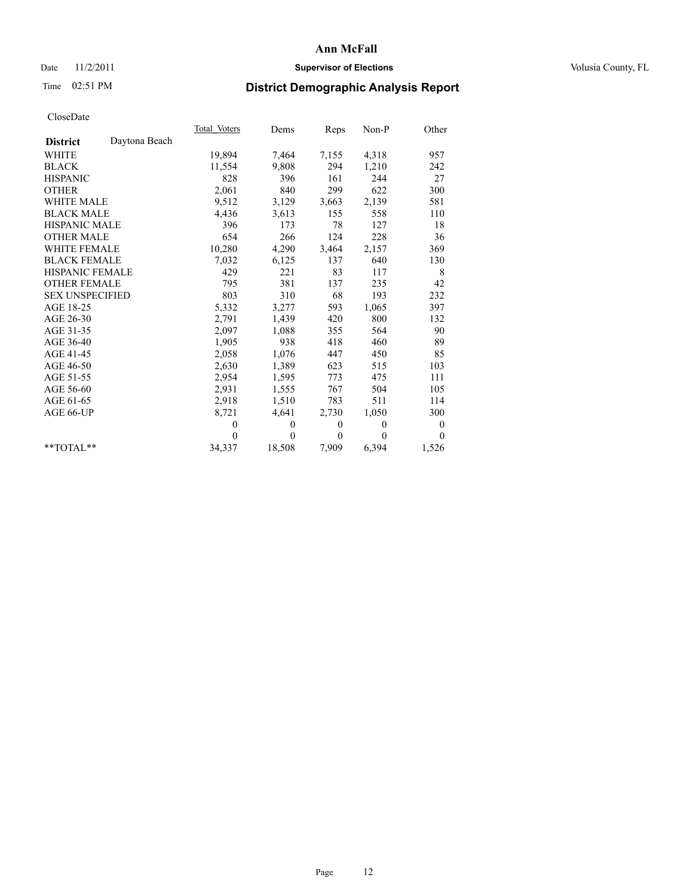## Date 11/2/2011 **Supervisor of Elections Supervisor of Elections** Volusia County, FL

# Time 02:51 PM **District Demographic Analysis Report**

|                                  | Total Voters | Dems         | Reps         | $Non-P$      | Other    |  |
|----------------------------------|--------------|--------------|--------------|--------------|----------|--|
| Daytona Beach<br><b>District</b> |              |              |              |              |          |  |
| <b>WHITE</b>                     | 19,894       | 7,464        | 7,155        | 4,318        | 957      |  |
| <b>BLACK</b>                     | 11,554       | 9,808        | 294          | 1,210        | 242      |  |
| <b>HISPANIC</b>                  | 828          | 396          | 161          | 244          | 27       |  |
| <b>OTHER</b>                     | 2,061        | 840          | 299          | 622          | 300      |  |
| <b>WHITE MALE</b>                | 9,512        | 3,129        | 3,663        | 2,139        | 581      |  |
| <b>BLACK MALE</b>                | 4,436        | 3,613        | 155          | 558          | 110      |  |
| <b>HISPANIC MALE</b>             | 396          | 173          | 78           | 127          | 18       |  |
| <b>OTHER MALE</b>                | 654          | 266          | 124          | 228          | 36       |  |
| <b>WHITE FEMALE</b>              | 10,280       | 4,290        | 3,464        | 2,157        | 369      |  |
| <b>BLACK FEMALE</b>              | 7,032        | 6,125        | 137          | 640          | 130      |  |
| HISPANIC FEMALE                  | 429          | 221          | 83           | 117          | 8        |  |
| <b>OTHER FEMALE</b>              | 795          | 381          | 137          | 235          | 42       |  |
| <b>SEX UNSPECIFIED</b>           | 803          | 310          | 68           | 193          | 232      |  |
| AGE 18-25                        | 5,332        | 3,277        | 593          | 1,065        | 397      |  |
| AGE 26-30                        | 2,791        | 1,439        | 420          | 800          | 132      |  |
| AGE 31-35                        | 2,097        | 1,088        | 355          | 564          | 90       |  |
| AGE 36-40                        | 1,905        | 938          | 418          | 460          | 89       |  |
| AGE 41-45                        | 2,058        | 1,076        | 447          | 450          | 85       |  |
| AGE 46-50                        | 2,630        | 1,389        | 623          | 515          | 103      |  |
| AGE 51-55                        | 2,954        | 1,595        | 773          | 475          | 111      |  |
| AGE 56-60                        | 2,931        | 1,555        | 767          | 504          | 105      |  |
| AGE 61-65                        | 2,918        | 1,510        | 783          | 511          | 114      |  |
| AGE 66-UP                        | 8,721        | 4,641        | 2,730        | 1,050        | 300      |  |
|                                  | $\theta$     | $\mathbf{0}$ | $\mathbf{0}$ | $\mathbf{0}$ | 0        |  |
|                                  | $\theta$     | $\theta$     | $\theta$     | $\theta$     | $\theta$ |  |
| $*$ $TOTAI.**$                   | 34,337       | 18,508       | 7,909        | 6,394        | 1,526    |  |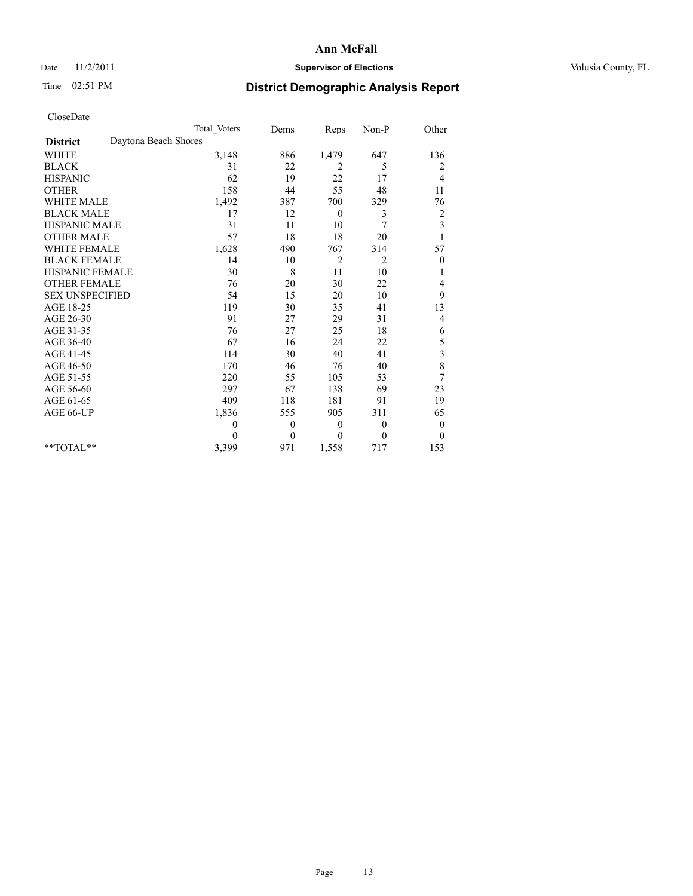## Date 11/2/2011 **Supervisor of Elections Supervisor of Elections** Volusia County, FL

# Time 02:51 PM **District Demographic Analysis Report**

|                                         | <b>Total Voters</b> | Dems             | Reps             | Non-P        | Other                   |
|-----------------------------------------|---------------------|------------------|------------------|--------------|-------------------------|
| Daytona Beach Shores<br><b>District</b> |                     |                  |                  |              |                         |
| <b>WHITE</b>                            | 3,148               | 886              | 1,479            | 647          | 136                     |
| <b>BLACK</b>                            | 31                  | 22               | 2                | 5            | 2                       |
| <b>HISPANIC</b>                         | 62                  | 19               | 22               | 17           | $\overline{4}$          |
| <b>OTHER</b>                            | 158                 | 44               | 55               | 48           | 11                      |
| <b>WHITE MALE</b>                       | 1,492               | 387              | 700              | 329          | 76                      |
| <b>BLACK MALE</b>                       | 17                  | 12               | $\theta$         | 3            | $\overline{\mathbf{c}}$ |
| HISPANIC MALE                           | 31                  | 11               | 10               | 7            | $\overline{\mathbf{3}}$ |
| <b>OTHER MALE</b>                       | 57                  | 18               | 18               | 20           |                         |
| <b>WHITE FEMALE</b>                     | 1,628               | 490              | 767              | 314          | 57                      |
| <b>BLACK FEMALE</b>                     | 14                  | 10               | $\overline{c}$   | 2            | $\overline{0}$          |
| HISPANIC FEMALE                         | 30                  | 8                | 11               | 10           |                         |
| <b>OTHER FEMALE</b>                     | 76                  | 20               | 30               | 22           | 4                       |
| <b>SEX UNSPECIFIED</b>                  | 54                  | 15               | 20               | 10           | 9                       |
| AGE 18-25                               | 119                 | 30               | 35               | 41           | 13                      |
| AGE 26-30                               | 91                  | 27               | 29               | 31           | 4                       |
| AGE 31-35                               | 76                  | 27               | 25               | 18           | 6                       |
| AGE 36-40                               | 67                  | 16               | 24               | 22           | 5                       |
| AGE 41-45                               | 114                 | 30               | 40               | 41           | 3                       |
| AGE 46-50                               | 170                 | 46               | 76               | 40           | 8                       |
| AGE 51-55                               | 220                 | 55               | 105              | 53           | 7                       |
| AGE 56-60                               | 297                 | 67               | 138              | 69           | 23                      |
| AGE 61-65                               | 409                 | 118              | 181              | 91           | 19                      |
| AGE 66-UP                               | 1,836               | 555              | 905              | 311          | 65                      |
|                                         | $\boldsymbol{0}$    | $\boldsymbol{0}$ | $\boldsymbol{0}$ | $\mathbf{0}$ | $\boldsymbol{0}$        |
|                                         | 0                   | $\theta$         | $\overline{0}$   | $\theta$     | $\theta$                |
| $*$ $TOTAI.**$                          | 3,399               | 971              | 1,558            | 717          | 153                     |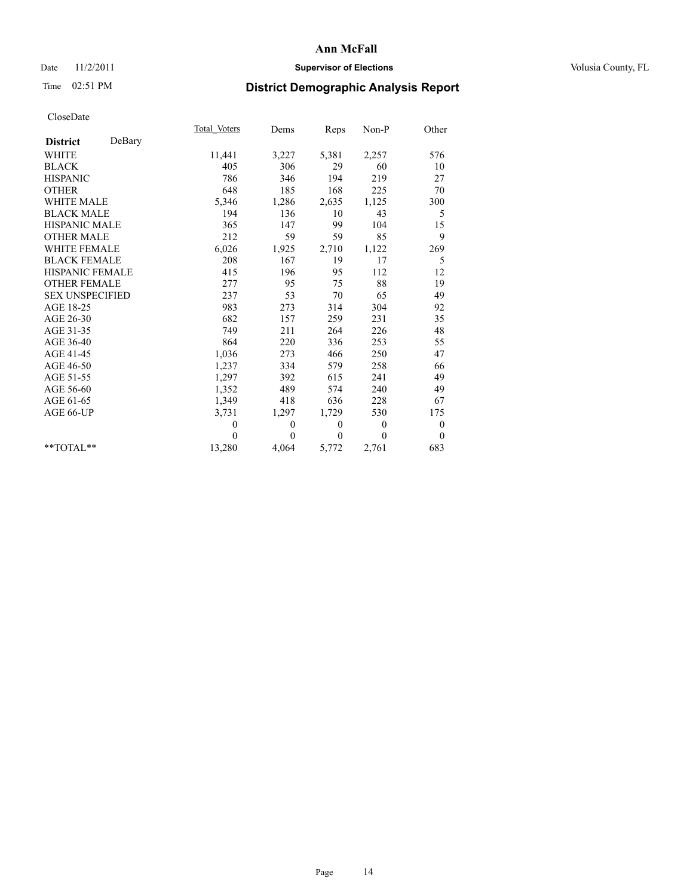## Date 11/2/2011 **Supervisor of Elections Supervisor of Elections** Volusia County, FL

# Time 02:51 PM **District Demographic Analysis Report**

|                           | Total Voters | Dems         | Reps         | Non-P          | Other            |  |
|---------------------------|--------------|--------------|--------------|----------------|------------------|--|
| DeBary<br><b>District</b> |              |              |              |                |                  |  |
| <b>WHITE</b>              | 11,441       | 3,227        | 5,381        | 2,257          | 576              |  |
| <b>BLACK</b>              | 405          | 306          | 29           | 60             | 10               |  |
| <b>HISPANIC</b>           | 786          | 346          | 194          | 219            | 27               |  |
| <b>OTHER</b>              | 648          | 185          | 168          | 225            | 70               |  |
| <b>WHITE MALE</b>         | 5,346        | 1,286        | 2,635        | 1,125          | 300              |  |
| <b>BLACK MALE</b>         | 194          | 136          | 10           | 43             | 5                |  |
| <b>HISPANIC MALE</b>      | 365          | 147          | 99           | 104            | 15               |  |
| <b>OTHER MALE</b>         | 212          | 59           | 59           | 85             | 9                |  |
| <b>WHITE FEMALE</b>       | 6,026        | 1,925        | 2,710        | 1,122          | 269              |  |
| <b>BLACK FEMALE</b>       | 208          | 167          | 19           | 17             | 5                |  |
| HISPANIC FEMALE           | 415          | 196          | 95           | 112            | 12               |  |
| <b>OTHER FEMALE</b>       | 277          | 95           | 75           | 88             | 19               |  |
| <b>SEX UNSPECIFIED</b>    | 237          | 53           | 70           | 65             | 49               |  |
| AGE 18-25                 | 983          | 273          | 314          | 304            | 92               |  |
| AGE 26-30                 | 682          | 157          | 259          | 231            | 35               |  |
| AGE 31-35                 | 749          | 211          | 264          | 226            | 48               |  |
| AGE 36-40                 | 864          | 220          | 336          | 253            | 55               |  |
| AGE 41-45                 | 1,036        | 273          | 466          | 250            | 47               |  |
| AGE 46-50                 | 1,237        | 334          | 579          | 258            | 66               |  |
| AGE 51-55                 | 1,297        | 392          | 615          | 241            | 49               |  |
| AGE 56-60                 | 1,352        | 489          | 574          | 240            | 49               |  |
| AGE 61-65                 | 1,349        | 418          | 636          | 228            | 67               |  |
| AGE 66-UP                 | 3,731        | 1,297        | 1,729        | 530            | 175              |  |
|                           | $\mathbf{0}$ | $\mathbf{0}$ | $\mathbf{0}$ | $\overline{0}$ | $\boldsymbol{0}$ |  |
|                           | $\theta$     | $\theta$     | $\theta$     | $\theta$       | $\theta$         |  |
| $*$ $TOTAI.**$            | 13,280       | 4,064        | 5,772        | 2,761          | 683              |  |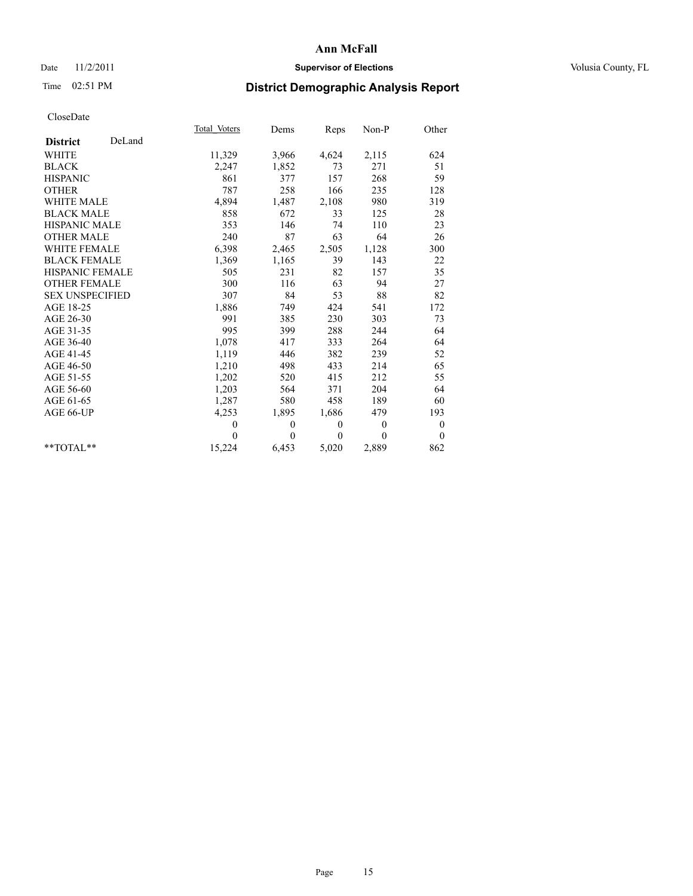## Date 11/2/2011 **Supervisor of Elections Supervisor of Elections** Volusia County, FL

# Time 02:51 PM **District Demographic Analysis Report**

|                           | Total Voters | Dems         | Reps         | Non-P        | Other            |  |
|---------------------------|--------------|--------------|--------------|--------------|------------------|--|
| DeLand<br><b>District</b> |              |              |              |              |                  |  |
| <b>WHITE</b>              | 11,329       | 3,966        | 4,624        | 2,115        | 624              |  |
| <b>BLACK</b>              | 2,247        | 1,852        | 73           | 271          | 51               |  |
| <b>HISPANIC</b>           | 861          | 377          | 157          | 268          | 59               |  |
| <b>OTHER</b>              | 787          | 258          | 166          | 235          | 128              |  |
| <b>WHITE MALE</b>         | 4,894        | 1,487        | 2,108        | 980          | 319              |  |
| <b>BLACK MALE</b>         | 858          | 672          | 33           | 125          | 28               |  |
| <b>HISPANIC MALE</b>      | 353          | 146          | 74           | 110          | 23               |  |
| <b>OTHER MALE</b>         | 240          | 87           | 63           | 64           | 26               |  |
| WHITE FEMALE              | 6,398        | 2,465        | 2,505        | 1,128        | 300              |  |
| <b>BLACK FEMALE</b>       | 1,369        | 1,165        | 39           | 143          | 22               |  |
| HISPANIC FEMALE           | 505          | 231          | 82           | 157          | 35               |  |
| <b>OTHER FEMALE</b>       | 300          | 116          | 63           | 94           | 27               |  |
| <b>SEX UNSPECIFIED</b>    | 307          | 84           | 53           | 88           | 82               |  |
| AGE 18-25                 | 1,886        | 749          | 424          | 541          | 172              |  |
| AGE 26-30                 | 991          | 385          | 230          | 303          | 73               |  |
| AGE 31-35                 | 995          | 399          | 288          | 244          | 64               |  |
| AGE 36-40                 | 1,078        | 417          | 333          | 264          | 64               |  |
| AGE 41-45                 | 1,119        | 446          | 382          | 239          | 52               |  |
| AGE 46-50                 | 1,210        | 498          | 433          | 214          | 65               |  |
| AGE 51-55                 | 1,202        | 520          | 415          | 212          | 55               |  |
| AGE 56-60                 | 1,203        | 564          | 371          | 204          | 64               |  |
| AGE 61-65                 | 1,287        | 580          | 458          | 189          | 60               |  |
| AGE 66-UP                 | 4,253        | 1,895        | 1,686        | 479          | 193              |  |
|                           | $\theta$     | $\mathbf{0}$ | $\mathbf{0}$ | $\mathbf{0}$ | $\boldsymbol{0}$ |  |
|                           | $\theta$     | $\theta$     | $\theta$     | $\theta$     | $\theta$         |  |
| $**TOTAI**$               | 15,224       | 6,453        | 5,020        | 2,889        | 862              |  |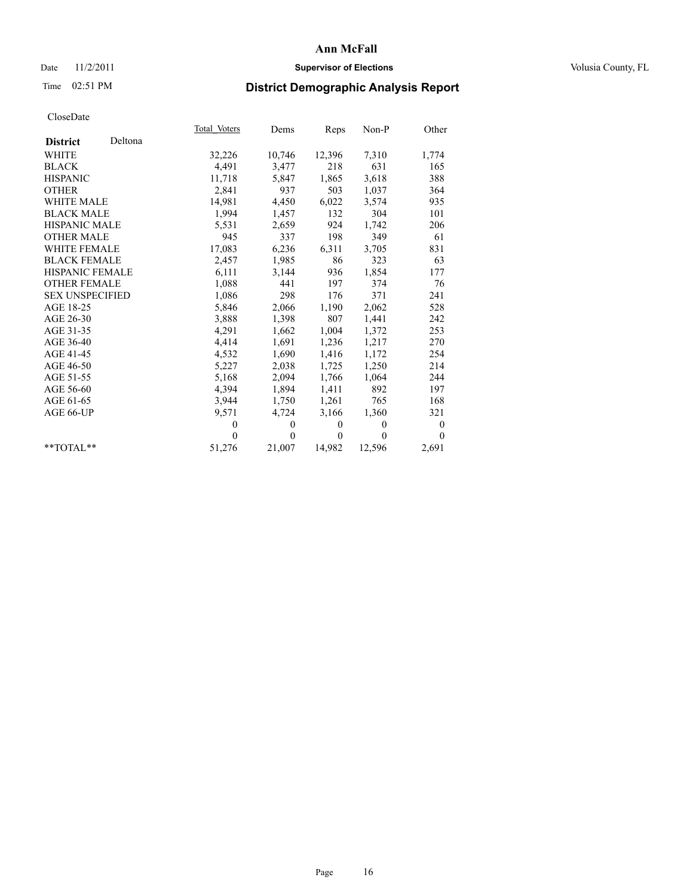## Date 11/2/2011 **Supervisor of Elections Supervisor of Elections** Volusia County, FL

# Time 02:51 PM **District Demographic Analysis Report**

|                        |         | Total Voters | Dems           | Reps     | Non-P    | Other          |
|------------------------|---------|--------------|----------------|----------|----------|----------------|
| <b>District</b>        | Deltona |              |                |          |          |                |
| <b>WHITE</b>           |         | 32,226       | 10,746         | 12,396   | 7,310    | 1,774          |
| <b>BLACK</b>           |         | 4,491        | 3,477          | 218      | 631      | 165            |
| <b>HISPANIC</b>        |         | 11,718       | 5,847          | 1,865    | 3,618    | 388            |
| <b>OTHER</b>           |         | 2,841        | 937            | 503      | 1,037    | 364            |
| <b>WHITE MALE</b>      |         | 14,981       | 4,450          | 6,022    | 3,574    | 935            |
| <b>BLACK MALE</b>      |         | 1,994        | 1,457          | 132      | 304      | 101            |
| <b>HISPANIC MALE</b>   |         | 5,531        | 2,659          | 924      | 1,742    | 206            |
| <b>OTHER MALE</b>      |         | 945          | 337            | 198      | 349      | 61             |
| <b>WHITE FEMALE</b>    |         | 17,083       | 6,236          | 6,311    | 3,705    | 831            |
| <b>BLACK FEMALE</b>    |         | 2,457        | 1,985          | 86       | 323      | 63             |
| <b>HISPANIC FEMALE</b> |         | 6,111        | 3,144          | 936      | 1,854    | 177            |
| <b>OTHER FEMALE</b>    |         | 1,088        | 441            | 197      | 374      | 76             |
| <b>SEX UNSPECIFIED</b> |         | 1,086        | 298            | 176      | 371      | 241            |
| AGE 18-25              |         | 5,846        | 2,066          | 1,190    | 2,062    | 528            |
| AGE 26-30              |         | 3,888        | 1,398          | 807      | 1,441    | 242            |
| AGE 31-35              |         | 4,291        | 1,662          | 1,004    | 1,372    | 253            |
| AGE 36-40              |         | 4,414        | 1,691          | 1,236    | 1,217    | 270            |
| AGE 41-45              |         | 4,532        | 1,690          | 1,416    | 1,172    | 254            |
| AGE 46-50              |         | 5,227        | 2,038          | 1,725    | 1,250    | 214            |
| AGE 51-55              |         | 5,168        | 2,094          | 1,766    | 1,064    | 244            |
| AGE 56-60              |         | 4,394        | 1,894          | 1,411    | 892      | 197            |
| AGE 61-65              |         | 3,944        | 1,750          | 1,261    | 765      | 168            |
| AGE 66-UP              |         | 9,571        | 4,724          | 3,166    | 1,360    | 321            |
|                        |         | $\mathbf{0}$ | $\overline{0}$ | $\theta$ | $\theta$ | $\overline{0}$ |
|                        |         | $\theta$     | $\theta$       | $\theta$ | $\theta$ | $\Omega$       |
| $*$ $TOTAI.**$         |         | 51,276       | 21,007         | 14,982   | 12,596   | 2,691          |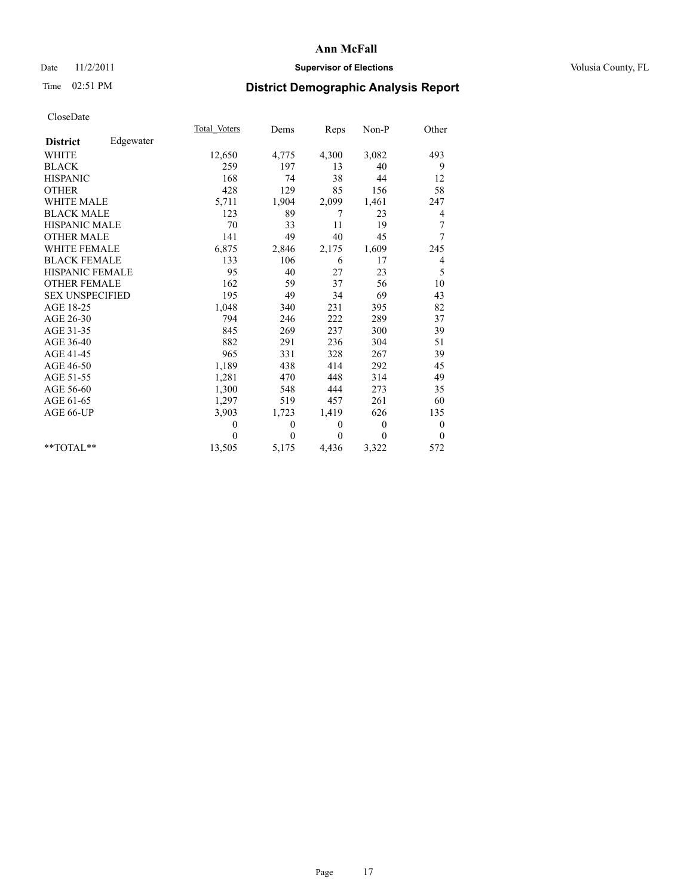## Date 11/2/2011 **Supervisor of Elections Supervisor of Elections** Volusia County, FL

## Time 02:51 PM **District Demographic Analysis Report**

|                        |           | Total Voters | Dems     | Reps         | Non-P          | Other            |  |
|------------------------|-----------|--------------|----------|--------------|----------------|------------------|--|
| <b>District</b>        | Edgewater |              |          |              |                |                  |  |
| <b>WHITE</b>           |           | 12,650       | 4,775    | 4,300        | 3,082          | 493              |  |
| <b>BLACK</b>           |           | 259          | 197      | 13           | 40             | 9                |  |
| <b>HISPANIC</b>        |           | 168          | 74       | 38           | 44             | 12               |  |
| <b>OTHER</b>           |           | 428          | 129      | 85           | 156            | 58               |  |
| <b>WHITE MALE</b>      |           | 5,711        | 1,904    | 2,099        | 1,461          | 247              |  |
| <b>BLACK MALE</b>      |           | 123          | 89       | 7            | 23             | 4                |  |
| HISPANIC MALE          |           | 70           | 33       | 11           | 19             | 7                |  |
| <b>OTHER MALE</b>      |           | 141          | 49       | 40           | 45             | 7                |  |
| <b>WHITE FEMALE</b>    |           | 6,875        | 2,846    | 2,175        | 1,609          | 245              |  |
| <b>BLACK FEMALE</b>    |           | 133          | 106      | 6            | 17             | 4                |  |
| HISPANIC FEMALE        |           | 95           | 40       | 27           | 23             | 5                |  |
| <b>OTHER FEMALE</b>    |           | 162          | 59       | 37           | 56             | 10               |  |
| <b>SEX UNSPECIFIED</b> |           | 195          | 49       | 34           | 69             | 43               |  |
| AGE 18-25              |           | 1,048        | 340      | 231          | 395            | 82               |  |
| AGE 26-30              |           | 794          | 246      | 222          | 289            | 37               |  |
| AGE 31-35              |           | 845          | 269      | 237          | 300            | 39               |  |
| AGE 36-40              |           | 882          | 291      | 236          | 304            | 51               |  |
| AGE 41-45              |           | 965          | 331      | 328          | 267            | 39               |  |
| AGE 46-50              |           | 1,189        | 438      | 414          | 292            | 45               |  |
| AGE 51-55              |           | 1,281        | 470      | 448          | 314            | 49               |  |
| AGE 56-60              |           | 1,300        | 548      | 444          | 273            | 35               |  |
| AGE 61-65              |           | 1,297        | 519      | 457          | 261            | 60               |  |
| AGE 66-UP              |           | 3,903        | 1,723    | 1,419        | 626            | 135              |  |
|                        |           | $\theta$     | $\theta$ | $\mathbf{0}$ | $\overline{0}$ | $\boldsymbol{0}$ |  |
|                        |           | $\theta$     | $\theta$ | $\theta$     | $\mathbf{0}$   | $\mathbf{0}$     |  |
| $*$ $TOTAI.**$         |           | 13,505       | 5,175    | 4,436        | 3,322          | 572              |  |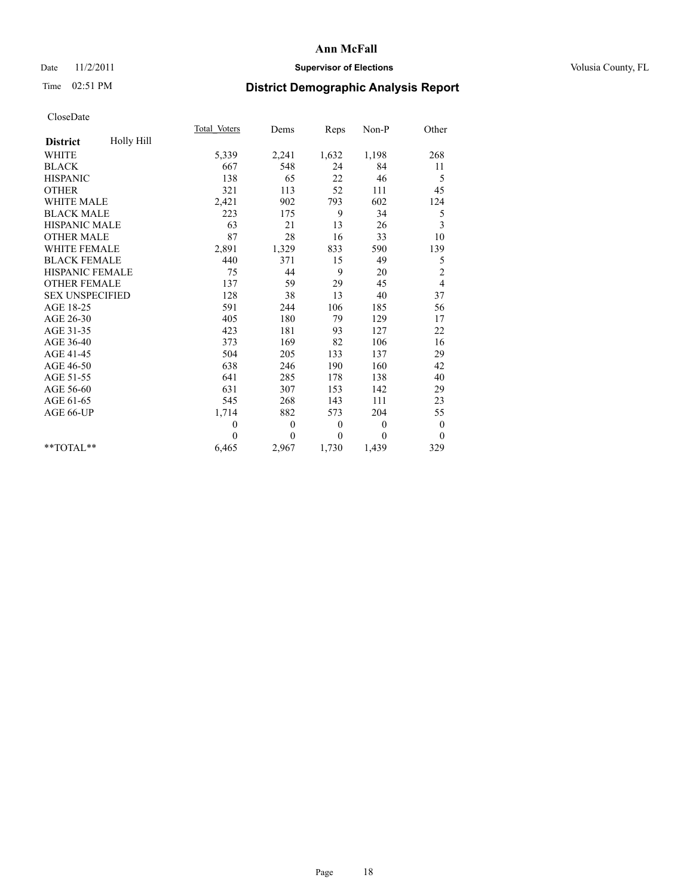## Date 11/2/2011 **Supervisor of Elections Supervisor of Elections** Volusia County, FL

## Time 02:51 PM **District Demographic Analysis Report**

|                               | Total Voters | Dems     | Reps         | $Non-P$        | Other            |
|-------------------------------|--------------|----------|--------------|----------------|------------------|
| Holly Hill<br><b>District</b> |              |          |              |                |                  |
| <b>WHITE</b>                  | 5,339        | 2,241    | 1,632        | 1,198          | 268              |
| <b>BLACK</b>                  | 667          | 548      | 24           | 84             | 11               |
| <b>HISPANIC</b>               | 138          | 65       | 22           | 46             | 5                |
| <b>OTHER</b>                  | 321          | 113      | 52           | 111            | 45               |
| <b>WHITE MALE</b>             | 2,421        | 902      | 793          | 602            | 124              |
| <b>BLACK MALE</b>             | 223          | 175      | 9            | 34             | 5                |
| <b>HISPANIC MALE</b>          | 63           | 21       | 13           | 26             | 3                |
| <b>OTHER MALE</b>             | 87           | 28       | 16           | 33             | 10               |
| WHITE FEMALE                  | 2,891        | 1,329    | 833          | 590            | 139              |
| <b>BLACK FEMALE</b>           | 440          | 371      | 15           | 49             | 5                |
| HISPANIC FEMALE               | 75           | 44       | 9            | 20             | $\overline{c}$   |
| <b>OTHER FEMALE</b>           | 137          | 59       | 29           | 45             | 4                |
| <b>SEX UNSPECIFIED</b>        | 128          | 38       | 13           | 40             | 37               |
| AGE 18-25                     | 591          | 244      | 106          | 185            | 56               |
| AGE 26-30                     | 405          | 180      | 79           | 129            | 17               |
| AGE 31-35                     | 423          | 181      | 93           | 127            | 22               |
| AGE 36-40                     | 373          | 169      | 82           | 106            | 16               |
| AGE 41-45                     | 504          | 205      | 133          | 137            | 29               |
| AGE 46-50                     | 638          | 246      | 190          | 160            | 42               |
| AGE 51-55                     | 641          | 285      | 178          | 138            | 40               |
| AGE 56-60                     | 631          | 307      | 153          | 142            | 29               |
| AGE 61-65                     | 545          | 268      | 143          | 111            | 23               |
| AGE 66-UP                     | 1,714        | 882      | 573          | 204            | 55               |
|                               | $\mathbf{0}$ | $\theta$ | $\mathbf{0}$ | $\overline{0}$ | $\boldsymbol{0}$ |
|                               | $\theta$     | $\theta$ | $\theta$     | $\theta$       | $\theta$         |
| $*$ $TOTAI.**$                | 6,465        | 2,967    | 1,730        | 1,439          | 329              |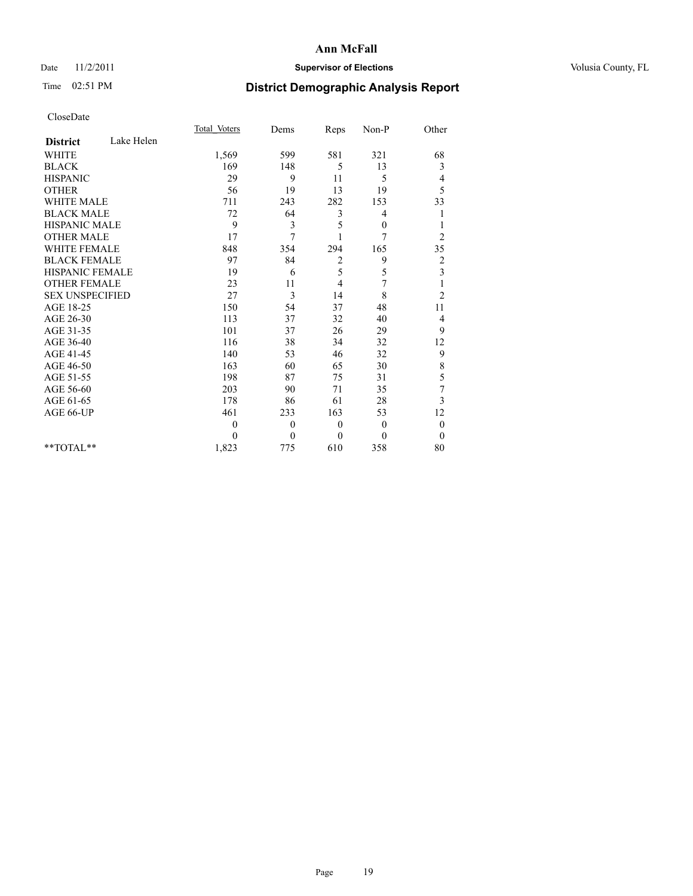#### Date 11/2/2011 **Supervisor of Elections Supervisor of Elections** Volusia County, FL

## Time 02:51 PM **District Demographic Analysis Report**

| <b>Total Voters</b> | Dems     | Reps             | Non-P            | Other          |
|---------------------|----------|------------------|------------------|----------------|
|                     |          |                  |                  |                |
| 1,569               | 599      | 581              | 321              | 68             |
| 169                 | 148      | 5                | 13               | 3              |
| 29                  | 9        | 11               | 5                | 4              |
| 56                  | 19       | 13               | 19               | 5              |
| 711                 | 243      | 282              | 153              | 33             |
| 72                  | 64       | 3                | 4                |                |
| 9                   | 3        | 5                | $\mathbf{0}$     |                |
| 17                  | 7        |                  | $\overline{7}$   | $\overline{2}$ |
| 848                 | 354      | 294              | 165              | 35             |
| 97                  | 84       | $\overline{2}$   | 9                | $\overline{2}$ |
| 19                  | 6        | 5                | 5                | 3              |
| 23                  | 11       | 4                | 7                |                |
| 27                  | 3        | 14               | 8                | $\overline{2}$ |
| 150                 | 54       | 37               | 48               | 11             |
| 113                 | 37       | 32               | 40               | 4              |
| 101                 | 37       | 26               | 29               | 9              |
| 116                 | 38       | 34               | 32               | 12             |
| 140                 | 53       | 46               | 32               | 9              |
| 163                 | 60       | 65               | 30               | 8              |
| 198                 | 87       | 75               | 31               | 5              |
| 203                 | 90       | 71               | 35               | 7              |
| 178                 | 86       | 61               | 28               | 3              |
| 461                 | 233      | 163              | 53               | 12             |
| $\boldsymbol{0}$    | $\theta$ | $\boldsymbol{0}$ | $\boldsymbol{0}$ | $\mathbf{0}$   |
| $\Omega$            | $\theta$ | $\theta$         | $\theta$         | $\mathbf{0}$   |
| 1,823               | 775      | 610              | 358              | 80             |
|                     |          |                  |                  |                |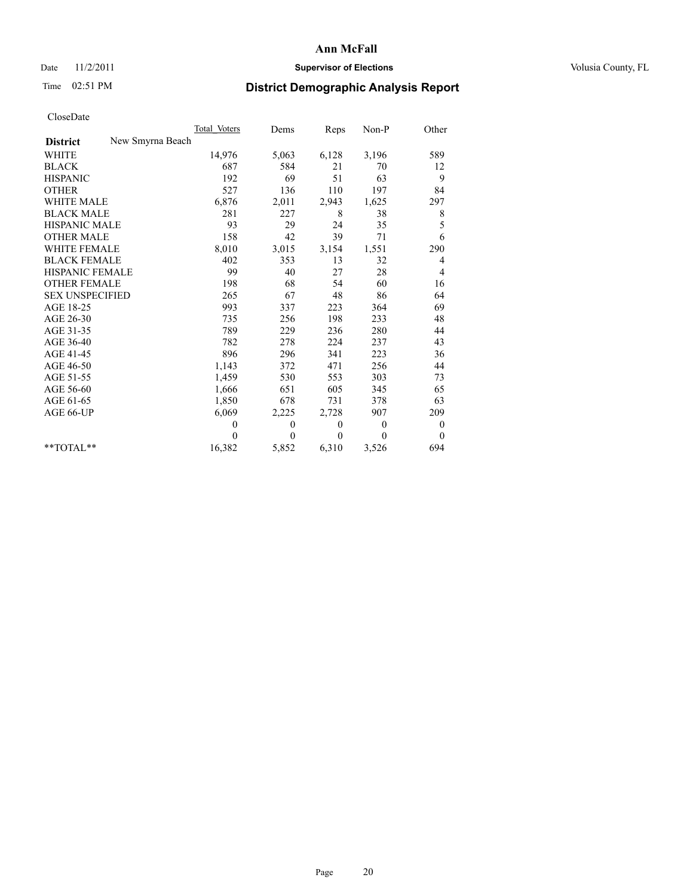## Date 11/2/2011 **Supervisor of Elections Supervisor of Elections** Volusia County, FL

## Time 02:51 PM **District Demographic Analysis Report**

|                                     | Total Voters | Dems         | Reps         | $Non-P$        | Other            |
|-------------------------------------|--------------|--------------|--------------|----------------|------------------|
| New Smyrna Beach<br><b>District</b> |              |              |              |                |                  |
| <b>WHITE</b>                        | 14,976       | 5,063        | 6,128        | 3,196          | 589              |
| <b>BLACK</b>                        | 687          | 584          | 21           | 70             | 12               |
| <b>HISPANIC</b>                     | 192          | 69           | 51           | 63             | 9                |
| <b>OTHER</b>                        | 527          | 136          | 110          | 197            | 84               |
| <b>WHITE MALE</b>                   | 6,876        | 2,011        | 2,943        | 1,625          | 297              |
| <b>BLACK MALE</b>                   | 281          | 227          | 8            | 38             | 8                |
| <b>HISPANIC MALE</b>                | 93           | 29           | 24           | 35             | 5                |
| <b>OTHER MALE</b>                   | 158          | 42           | 39           | 71             | 6                |
| <b>WHITE FEMALE</b>                 | 8,010        | 3,015        | 3,154        | 1,551          | 290              |
| <b>BLACK FEMALE</b>                 | 402          | 353          | 13           | 32             | 4                |
| HISPANIC FEMALE                     | 99           | 40           | 27           | 28             | 4                |
| <b>OTHER FEMALE</b>                 | 198          | 68           | 54           | 60             | 16               |
| <b>SEX UNSPECIFIED</b>              | 265          | 67           | 48           | 86             | 64               |
| AGE 18-25                           | 993          | 337          | 223          | 364            | 69               |
| AGE 26-30                           | 735          | 256          | 198          | 233            | 48               |
| AGE 31-35                           | 789          | 229          | 236          | 280            | 44               |
| AGE 36-40                           | 782          | 278          | 224          | 237            | 43               |
| AGE 41-45                           | 896          | 296          | 341          | 223            | 36               |
| AGE 46-50                           | 1,143        | 372          | 471          | 256            | 44               |
| AGE 51-55                           | 1,459        | 530          | 553          | 303            | 73               |
| AGE 56-60                           | 1,666        | 651          | 605          | 345            | 65               |
| AGE 61-65                           | 1,850        | 678          | 731          | 378            | 63               |
| AGE 66-UP                           | 6,069        | 2,225        | 2,728        | 907            | 209              |
|                                     | $\theta$     | $\mathbf{0}$ | $\mathbf{0}$ | $\overline{0}$ | $\boldsymbol{0}$ |
|                                     | $\theta$     | $\theta$     | $\theta$     | $\theta$       | $\theta$         |
| $*$ $TOTAI.**$                      | 16,382       | 5,852        | 6,310        | 3,526          | 694              |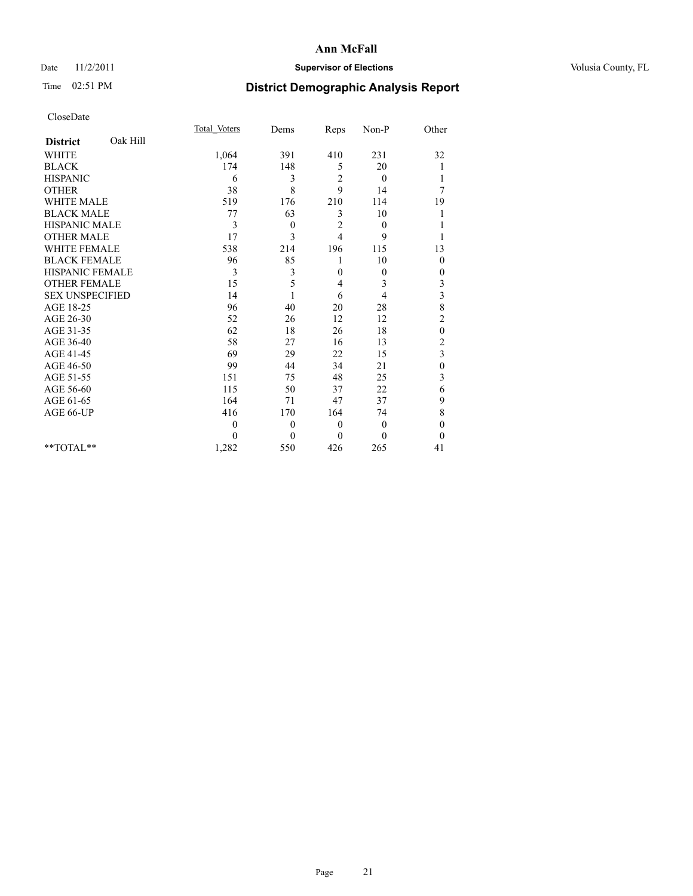## Date 11/2/2011 **Supervisor of Elections Supervisor of Elections** Volusia County, FL

## Time 02:51 PM **District Demographic Analysis Report**

|                             | Total Voters | Dems         | Reps           | Non-P        | Other            |  |
|-----------------------------|--------------|--------------|----------------|--------------|------------------|--|
| Oak Hill<br><b>District</b> |              |              |                |              |                  |  |
| <b>WHITE</b>                | 1,064        | 391          | 410            | 231          | 32               |  |
| <b>BLACK</b>                | 174          | 148          | 5              | 20           |                  |  |
| <b>HISPANIC</b>             | 6            | 3            | 2              | $\mathbf{0}$ |                  |  |
| <b>OTHER</b>                | 38           | 8            | 9              | 14           | 7                |  |
| <b>WHITE MALE</b>           | 519          | 176          | 210            | 114          | 19               |  |
| <b>BLACK MALE</b>           | 77           | 63           | 3              | 10           |                  |  |
| HISPANIC MALE               | 3            | 0            | $\overline{c}$ | $\theta$     |                  |  |
| <b>OTHER MALE</b>           | 17           | 3            | $\overline{4}$ | 9            |                  |  |
| <b>WHITE FEMALE</b>         | 538          | 214          | 196            | 115          | 13               |  |
| <b>BLACK FEMALE</b>         | 96           | 85           | 1              | 10           | $\mathbf{0}$     |  |
| HISPANIC FEMALE             | 3            | 3            | $\mathbf{0}$   | $\mathbf{0}$ | 0                |  |
| <b>OTHER FEMALE</b>         | 15           | 5            | 4              | 3            | 3                |  |
| <b>SEX UNSPECIFIED</b>      | 14           |              | 6              | 4            | 3                |  |
| AGE 18-25                   | 96           | 40           | 20             | 28           | 8                |  |
| AGE 26-30                   | 52           | 26           | 12             | 12           | $\overline{2}$   |  |
| AGE 31-35                   | 62           | 18           | 26             | 18           | $\boldsymbol{0}$ |  |
| AGE 36-40                   | 58           | 27           | 16             | 13           | $\overline{c}$   |  |
| AGE 41-45                   | 69           | 29           | 22             | 15           | 3                |  |
| AGE 46-50                   | 99           | 44           | 34             | 21           | $\boldsymbol{0}$ |  |
| AGE 51-55                   | 151          | 75           | 48             | 25           | 3                |  |
| AGE 56-60                   | 115          | 50           | 37             | 22           | 6                |  |
| AGE 61-65                   | 164          | 71           | 47             | 37           | 9                |  |
| AGE 66-UP                   | 416          | 170          | 164            | 74           | 8                |  |
|                             | $\mathbf{0}$ | $\mathbf{0}$ | $\mathbf{0}$   | $\mathbf{0}$ | $\mathbf{0}$     |  |
|                             | $\theta$     | $\mathbf{0}$ | $\theta$       | $\Omega$     | $\mathbf{0}$     |  |
| $**TOTAL**$                 | 1,282        | 550          | 426            | 265          | 41               |  |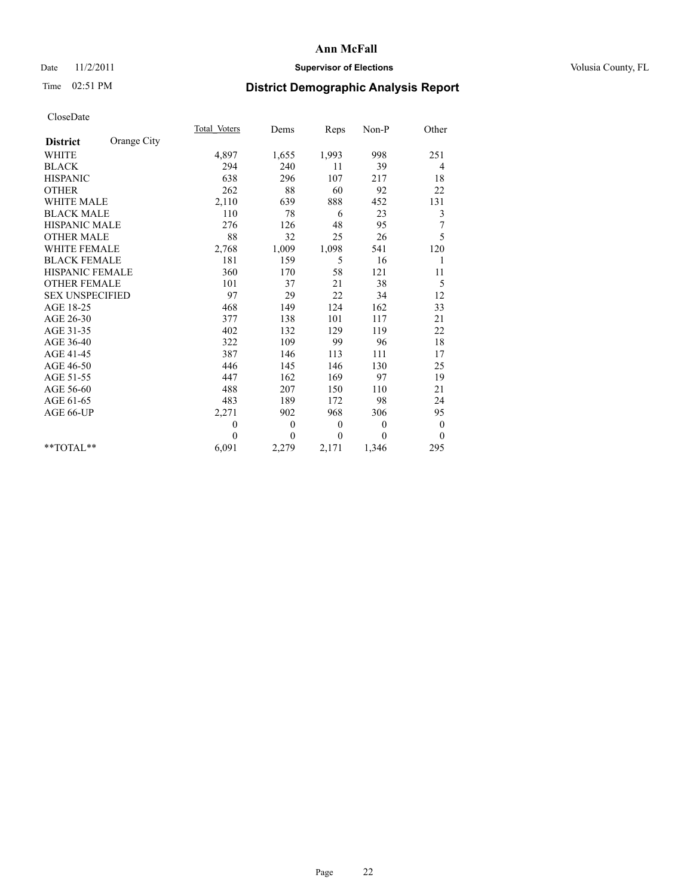## Date 11/2/2011 **Supervisor of Elections Supervisor of Elections** Volusia County, FL

# Time 02:51 PM **District Demographic Analysis Report**

|                        |             | <b>Total Voters</b> | Dems         | Reps             | $Non-P$      | Other            |
|------------------------|-------------|---------------------|--------------|------------------|--------------|------------------|
| <b>District</b>        | Orange City |                     |              |                  |              |                  |
| <b>WHITE</b>           |             | 4,897               | 1,655        | 1,993            | 998          | 251              |
| <b>BLACK</b>           |             | 294                 | 240          | 11               | 39           | 4                |
| <b>HISPANIC</b>        |             | 638                 | 296          | 107              | 217          | 18               |
| <b>OTHER</b>           |             | 262                 | 88           | 60               | 92           | 22               |
| <b>WHITE MALE</b>      |             | 2,110               | 639          | 888              | 452          | 131              |
| <b>BLACK MALE</b>      |             | 110                 | 78           | 6                | 23           | 3                |
| <b>HISPANIC MALE</b>   |             | 276                 | 126          | 48               | 95           | 7                |
| <b>OTHER MALE</b>      |             | 88                  | 32           | 25               | 26           | 5                |
| <b>WHITE FEMALE</b>    |             | 2,768               | 1,009        | 1,098            | 541          | 120              |
| <b>BLACK FEMALE</b>    |             | 181                 | 159          | 5                | 16           | 1                |
| HISPANIC FEMALE        |             | 360                 | 170          | 58               | 121          | 11               |
| <b>OTHER FEMALE</b>    |             | 101                 | 37           | 21               | 38           | 5                |
| <b>SEX UNSPECIFIED</b> |             | 97                  | 29           | 22               | 34           | 12               |
| AGE 18-25              |             | 468                 | 149          | 124              | 162          | 33               |
| AGE 26-30              |             | 377                 | 138          | 101              | 117          | 21               |
| AGE 31-35              |             | 402                 | 132          | 129              | 119          | 22               |
| AGE 36-40              |             | 322                 | 109          | 99               | 96           | 18               |
| AGE 41-45              |             | 387                 | 146          | 113              | 111          | 17               |
| AGE 46-50              |             | 446                 | 145          | 146              | 130          | 25               |
| AGE 51-55              |             | 447                 | 162          | 169              | 97           | 19               |
| AGE 56-60              |             | 488                 | 207          | 150              | 110          | 21               |
| AGE 61-65              |             | 483                 | 189          | 172              | 98           | 24               |
| AGE 66-UP              |             | 2,271               | 902          | 968              | 306          | 95               |
|                        |             | $\boldsymbol{0}$    | $\mathbf{0}$ | $\boldsymbol{0}$ | $\mathbf{0}$ | $\boldsymbol{0}$ |
|                        |             | $\theta$            | $\theta$     | $\theta$         | $\theta$     | $\theta$         |
| $*$ $TOTAI.**$         |             | 6,091               | 2,279        | 2,171            | 1,346        | 295              |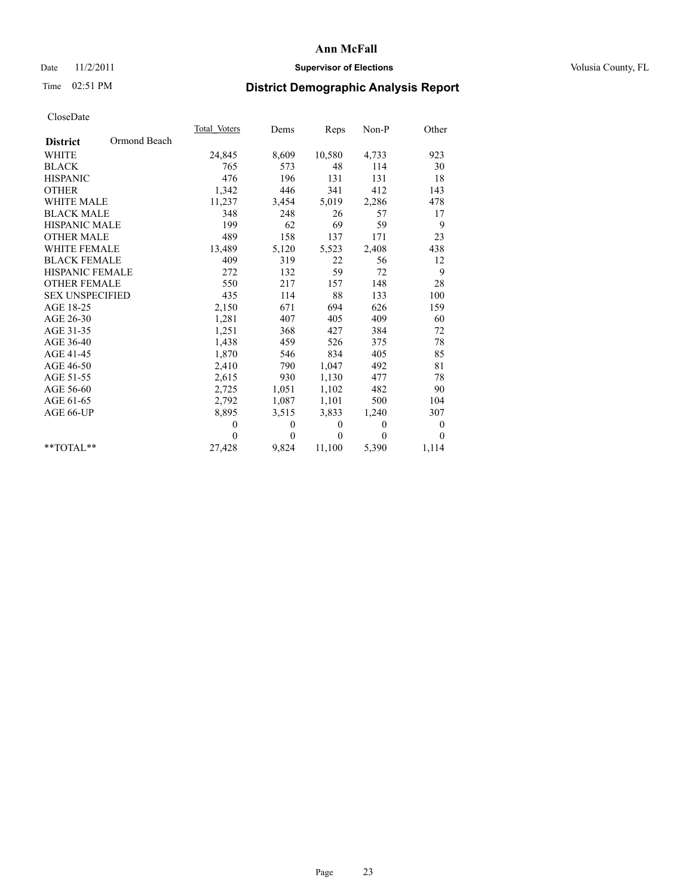## Date 11/2/2011 **Supervisor of Elections Supervisor of Elections** Volusia County, FL

## Time 02:51 PM **District Demographic Analysis Report**

|                        |              | Total Voters | Dems     | <b>Reps</b>  | Non-P    | Other            |  |
|------------------------|--------------|--------------|----------|--------------|----------|------------------|--|
| <b>District</b>        | Ormond Beach |              |          |              |          |                  |  |
| <b>WHITE</b>           |              | 24,845       | 8,609    | 10,580       | 4,733    | 923              |  |
| <b>BLACK</b>           |              | 765          | 573      | 48           | 114      | 30               |  |
| <b>HISPANIC</b>        |              | 476          | 196      | 131          | 131      | 18               |  |
| <b>OTHER</b>           |              | 1,342        | 446      | 341          | 412      | 143              |  |
| WHITE MALE             |              | 11,237       | 3,454    | 5,019        | 2,286    | 478              |  |
| <b>BLACK MALE</b>      |              | 348          | 248      | 26           | 57       | 17               |  |
| <b>HISPANIC MALE</b>   |              | 199          | 62       | 69           | 59       | 9                |  |
| <b>OTHER MALE</b>      |              | 489          | 158      | 137          | 171      | 23               |  |
| <b>WHITE FEMALE</b>    |              | 13,489       | 5,120    | 5,523        | 2,408    | 438              |  |
| <b>BLACK FEMALE</b>    |              | 409          | 319      | 22           | 56       | 12               |  |
| <b>HISPANIC FEMALE</b> |              | 272          | 132      | 59           | 72       | 9                |  |
| <b>OTHER FEMALE</b>    |              | 550          | 217      | 157          | 148      | 28               |  |
| <b>SEX UNSPECIFIED</b> |              | 435          | 114      | 88           | 133      | 100              |  |
| AGE 18-25              |              | 2,150        | 671      | 694          | 626      | 159              |  |
| AGE 26-30              |              | 1,281        | 407      | 405          | 409      | 60               |  |
| AGE 31-35              |              | 1,251        | 368      | 427          | 384      | 72               |  |
| AGE 36-40              |              | 1,438        | 459      | 526          | 375      | 78               |  |
| AGE 41-45              |              | 1,870        | 546      | 834          | 405      | 85               |  |
| AGE 46-50              |              | 2,410        | 790      | 1,047        | 492      | 81               |  |
| AGE 51-55              |              | 2,615        | 930      | 1,130        | 477      | 78               |  |
| AGE 56-60              |              | 2,725        | 1,051    | 1,102        | 482      | 90               |  |
| AGE 61-65              |              | 2,792        | 1,087    | 1,101        | 500      | 104              |  |
| AGE 66-UP              |              | 8,895        | 3,515    | 3,833        | 1,240    | 307              |  |
|                        |              | $\mathbf{0}$ | 0        | $\mathbf{0}$ | $\theta$ | $\boldsymbol{0}$ |  |
|                        |              | $\Omega$     | $\theta$ | $\theta$     | $\theta$ | $\Omega$         |  |
| $*$ $TOTAI.**$         |              | 27,428       | 9,824    | 11,100       | 5,390    | 1,114            |  |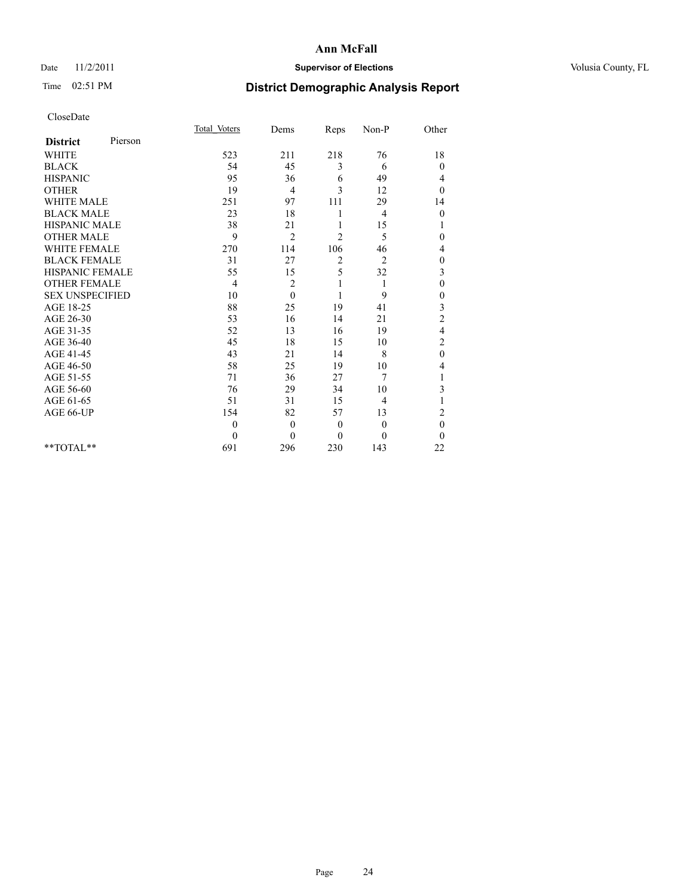## Date 11/2/2011 **Supervisor of Elections Supervisor of Elections** Volusia County, FL

## Time 02:51 PM **District Demographic Analysis Report**

|                        |         | Total Voters | Dems           | Reps           | Non-P          | Other            |  |
|------------------------|---------|--------------|----------------|----------------|----------------|------------------|--|
| <b>District</b>        | Pierson |              |                |                |                |                  |  |
| <b>WHITE</b>           |         | 523          | 211            | 218            | 76             | 18               |  |
| <b>BLACK</b>           |         | 54           | 45             | 3              | 6              | $\boldsymbol{0}$ |  |
| <b>HISPANIC</b>        |         | 95           | 36             | 6              | 49             | 4                |  |
| <b>OTHER</b>           |         | 19           | $\overline{4}$ | 3              | 12             | $\theta$         |  |
| <b>WHITE MALE</b>      |         | 251          | 97             | 111            | 29             | 14               |  |
| <b>BLACK MALE</b>      |         | 23           | 18             | 1              | $\overline{4}$ | $\boldsymbol{0}$ |  |
| <b>HISPANIC MALE</b>   |         | 38           | 21             |                | 15             | 1                |  |
| <b>OTHER MALE</b>      |         | 9            | 2              | $\overline{c}$ | 5              | 0                |  |
| WHITE FEMALE           |         | 270          | 114            | 106            | 46             | 4                |  |
| <b>BLACK FEMALE</b>    |         | 31           | 27             | 2              | $\overline{2}$ | $\boldsymbol{0}$ |  |
| HISPANIC FEMALE        |         | 55           | 15             | 5              | 32             | 3                |  |
| <b>OTHER FEMALE</b>    |         | 4            | 2              | 1              | 1              | $\overline{0}$   |  |
| <b>SEX UNSPECIFIED</b> |         | 10           | $\Omega$       |                | 9              | 0                |  |
| AGE 18-25              |         | 88           | 25             | 19             | 41             | 3                |  |
| AGE 26-30              |         | 53           | 16             | 14             | 21             | $\overline{c}$   |  |
| AGE 31-35              |         | 52           | 13             | 16             | 19             | 4                |  |
| AGE 36-40              |         | 45           | 18             | 15             | 10             | $\overline{c}$   |  |
| AGE 41-45              |         | 43           | 21             | 14             | 8              | $\boldsymbol{0}$ |  |
| AGE 46-50              |         | 58           | 25             | 19             | 10             | 4                |  |
| AGE 51-55              |         | 71           | 36             | 27             | 7              |                  |  |
| AGE 56-60              |         | 76           | 29             | 34             | 10             | 3                |  |
| AGE 61-65              |         | 51           | 31             | 15             | 4              |                  |  |
| AGE 66-UP              |         | 154          | 82             | 57             | 13             | $\overline{c}$   |  |
|                        |         | $\mathbf{0}$ | $\mathbf{0}$   | $\mathbf{0}$   | $\theta$       | $\mathbf{0}$     |  |
|                        |         | $\theta$     | $\theta$       | $\theta$       | $\theta$       | $\theta$         |  |
| $*$ $TOTAI.**$         |         | 691          | 296            | 230            | 143            | 22               |  |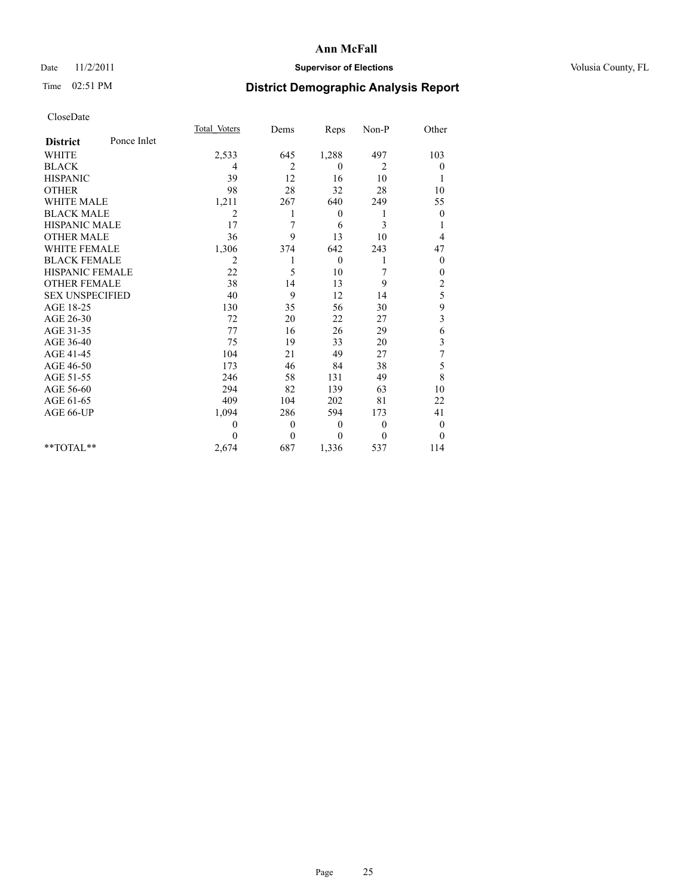## Date 11/2/2011 **Supervisor of Elections Supervisor of Elections** Volusia County, FL

## Time 02:51 PM **District Demographic Analysis Report**

|                        |             | <b>Total Voters</b> | Dems     | Reps         | Non-P    | Other            |  |
|------------------------|-------------|---------------------|----------|--------------|----------|------------------|--|
| <b>District</b>        | Ponce Inlet |                     |          |              |          |                  |  |
| <b>WHITE</b>           |             | 2,533               | 645      | 1,288        | 497      | 103              |  |
| <b>BLACK</b>           |             | 4                   | 2        | $\theta$     | 2        | $\theta$         |  |
| <b>HISPANIC</b>        |             | 39                  | 12       | 16           | 10       | 1                |  |
| <b>OTHER</b>           |             | 98                  | 28       | 32           | 28       | 10               |  |
| <b>WHITE MALE</b>      |             | 1,211               | 267      | 640          | 249      | 55               |  |
| <b>BLACK MALE</b>      |             | 2                   |          | $\mathbf{0}$ | 1        | $\mathbf{0}$     |  |
| <b>HISPANIC MALE</b>   |             | 17                  | 7        | 6            | 3        | 1                |  |
| <b>OTHER MALE</b>      |             | 36                  | 9        | 13           | 10       | 4                |  |
| <b>WHITE FEMALE</b>    |             | 1,306               | 374      | 642          | 243      | 47               |  |
| <b>BLACK FEMALE</b>    |             | $\overline{2}$      | 1        | $\theta$     |          | $\boldsymbol{0}$ |  |
| HISPANIC FEMALE        |             | 22                  | 5        | 10           | 7        | $\boldsymbol{0}$ |  |
| <b>OTHER FEMALE</b>    |             | 38                  | 14       | 13           | 9        | $\overline{c}$   |  |
| <b>SEX UNSPECIFIED</b> |             | 40                  | 9        | 12           | 14       | 5                |  |
| AGE 18-25              |             | 130                 | 35       | 56           | 30       | 9                |  |
| AGE 26-30              |             | 72                  | 20       | 22           | 27       | 3                |  |
| AGE 31-35              |             | 77                  | 16       | 26           | 29       | 6                |  |
| AGE 36-40              |             | 75                  | 19       | 33           | 20       | 3                |  |
| AGE 41-45              |             | 104                 | 21       | 49           | 27       | 7                |  |
| AGE 46-50              |             | 173                 | 46       | 84           | 38       | 5                |  |
| AGE 51-55              |             | 246                 | 58       | 131          | 49       | 8                |  |
| AGE 56-60              |             | 294                 | 82       | 139          | 63       | 10               |  |
| AGE 61-65              |             | 409                 | 104      | 202          | 81       | 22               |  |
| AGE 66-UP              |             | 1,094               | 286      | 594          | 173      | 41               |  |
|                        |             | $\Omega$            | $\theta$ | $\mathbf{0}$ | $\theta$ | $\boldsymbol{0}$ |  |
|                        |             | $\theta$            | $\theta$ | $\theta$     | $\theta$ | $\theta$         |  |
| $*$ $TOTAI.**$         |             | 2,674               | 687      | 1,336        | 537      | 114              |  |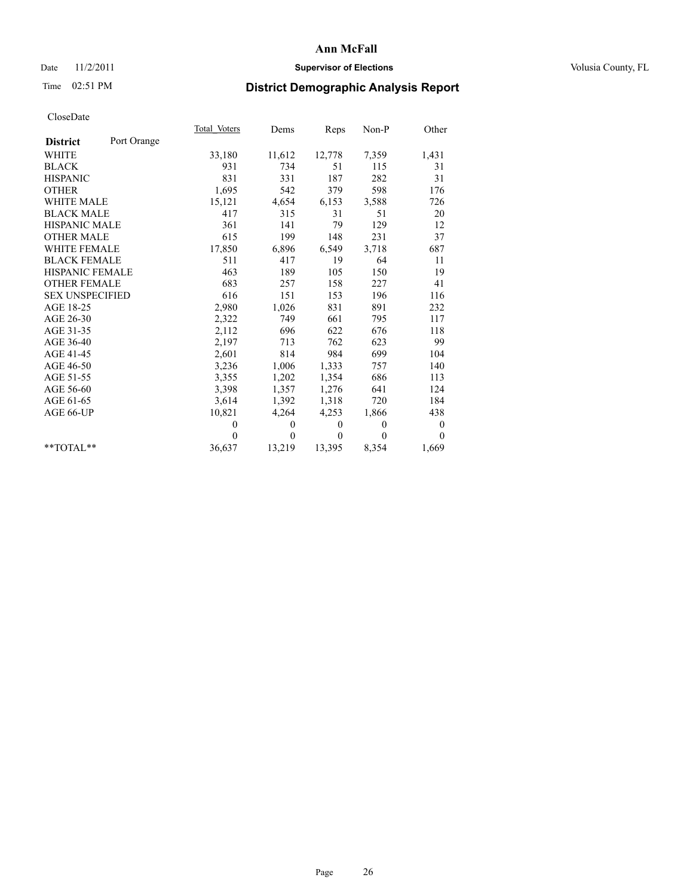## Date 11/2/2011 **Supervisor of Elections Supervisor of Elections** Volusia County, FL

# Time 02:51 PM **District Demographic Analysis Report**

|                                | Total Voters | Dems         | Reps         | $Non-P$  | Other            |
|--------------------------------|--------------|--------------|--------------|----------|------------------|
| Port Orange<br><b>District</b> |              |              |              |          |                  |
| <b>WHITE</b>                   | 33,180       | 11,612       | 12,778       | 7,359    | 1,431            |
| <b>BLACK</b>                   | 931          | 734          | 51           | 115      | 31               |
| <b>HISPANIC</b>                | 831          | 331          | 187          | 282      | 31               |
| <b>OTHER</b>                   | 1,695        | 542          | 379          | 598      | 176              |
| <b>WHITE MALE</b>              | 15,121       | 4,654        | 6,153        | 3,588    | 726              |
| <b>BLACK MALE</b>              | 417          | 315          | 31           | 51       | 20               |
| <b>HISPANIC MALE</b>           | 361          | 141          | 79           | 129      | 12               |
| <b>OTHER MALE</b>              | 615          | 199          | 148          | 231      | 37               |
| WHITE FEMALE                   | 17,850       | 6,896        | 6,549        | 3,718    | 687              |
| <b>BLACK FEMALE</b>            | 511          | 417          | 19           | 64       | 11               |
| HISPANIC FEMALE                | 463          | 189          | 105          | 150      | 19               |
| <b>OTHER FEMALE</b>            | 683          | 257          | 158          | 227      | 41               |
| <b>SEX UNSPECIFIED</b>         | 616          | 151          | 153          | 196      | 116              |
| AGE 18-25                      | 2,980        | 1,026        | 831          | 891      | 232              |
| AGE 26-30                      | 2,322        | 749          | 661          | 795      | 117              |
| AGE 31-35                      | 2,112        | 696          | 622          | 676      | 118              |
| AGE 36-40                      | 2,197        | 713          | 762          | 623      | 99               |
| AGE 41-45                      | 2,601        | 814          | 984          | 699      | 104              |
| AGE 46-50                      | 3,236        | 1,006        | 1,333        | 757      | 140              |
| AGE 51-55                      | 3,355        | 1,202        | 1,354        | 686      | 113              |
| AGE 56-60                      | 3,398        | 1,357        | 1,276        | 641      | 124              |
| AGE 61-65                      | 3,614        | 1,392        | 1,318        | 720      | 184              |
| AGE 66-UP                      | 10,821       | 4,264        | 4,253        | 1,866    | 438              |
|                                | $\mathbf{0}$ | $\theta$     | $\mathbf{0}$ | $\theta$ | $\boldsymbol{0}$ |
|                                | $\theta$     | $\mathbf{0}$ | $\mathbf{0}$ | $\theta$ | $\theta$         |
| $*$ $TOTAI.**$                 | 36,637       | 13,219       | 13,395       | 8,354    | 1,669            |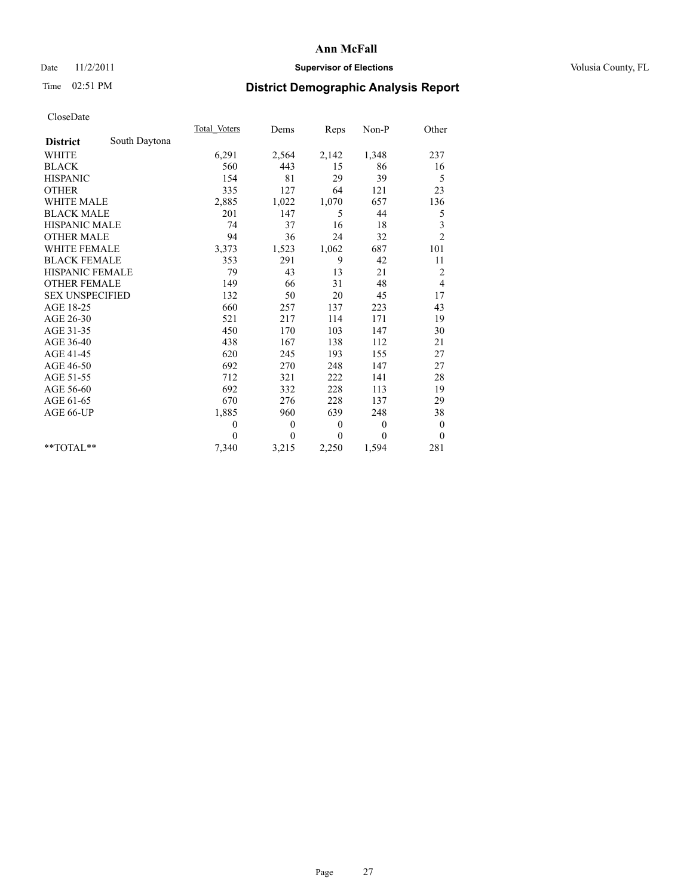## Date 11/2/2011 **Supervisor of Elections Supervisor of Elections** Volusia County, FL

## Time 02:51 PM **District Demographic Analysis Report**

|                        |               | <b>Total Voters</b> | Dems         | Reps         | $Non-P$  | Other            |
|------------------------|---------------|---------------------|--------------|--------------|----------|------------------|
| <b>District</b>        | South Daytona |                     |              |              |          |                  |
| <b>WHITE</b>           |               | 6,291               | 2,564        | 2,142        | 1,348    | 237              |
| <b>BLACK</b>           |               | 560                 | 443          | 15           | 86       | 16               |
| <b>HISPANIC</b>        |               | 154                 | 81           | 29           | 39       | 5                |
| <b>OTHER</b>           |               | 335                 | 127          | 64           | 121      | 23               |
| <b>WHITE MALE</b>      |               | 2,885               | 1,022        | 1,070        | 657      | 136              |
| <b>BLACK MALE</b>      |               | 201                 | 147          | 5            | 44       | 5                |
| <b>HISPANIC MALE</b>   |               | 74                  | 37           | 16           | 18       | 3                |
| <b>OTHER MALE</b>      |               | 94                  | 36           | 24           | 32       | $\overline{c}$   |
| WHITE FEMALE           |               | 3,373               | 1,523        | 1,062        | 687      | 101              |
| <b>BLACK FEMALE</b>    |               | 353                 | 291          | 9            | 42       | 11               |
| HISPANIC FEMALE        |               | 79                  | 43           | 13           | 21       | $\overline{c}$   |
| <b>OTHER FEMALE</b>    |               | 149                 | 66           | 31           | 48       | $\overline{4}$   |
| <b>SEX UNSPECIFIED</b> |               | 132                 | 50           | 20           | 45       | 17               |
| AGE 18-25              |               | 660                 | 257          | 137          | 223      | 43               |
| AGE 26-30              |               | 521                 | 217          | 114          | 171      | 19               |
| AGE 31-35              |               | 450                 | 170          | 103          | 147      | 30               |
| AGE 36-40              |               | 438                 | 167          | 138          | 112      | 21               |
| AGE 41-45              |               | 620                 | 245          | 193          | 155      | 27               |
| AGE 46-50              |               | 692                 | 270          | 248          | 147      | 27               |
| AGE 51-55              |               | 712                 | 321          | 222          | 141      | 28               |
| AGE 56-60              |               | 692                 | 332          | 228          | 113      | 19               |
| AGE 61-65              |               | 670                 | 276          | 228          | 137      | 29               |
| AGE 66-UP              |               | 1,885               | 960          | 639          | 248      | 38               |
|                        |               | $\mathbf{0}$        | $\theta$     | $\mathbf{0}$ | $\theta$ | $\boldsymbol{0}$ |
|                        |               | $\theta$            | $\mathbf{0}$ | $\mathbf{0}$ | $\theta$ | $\theta$         |
| $*$ $TOTAI.**$         |               | 7,340               | 3,215        | 2,250        | 1,594    | 281              |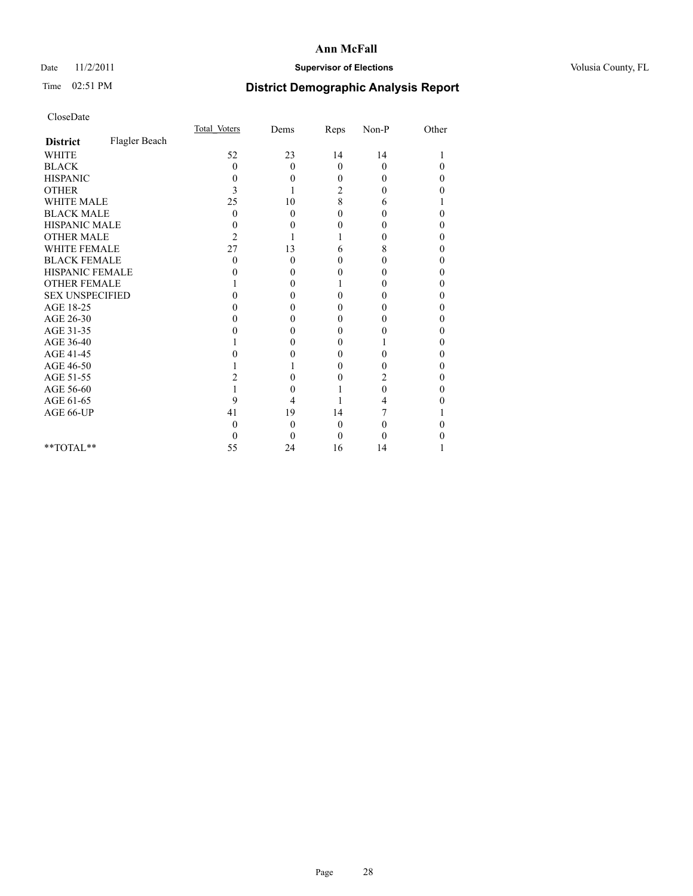## Date 11/2/2011 **Supervisor of Elections Supervisor of Elections** Volusia County, FL

## Time 02:51 PM **District Demographic Analysis Report**

|                        |               | Total Voters | Dems     | Reps     | $Non-P$  | Other |  |
|------------------------|---------------|--------------|----------|----------|----------|-------|--|
| <b>District</b>        | Flagler Beach |              |          |          |          |       |  |
| <b>WHITE</b>           |               | 52           | 23       | 14       | 14       |       |  |
| <b>BLACK</b>           |               | 0            | $\theta$ | $\theta$ | $\theta$ | 0     |  |
| <b>HISPANIC</b>        |               | 0            | 0        | $\Omega$ | $\Omega$ | 0     |  |
| <b>OTHER</b>           |               | 3            |          | 2        | 0        | 0     |  |
| <b>WHITE MALE</b>      |               | 25           | 10       | 8        | 6        |       |  |
| <b>BLACK MALE</b>      |               | $\theta$     | $\theta$ | 0        | 0        | 0     |  |
| HISPANIC MALE          |               | 0            | 0        | 0        | 0        | 0     |  |
| <b>OTHER MALE</b>      |               | 2            |          |          | 0        | 0     |  |
| WHITE FEMALE           |               | 27           | 13       | 6        | 8        | 0     |  |
| <b>BLACK FEMALE</b>    |               | 0            | 0        | 0        | 0        | 0     |  |
| HISPANIC FEMALE        |               |              | 0        | 0        | 0        | 0     |  |
| <b>OTHER FEMALE</b>    |               |              | 0        |          | 0        | 0     |  |
| <b>SEX UNSPECIFIED</b> |               |              | 0        | 0        | 0        | 0     |  |
| AGE 18-25              |               |              | 0        | 0        | 0        | 0     |  |
| AGE 26-30              |               |              | 0        | 0        | 0        | 0     |  |
| AGE 31-35              |               |              | 0        | 0        | 0        | 0     |  |
| AGE 36-40              |               |              | 0        | 0        |          | 0     |  |
| AGE 41-45              |               |              |          | 0        | 0        | 0     |  |
| AGE 46-50              |               |              |          | 0        | 0        | 0     |  |
| AGE 51-55              |               | 2            | 0        | 0        | 2        | 0     |  |
| AGE 56-60              |               |              | 0        |          | 0        | 0     |  |
| AGE 61-65              |               | 9            | 4        |          | 4        |       |  |
| AGE 66-UP              |               | 41           | 19       | 14       |          |       |  |
|                        |               | 0            | $\theta$ | $\theta$ | 0        |       |  |
|                        |               | $_{0}$       | 0        | $\Omega$ | 0        |       |  |
| $*$ $TOTAI.**$         |               | 55           | 24       | 16       | 14       |       |  |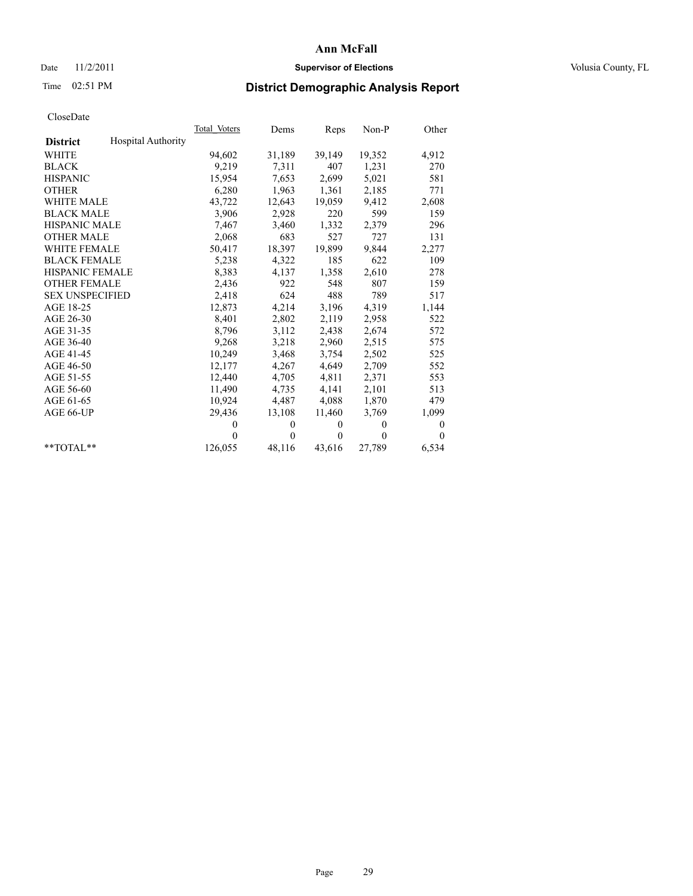## Date 11/2/2011 **Supervisor of Elections Supervisor of Elections** Volusia County, FL

# Time 02:51 PM **District Demographic Analysis Report**

|                        |                           | Total Voters | Dems         | Reps         | $Non-P$  | Other        |
|------------------------|---------------------------|--------------|--------------|--------------|----------|--------------|
| <b>District</b>        | <b>Hospital Authority</b> |              |              |              |          |              |
| WHITE                  |                           | 94,602       | 31,189       | 39,149       | 19,352   | 4,912        |
| <b>BLACK</b>           |                           | 9,219        | 7,311        | 407          | 1,231    | 270          |
| <b>HISPANIC</b>        |                           | 15,954       | 7,653        | 2,699        | 5,021    | 581          |
| <b>OTHER</b>           |                           | 6,280        | 1,963        | 1,361        | 2,185    | 771          |
| <b>WHITE MALE</b>      |                           | 43,722       | 12,643       | 19,059       | 9,412    | 2,608        |
| <b>BLACK MALE</b>      |                           | 3,906        | 2,928        | 220          | 599      | 159          |
| <b>HISPANIC MALE</b>   |                           | 7,467        | 3,460        | 1,332        | 2,379    | 296          |
| <b>OTHER MALE</b>      |                           | 2,068        | 683          | 527          | 727      | 131          |
| <b>WHITE FEMALE</b>    |                           | 50,417       | 18,397       | 19,899       | 9,844    | 2,277        |
| <b>BLACK FEMALE</b>    |                           | 5,238        | 4,322        | 185          | 622      | 109          |
| HISPANIC FEMALE        |                           | 8,383        | 4,137        | 1,358        | 2,610    | 278          |
| <b>OTHER FEMALE</b>    |                           | 2,436        | 922          | 548          | 807      | 159          |
| <b>SEX UNSPECIFIED</b> |                           | 2,418        | 624          | 488          | 789      | 517          |
| AGE 18-25              |                           | 12,873       | 4,214        | 3,196        | 4,319    | 1,144        |
| AGE 26-30              |                           | 8,401        | 2,802        | 2,119        | 2,958    | 522          |
| AGE 31-35              |                           | 8,796        | 3,112        | 2,438        | 2,674    | 572          |
| AGE 36-40              |                           | 9,268        | 3,218        | 2,960        | 2,515    | 575          |
| AGE 41-45              |                           | 10,249       | 3,468        | 3,754        | 2,502    | 525          |
| AGE 46-50              |                           | 12,177       | 4,267        | 4,649        | 2,709    | 552          |
| AGE 51-55              |                           | 12.440       | 4,705        | 4,811        | 2,371    | 553          |
| AGE 56-60              |                           | 11,490       | 4,735        | 4,141        | 2,101    | 513          |
| AGE 61-65              |                           | 10,924       | 4,487        | 4,088        | 1,870    | 479          |
| AGE 66-UP              |                           | 29,436       | 13,108       | 11,460       | 3,769    | 1,099        |
|                        |                           | $\mathbf{0}$ | $\mathbf{0}$ | $\mathbf{0}$ | $\theta$ | 0            |
|                        |                           | $\theta$     | $\theta$     | $\theta$     | $\theta$ | $\mathbf{0}$ |
| $*$ TOTAL $*$          |                           | 126,055      | 48,116       | 43,616       | 27,789   | 6,534        |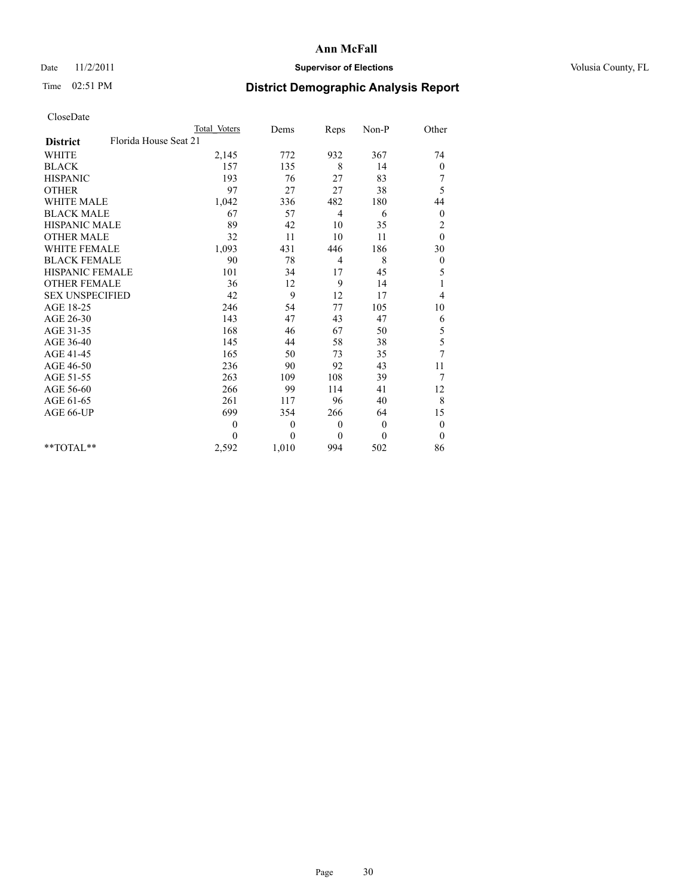## Date 11/2/2011 **Supervisor of Elections Supervisor of Elections** Volusia County, FL

# Time 02:51 PM **District Demographic Analysis Report**

|                                          | <b>Total Voters</b> | Dems     | Reps         | Non-P        | Other            |
|------------------------------------------|---------------------|----------|--------------|--------------|------------------|
| Florida House Seat 21<br><b>District</b> |                     |          |              |              |                  |
| <b>WHITE</b>                             | 2,145               | 772      | 932          | 367          | 74               |
| <b>BLACK</b>                             | 157                 | 135      | 8            | 14           | $\boldsymbol{0}$ |
| <b>HISPANIC</b>                          | 193                 | 76       | 27           | 83           | 7                |
| <b>OTHER</b>                             | 97                  | 27       | 27           | 38           | 5                |
| <b>WHITE MALE</b>                        | 1,042               | 336      | 482          | 180          | 44               |
| <b>BLACK MALE</b>                        | 67                  | 57       | 4            | 6            | $\mathbf{0}$     |
| HISPANIC MALE                            | 89                  | 42       | 10           | 35           | $\overline{c}$   |
| <b>OTHER MALE</b>                        | 32                  | 11       | 10           | 11           | $\theta$         |
| WHITE FEMALE                             | 1,093               | 431      | 446          | 186          | 30               |
| <b>BLACK FEMALE</b>                      | 90                  | 78       | 4            | 8            | $\boldsymbol{0}$ |
| HISPANIC FEMALE                          | 101                 | 34       | 17           | 45           | 5                |
| <b>OTHER FEMALE</b>                      | 36                  | 12       | 9            | 14           | 1                |
| <b>SEX UNSPECIFIED</b>                   | 42                  | 9        | 12           | 17           | 4                |
| AGE 18-25                                | 246                 | 54       | 77           | 105          | 10               |
| AGE 26-30                                | 143                 | 47       | 43           | 47           | 6                |
| AGE 31-35                                | 168                 | 46       | 67           | 50           | 5                |
| AGE 36-40                                | 145                 | 44       | 58           | 38           | 5                |
| AGE 41-45                                | 165                 | 50       | 73           | 35           | 7                |
| AGE 46-50                                | 236                 | 90       | 92           | 43           | 11               |
| AGE 51-55                                | 263                 | 109      | 108          | 39           | 7                |
| AGE 56-60                                | 266                 | 99       | 114          | 41           | 12               |
| AGE 61-65                                | 261                 | 117      | 96           | 40           | 8                |
| AGE 66-UP                                | 699                 | 354      | 266          | 64           | 15               |
|                                          | $\overline{0}$      | $\theta$ | $\mathbf{0}$ | $\mathbf{0}$ | $\boldsymbol{0}$ |
|                                          | $\Omega$            | $\theta$ | $\mathbf{0}$ | $\theta$     | $\theta$         |
| **TOTAL**                                | 2,592               | 1,010    | 994          | 502          | 86               |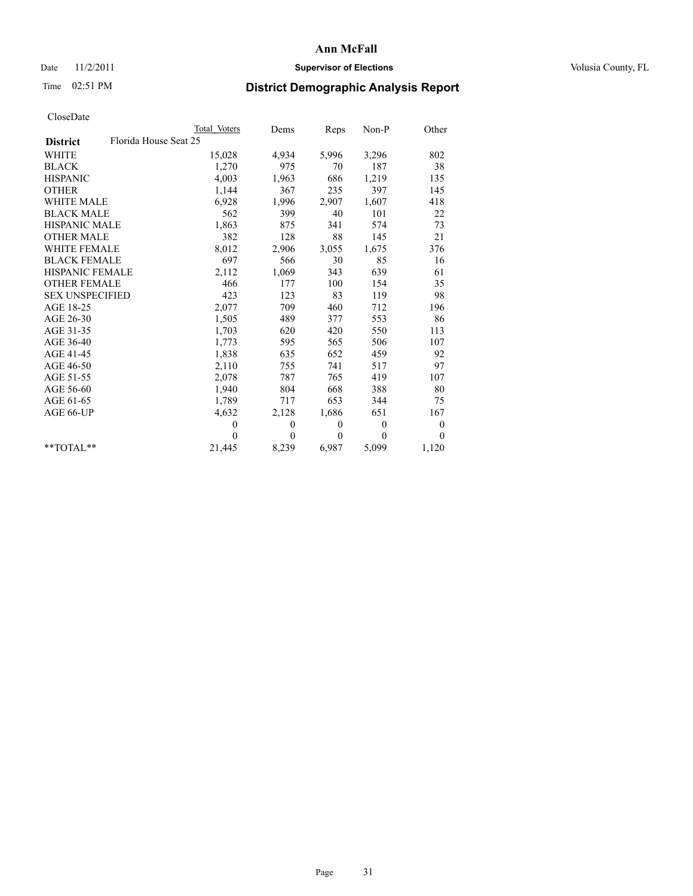## Date 11/2/2011 **Supervisor of Elections Supervisor of Elections** Volusia County, FL

# Time 02:51 PM **District Demographic Analysis Report**

|                                          | Total Voters | Dems         | Reps         | Non-P    | Other            |
|------------------------------------------|--------------|--------------|--------------|----------|------------------|
| Florida House Seat 25<br><b>District</b> |              |              |              |          |                  |
| <b>WHITE</b>                             | 15,028       | 4,934        | 5,996        | 3,296    | 802              |
| <b>BLACK</b>                             | 1,270        | 975          | 70           | 187      | 38               |
| <b>HISPANIC</b>                          | 4,003        | 1,963        | 686          | 1,219    | 135              |
| <b>OTHER</b>                             | 1,144        | 367          | 235          | 397      | 145              |
| <b>WHITE MALE</b>                        | 6,928        | 1,996        | 2,907        | 1,607    | 418              |
| <b>BLACK MALE</b>                        | 562          | 399          | 40           | 101      | 22               |
| <b>HISPANIC MALE</b>                     | 1,863        | 875          | 341          | 574      | 73               |
| <b>OTHER MALE</b>                        | 382          | 128          | 88           | 145      | 21               |
| <b>WHITE FEMALE</b>                      | 8,012        | 2,906        | 3,055        | 1,675    | 376              |
| <b>BLACK FEMALE</b>                      | 697          | 566          | 30           | 85       | 16               |
| HISPANIC FEMALE                          | 2,112        | 1,069        | 343          | 639      | 61               |
| <b>OTHER FEMALE</b>                      | 466          | 177          | 100          | 154      | 35               |
| <b>SEX UNSPECIFIED</b>                   | 423          | 123          | 83           | 119      | 98               |
| AGE 18-25                                | 2,077        | 709          | 460          | 712      | 196              |
| AGE 26-30                                | 1,505        | 489          | 377          | 553      | 86               |
| AGE 31-35                                | 1,703        | 620          | 420          | 550      | 113              |
| AGE 36-40                                | 1,773        | 595          | 565          | 506      | 107              |
| AGE 41-45                                | 1,838        | 635          | 652          | 459      | 92               |
| AGE 46-50                                | 2,110        | 755          | 741          | 517      | 97               |
| AGE 51-55                                | 2,078        | 787          | 765          | 419      | 107              |
| AGE 56-60                                | 1,940        | 804          | 668          | 388      | 80               |
| AGE 61-65                                | 1,789        | 717          | 653          | 344      | 75               |
| AGE 66-UP                                | 4,632        | 2,128        | 1,686        | 651      | 167              |
|                                          | $\mathbf{0}$ | $\mathbf{0}$ | $\mathbf{0}$ | $\theta$ | $\boldsymbol{0}$ |
|                                          | $\theta$     | $\theta$     | $\theta$     | $\theta$ | $\theta$         |
| $*$ $TOTAI.**$                           | 21,445       | 8,239        | 6,987        | 5,099    | 1,120            |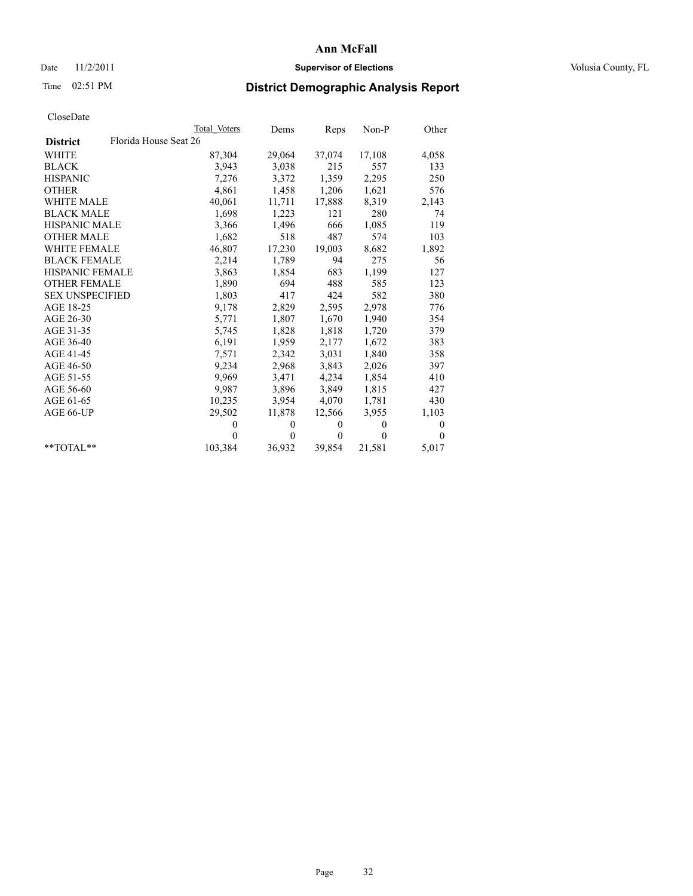## Date 11/2/2011 **Supervisor of Elections Supervisor of Elections** Volusia County, FL

# Time 02:51 PM **District Demographic Analysis Report**

|                                          | Total Voters | Dems         | Reps         | Non-P        | Other        |
|------------------------------------------|--------------|--------------|--------------|--------------|--------------|
| Florida House Seat 26<br><b>District</b> |              |              |              |              |              |
| <b>WHITE</b>                             | 87,304       | 29,064       | 37,074       | 17,108       | 4,058        |
| <b>BLACK</b>                             | 3,943        | 3,038        | 215          | 557          | 133          |
| <b>HISPANIC</b>                          | 7,276        | 3,372        | 1,359        | 2,295        | 250          |
| <b>OTHER</b>                             | 4,861        | 1,458        | 1,206        | 1,621        | 576          |
| <b>WHITE MALE</b>                        | 40,061       | 11,711       | 17,888       | 8,319        | 2,143        |
| <b>BLACK MALE</b>                        | 1,698        | 1,223        | 121          | 280          | 74           |
| <b>HISPANIC MALE</b>                     | 3,366        | 1,496        | 666          | 1,085        | 119          |
| <b>OTHER MALE</b>                        | 1,682        | 518          | 487          | 574          | 103          |
| <b>WHITE FEMALE</b>                      | 46,807       | 17,230       | 19,003       | 8,682        | 1,892        |
| <b>BLACK FEMALE</b>                      | 2,214        | 1,789        | 94           | 275          | 56           |
| <b>HISPANIC FEMALE</b>                   | 3,863        | 1,854        | 683          | 1,199        | 127          |
| <b>OTHER FEMALE</b>                      | 1,890        | 694          | 488          | 585          | 123          |
| <b>SEX UNSPECIFIED</b>                   | 1,803        | 417          | 424          | 582          | 380          |
| AGE 18-25                                | 9,178        | 2,829        | 2,595        | 2,978        | 776          |
| AGE 26-30                                | 5,771        | 1,807        | 1,670        | 1,940        | 354          |
| AGE 31-35                                | 5,745        | 1,828        | 1,818        | 1,720        | 379          |
| AGE 36-40                                | 6,191        | 1,959        | 2,177        | 1,672        | 383          |
| AGE 41-45                                | 7,571        | 2,342        | 3,031        | 1,840        | 358          |
| AGE 46-50                                | 9,234        | 2,968        | 3,843        | 2,026        | 397          |
| AGE 51-55                                | 9.969        | 3,471        | 4,234        | 1,854        | 410          |
| AGE 56-60                                | 9,987        | 3,896        | 3,849        | 1,815        | 427          |
| AGE 61-65                                | 10,235       | 3,954        | 4,070        | 1,781        | 430          |
| AGE 66-UP                                | 29,502       | 11,878       | 12,566       | 3.955        | 1,103        |
|                                          | $\theta$     | $\mathbf{0}$ | $\mathbf{0}$ | $\mathbf{0}$ | $\mathbf{0}$ |
|                                          | $\Omega$     | $\Omega$     | $\mathbf{0}$ | $\theta$     | $\Omega$     |
| $*$ $TOTAI.**$                           | 103,384      | 36,932       | 39,854       | 21,581       | 5,017        |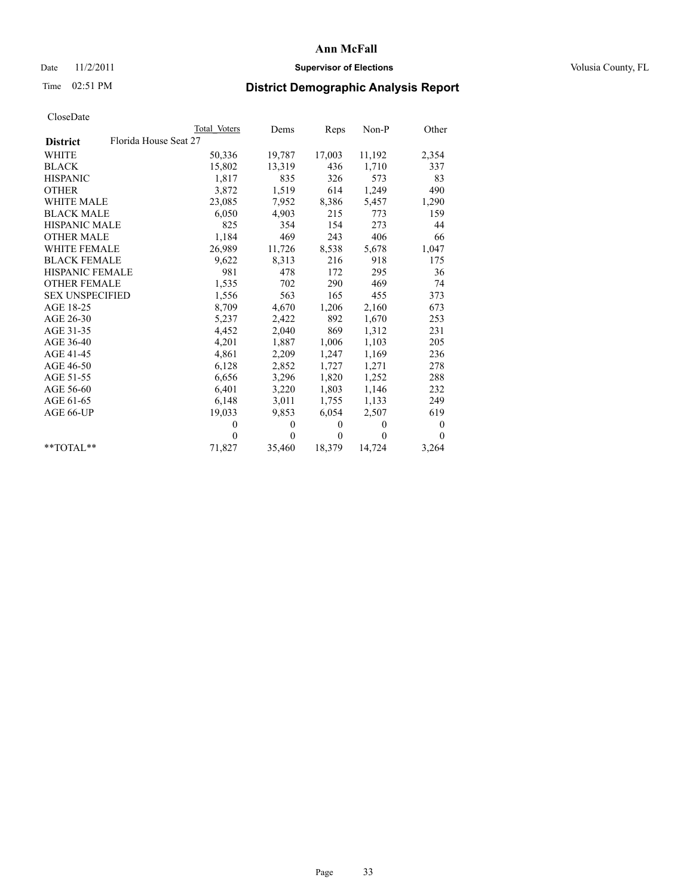## Date 11/2/2011 **Supervisor of Elections Supervisor of Elections** Volusia County, FL

# Time 02:51 PM **District Demographic Analysis Report**

|                                          | Total Voters | Dems     | Reps         | $Non-P$  | Other            |  |
|------------------------------------------|--------------|----------|--------------|----------|------------------|--|
| Florida House Seat 27<br><b>District</b> |              |          |              |          |                  |  |
| <b>WHITE</b>                             | 50,336       | 19,787   | 17,003       | 11,192   | 2,354            |  |
| <b>BLACK</b>                             | 15,802       | 13,319   | 436          | 1,710    | 337              |  |
| <b>HISPANIC</b>                          | 1,817        | 835      | 326          | 573      | 83               |  |
| <b>OTHER</b>                             | 3,872        | 1,519    | 614          | 1,249    | 490              |  |
| <b>WHITE MALE</b>                        | 23,085       | 7,952    | 8,386        | 5,457    | 1,290            |  |
| <b>BLACK MALE</b>                        | 6,050        | 4,903    | 215          | 773      | 159              |  |
| <b>HISPANIC MALE</b>                     | 825          | 354      | 154          | 273      | 44               |  |
| <b>OTHER MALE</b>                        | 1,184        | 469      | 243          | 406      | 66               |  |
| <b>WHITE FEMALE</b>                      | 26,989       | 11,726   | 8,538        | 5,678    | 1,047            |  |
| <b>BLACK FEMALE</b>                      | 9,622        | 8,313    | 216          | 918      | 175              |  |
| HISPANIC FEMALE                          | 981          | 478      | 172          | 295      | 36               |  |
| <b>OTHER FEMALE</b>                      | 1,535        | 702      | 290          | 469      | 74               |  |
| <b>SEX UNSPECIFIED</b>                   | 1,556        | 563      | 165          | 455      | 373              |  |
| AGE 18-25                                | 8,709        | 4,670    | 1,206        | 2,160    | 673              |  |
| AGE 26-30                                | 5,237        | 2,422    | 892          | 1,670    | 253              |  |
| AGE 31-35                                | 4,452        | 2,040    | 869          | 1,312    | 231              |  |
| AGE 36-40                                | 4,201        | 1,887    | 1,006        | 1,103    | 205              |  |
| AGE 41-45                                | 4,861        | 2,209    | 1,247        | 1,169    | 236              |  |
| AGE 46-50                                | 6,128        | 2,852    | 1,727        | 1,271    | 278              |  |
| AGE 51-55                                | 6,656        | 3,296    | 1,820        | 1,252    | 288              |  |
| AGE 56-60                                | 6,401        | 3,220    | 1,803        | 1,146    | 232              |  |
| AGE 61-65                                | 6,148        | 3,011    | 1,755        | 1,133    | 249              |  |
| AGE 66-UP                                | 19,033       | 9,853    | 6,054        | 2,507    | 619              |  |
|                                          | $\theta$     | $\theta$ | $\mathbf{0}$ | $\theta$ | $\boldsymbol{0}$ |  |
|                                          | $\Omega$     | $\theta$ | $\mathbf{0}$ | $\theta$ | $\theta$         |  |
| $*$ $TOTAI.**$                           | 71,827       | 35,460   | 18,379       | 14,724   | 3,264            |  |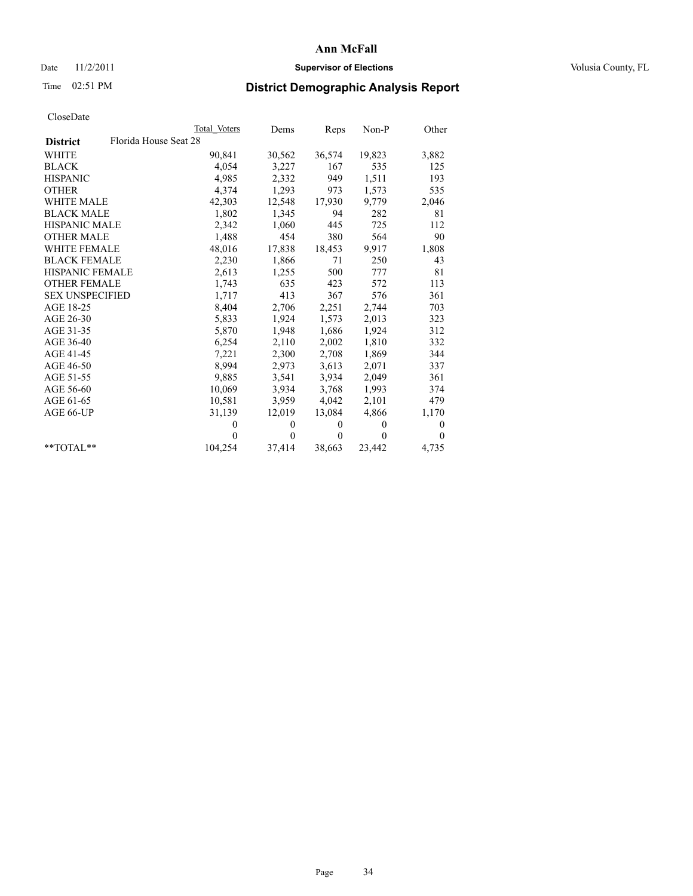## Date 11/2/2011 **Supervisor of Elections Supervisor of Elections** Volusia County, FL

# Time 02:51 PM **District Demographic Analysis Report**

|                                          | Total Voters | Dems         | Reps         | $Non-P$      | Other            |
|------------------------------------------|--------------|--------------|--------------|--------------|------------------|
| Florida House Seat 28<br><b>District</b> |              |              |              |              |                  |
| <b>WHITE</b>                             | 90,841       | 30,562       | 36,574       | 19,823       | 3,882            |
| <b>BLACK</b>                             | 4,054        | 3,227        | 167          | 535          | 125              |
| <b>HISPANIC</b>                          | 4,985        | 2,332        | 949          | 1,511        | 193              |
| <b>OTHER</b>                             | 4,374        | 1,293        | 973          | 1,573        | 535              |
| <b>WHITE MALE</b>                        | 42,303       | 12,548       | 17,930       | 9,779        | 2,046            |
| <b>BLACK MALE</b>                        | 1,802        | 1,345        | 94           | 282          | 81               |
| <b>HISPANIC MALE</b>                     | 2,342        | 1,060        | 445          | 725          | 112              |
| <b>OTHER MALE</b>                        | 1,488        | 454          | 380          | 564          | 90               |
| <b>WHITE FEMALE</b>                      | 48,016       | 17,838       | 18,453       | 9,917        | 1,808            |
| <b>BLACK FEMALE</b>                      | 2,230        | 1,866        | 71           | 250          | 43               |
| HISPANIC FEMALE                          | 2,613        | 1,255        | 500          | 777          | 81               |
| <b>OTHER FEMALE</b>                      | 1,743        | 635          | 423          | 572          | 113              |
| <b>SEX UNSPECIFIED</b>                   | 1,717        | 413          | 367          | 576          | 361              |
| AGE 18-25                                | 8,404        | 2,706        | 2,251        | 2,744        | 703              |
| AGE 26-30                                | 5,833        | 1,924        | 1,573        | 2,013        | 323              |
| AGE 31-35                                | 5,870        | 1,948        | 1,686        | 1,924        | 312              |
| AGE 36-40                                | 6,254        | 2,110        | 2,002        | 1,810        | 332              |
| AGE 41-45                                | 7,221        | 2,300        | 2,708        | 1,869        | 344              |
| AGE 46-50                                | 8,994        | 2,973        | 3,613        | 2,071        | 337              |
| AGE 51-55                                | 9,885        | 3,541        | 3,934        | 2,049        | 361              |
| AGE 56-60                                | 10,069       | 3,934        | 3,768        | 1,993        | 374              |
| AGE 61-65                                | 10,581       | 3,959        | 4,042        | 2,101        | 479              |
| AGE 66-UP                                | 31,139       | 12,019       | 13,084       | 4,866        | 1,170            |
|                                          | $\theta$     | $\mathbf{0}$ | $\mathbf{0}$ | $\mathbf{0}$ | $\boldsymbol{0}$ |
|                                          | $\theta$     | $\theta$     | $\theta$     | $\theta$     | $\theta$         |
| $*$ $TOTAI.**$                           | 104,254      | 37,414       | 38,663       | 23,442       | 4,735            |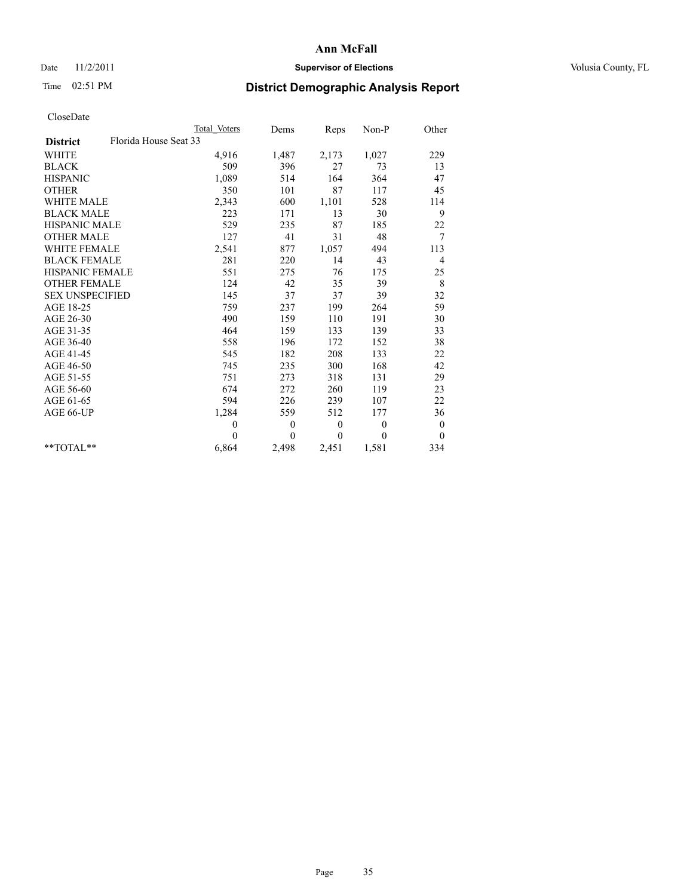## Date 11/2/2011 **Supervisor of Elections Supervisor of Elections** Volusia County, FL

# Time 02:51 PM **District Demographic Analysis Report**

|                                          | Total Voters | Dems         | <b>Reps</b>      | Non-P        | Other          |
|------------------------------------------|--------------|--------------|------------------|--------------|----------------|
| Florida House Seat 33<br><b>District</b> |              |              |                  |              |                |
| <b>WHITE</b>                             | 4,916        | 1,487        | 2,173            | 1,027        | 229            |
| <b>BLACK</b>                             | 509          | 396          | 27               | 73           | 13             |
| <b>HISPANIC</b>                          | 1,089        | 514          | 164              | 364          | 47             |
| <b>OTHER</b>                             | 350          | 101          | 87               | 117          | 45             |
| <b>WHITE MALE</b>                        | 2,343        | 600          | 1,101            | 528          | 114            |
| <b>BLACK MALE</b>                        | 223          | 171          | 13               | 30           | 9              |
| <b>HISPANIC MALE</b>                     | 529          | 235          | 87               | 185          | $22\,$         |
| <b>OTHER MALE</b>                        | 127          | 41           | 31               | 48           | $\tau$         |
| <b>WHITE FEMALE</b>                      | 2,541        | 877          | 1,057            | 494          | 113            |
| <b>BLACK FEMALE</b>                      | 281          | 220          | 14               | 43           | $\overline{4}$ |
| HISPANIC FEMALE                          | 551          | 275          | 76               | 175          | 25             |
| <b>OTHER FEMALE</b>                      | 124          | 42           | 35               | 39           | 8              |
| <b>SEX UNSPECIFIED</b>                   | 145          | 37           | 37               | 39           | 32             |
| AGE 18-25                                | 759          | 237          | 199              | 264          | 59             |
| AGE 26-30                                | 490          | 159          | 110              | 191          | 30             |
| AGE 31-35                                | 464          | 159          | 133              | 139          | 33             |
| AGE 36-40                                | 558          | 196          | 172              | 152          | 38             |
| AGE 41-45                                | 545          | 182          | 208              | 133          | 22             |
| AGE 46-50                                | 745          | 235          | 300              | 168          | 42             |
| AGE 51-55                                | 751          | 273          | 318              | 131          | 29             |
| AGE 56-60                                | 674          | 272          | 260              | 119          | 23             |
| AGE 61-65                                | 594          | 226          | 239              | 107          | 22             |
| AGE 66-UP                                | 1,284        | 559          | 512              | 177          | 36             |
|                                          | $\mathbf{0}$ | $\mathbf{0}$ | $\boldsymbol{0}$ | $\mathbf{0}$ | $\mathbf{0}$   |
|                                          | $\theta$     | $\theta$     | $\Omega$         | $\theta$     | $\theta$       |
| $*$ $TOTAI.**$                           | 6,864        | 2,498        | 2,451            | 1,581        | 334            |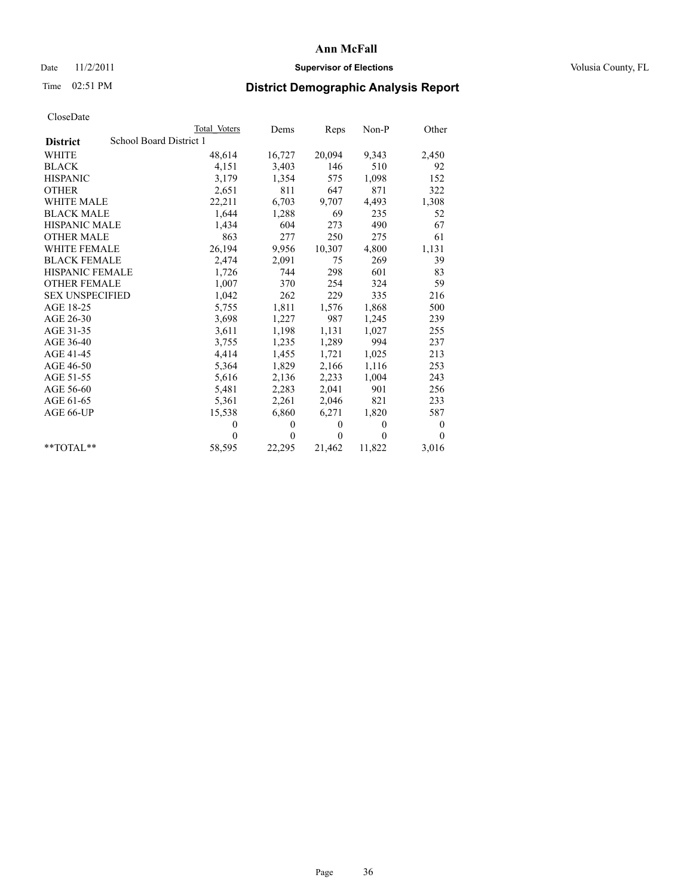## Date 11/2/2011 **Supervisor of Elections Supervisor of Elections** Volusia County, FL

# Time 02:51 PM **District Demographic Analysis Report**

|                        |                         | Total Voters | Dems         | Reps         | $Non-P$  | Other    |
|------------------------|-------------------------|--------------|--------------|--------------|----------|----------|
| <b>District</b>        | School Board District 1 |              |              |              |          |          |
| <b>WHITE</b>           |                         | 48,614       | 16,727       | 20,094       | 9,343    | 2,450    |
| <b>BLACK</b>           |                         | 4,151        | 3,403        | 146          | 510      | 92       |
| <b>HISPANIC</b>        |                         | 3,179        | 1,354        | 575          | 1,098    | 152      |
| <b>OTHER</b>           |                         | 2,651        | 811          | 647          | 871      | 322      |
| <b>WHITE MALE</b>      |                         | 22,211       | 6,703        | 9,707        | 4,493    | 1,308    |
| <b>BLACK MALE</b>      |                         | 1,644        | 1,288        | 69           | 235      | 52       |
| <b>HISPANIC MALE</b>   |                         | 1,434        | 604          | 273          | 490      | 67       |
| <b>OTHER MALE</b>      |                         | 863          | 277          | 250          | 275      | 61       |
| WHITE FEMALE           |                         | 26,194       | 9,956        | 10,307       | 4,800    | 1,131    |
| <b>BLACK FEMALE</b>    |                         | 2,474        | 2,091        | 75           | 269      | 39       |
| <b>HISPANIC FEMALE</b> |                         | 1,726        | 744          | 298          | 601      | 83       |
| <b>OTHER FEMALE</b>    |                         | 1,007        | 370          | 254          | 324      | 59       |
| <b>SEX UNSPECIFIED</b> |                         | 1,042        | 262          | 229          | 335      | 216      |
| AGE 18-25              |                         | 5,755        | 1,811        | 1,576        | 1,868    | 500      |
| AGE 26-30              |                         | 3,698        | 1,227        | 987          | 1,245    | 239      |
| AGE 31-35              |                         | 3,611        | 1,198        | 1,131        | 1,027    | 255      |
| AGE 36-40              |                         | 3,755        | 1,235        | 1,289        | 994      | 237      |
| AGE 41-45              |                         | 4,414        | 1,455        | 1,721        | 1,025    | 213      |
| AGE 46-50              |                         | 5,364        | 1,829        | 2,166        | 1,116    | 253      |
| AGE 51-55              |                         | 5,616        | 2,136        | 2,233        | 1,004    | 243      |
| AGE 56-60              |                         | 5,481        | 2,283        | 2,041        | 901      | 256      |
| AGE 61-65              |                         | 5,361        | 2,261        | 2,046        | 821      | 233      |
| AGE 66-UP              |                         | 15,538       | 6,860        | 6,271        | 1,820    | 587      |
|                        |                         | $\theta$     | $\mathbf{0}$ | $\mathbf{0}$ | $\theta$ | 0        |
|                        |                         | $\theta$     | $\theta$     | $\theta$     | $\theta$ | $\theta$ |
| $*$ TOTAL $*$          |                         | 58,595       | 22,295       | 21,462       | 11,822   | 3,016    |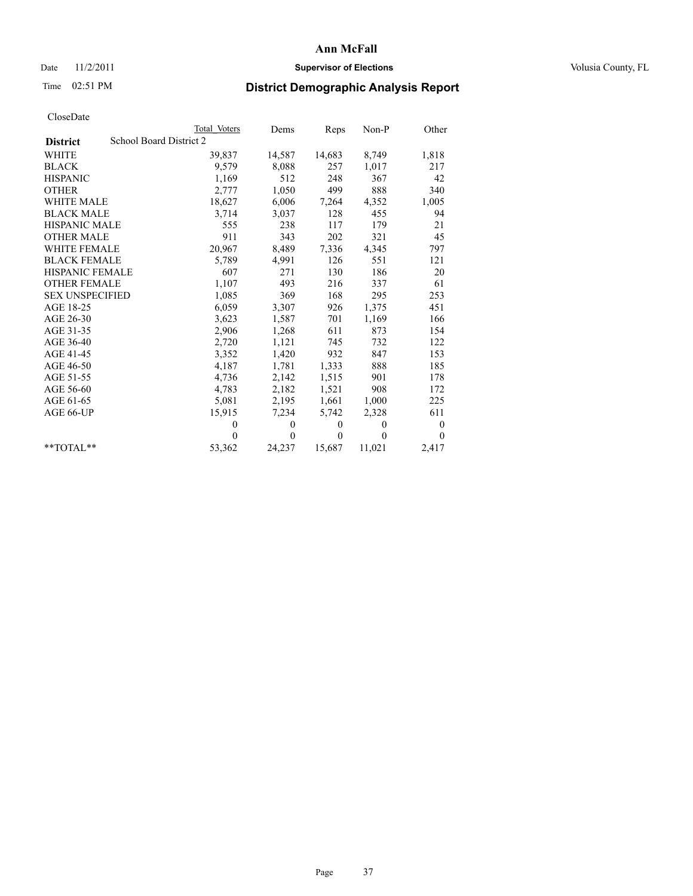## Date 11/2/2011 **Supervisor of Elections Supervisor of Elections** Volusia County, FL

# Time 02:51 PM **District Demographic Analysis Report**

|                        |                         | Total Voters | Dems     | Reps     | $Non-P$  | Other            |
|------------------------|-------------------------|--------------|----------|----------|----------|------------------|
| <b>District</b>        | School Board District 2 |              |          |          |          |                  |
| <b>WHITE</b>           |                         | 39,837       | 14,587   | 14,683   | 8,749    | 1,818            |
| <b>BLACK</b>           |                         | 9,579        | 8,088    | 257      | 1,017    | 217              |
| <b>HISPANIC</b>        |                         | 1,169        | 512      | 248      | 367      | 42               |
| <b>OTHER</b>           |                         | 2,777        | 1,050    | 499      | 888      | 340              |
| WHITE MALE             |                         | 18,627       | 6,006    | 7,264    | 4,352    | 1,005            |
| <b>BLACK MALE</b>      |                         | 3,714        | 3,037    | 128      | 455      | 94               |
| HISPANIC MALE          |                         | 555          | 238      | 117      | 179      | 21               |
| <b>OTHER MALE</b>      |                         | 911          | 343      | 202      | 321      | 45               |
| <b>WHITE FEMALE</b>    |                         | 20,967       | 8,489    | 7,336    | 4,345    | 797              |
| <b>BLACK FEMALE</b>    |                         | 5,789        | 4,991    | 126      | 551      | 121              |
| HISPANIC FEMALE        |                         | 607          | 271      | 130      | 186      | 20               |
| <b>OTHER FEMALE</b>    |                         | 1,107        | 493      | 216      | 337      | 61               |
| <b>SEX UNSPECIFIED</b> |                         | 1,085        | 369      | 168      | 295      | 253              |
| AGE 18-25              |                         | 6,059        | 3,307    | 926      | 1,375    | 451              |
| AGE 26-30              |                         | 3,623        | 1,587    | 701      | 1,169    | 166              |
| AGE 31-35              |                         | 2,906        | 1,268    | 611      | 873      | 154              |
| AGE 36-40              |                         | 2,720        | 1,121    | 745      | 732      | 122              |
| AGE 41-45              |                         | 3,352        | 1,420    | 932      | 847      | 153              |
| AGE 46-50              |                         | 4,187        | 1,781    | 1,333    | 888      | 185              |
| AGE 51-55              |                         | 4,736        | 2,142    | 1,515    | 901      | 178              |
| AGE 56-60              |                         | 4,783        | 2,182    | 1,521    | 908      | 172              |
| AGE 61-65              |                         | 5,081        | 2,195    | 1,661    | 1,000    | 225              |
| AGE 66-UP              |                         | 15,915       | 7,234    | 5,742    | 2,328    | 611              |
|                        |                         | $\mathbf{0}$ | $\theta$ | $\theta$ | $\theta$ | $\boldsymbol{0}$ |
|                        |                         | $\Omega$     | $\theta$ | $\theta$ | $\theta$ | $\theta$         |
| $*$ $TOTAI.**$         |                         | 53,362       | 24,237   | 15,687   | 11,021   | 2,417            |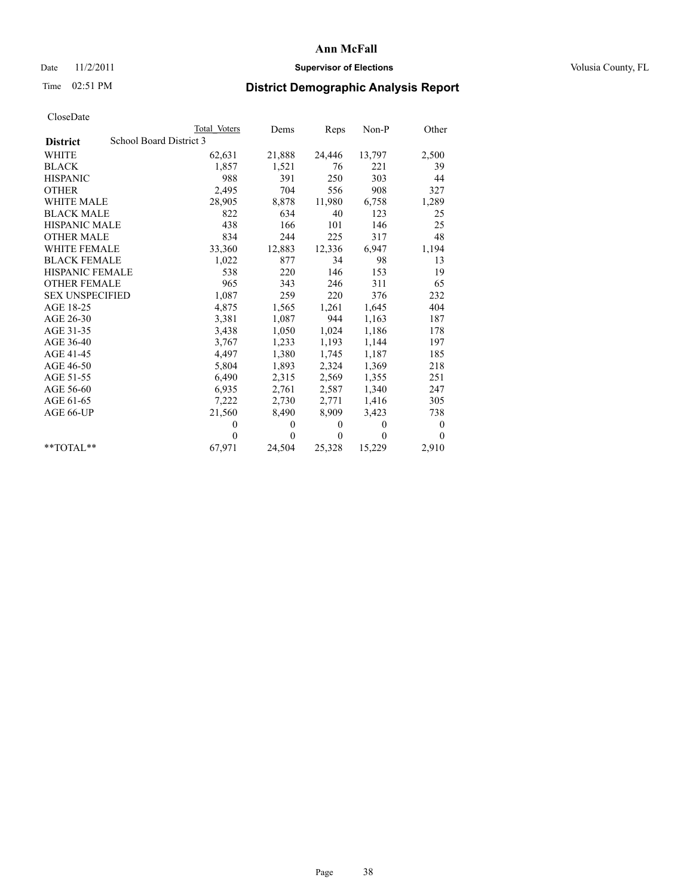## Date 11/2/2011 **Supervisor of Elections Supervisor of Elections** Volusia County, FL

# Time 02:51 PM **District Demographic Analysis Report**

|                        | Total Voters            | Dems     | <b>Reps</b>  | $Non-P$  | Other            |
|------------------------|-------------------------|----------|--------------|----------|------------------|
| <b>District</b>        | School Board District 3 |          |              |          |                  |
| <b>WHITE</b>           | 62,631                  | 21,888   | 24,446       | 13,797   | 2,500            |
| <b>BLACK</b>           | 1,857                   | 1,521    | 76           | 221      | 39               |
| <b>HISPANIC</b>        | 988                     | 391      | 250          | 303      | 44               |
| <b>OTHER</b>           | 2,495                   | 704      | 556          | 908      | 327              |
| <b>WHITE MALE</b>      | 28,905                  | 8,878    | 11,980       | 6,758    | 1,289            |
| <b>BLACK MALE</b>      | 822                     | 634      | 40           | 123      | 25               |
| <b>HISPANIC MALE</b>   | 438                     | 166      | 101          | 146      | 25               |
| <b>OTHER MALE</b>      | 834                     | 244      | 225          | 317      | 48               |
| <b>WHITE FEMALE</b>    | 33,360                  | 12,883   | 12,336       | 6.947    | 1,194            |
| <b>BLACK FEMALE</b>    | 1,022                   | 877      | 34           | 98       | 13               |
| HISPANIC FEMALE        | 538                     | 220      | 146          | 153      | 19               |
| <b>OTHER FEMALE</b>    | 965                     | 343      | 246          | 311      | 65               |
| <b>SEX UNSPECIFIED</b> | 1,087                   | 259      | 220          | 376      | 232              |
| AGE 18-25              | 4,875                   | 1,565    | 1,261        | 1,645    | 404              |
| AGE 26-30              | 3,381                   | 1,087    | 944          | 1,163    | 187              |
| AGE 31-35              | 3,438                   | 1,050    | 1,024        | 1,186    | 178              |
| AGE 36-40              | 3,767                   | 1,233    | 1,193        | 1,144    | 197              |
| AGE 41-45              | 4,497                   | 1,380    | 1,745        | 1,187    | 185              |
| AGE 46-50              | 5,804                   | 1,893    | 2,324        | 1,369    | 218              |
| AGE 51-55              | 6,490                   | 2,315    | 2,569        | 1,355    | 251              |
| AGE 56-60              | 6,935                   | 2,761    | 2,587        | 1,340    | 247              |
| AGE 61-65              | 7,222                   | 2,730    | 2,771        | 1,416    | 305              |
| AGE 66-UP              | 21,560                  | 8,490    | 8,909        | 3,423    | 738              |
|                        | $\Omega$                | $\theta$ | $\mathbf{0}$ | $\theta$ | $\boldsymbol{0}$ |
|                        | $\Omega$                | $\theta$ | $\mathbf{0}$ | $\theta$ | $\theta$         |
| $*$ $TOTAI.**$         | 67,971                  | 24,504   | 25,328       | 15,229   | 2,910            |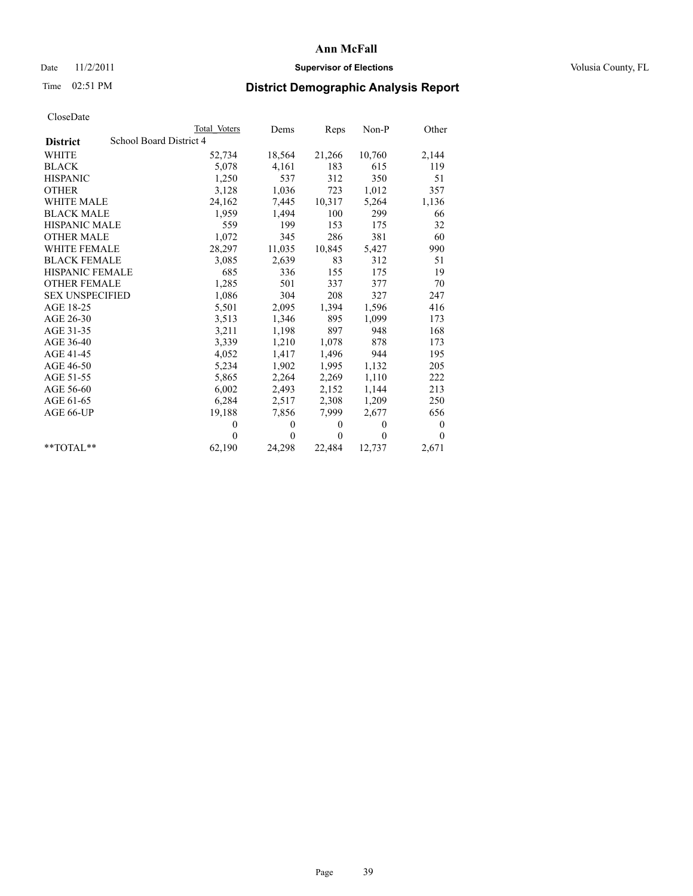### Date 11/2/2011 **Supervisor of Elections Supervisor of Elections** Volusia County, FL

## Time 02:51 PM **District Demographic Analysis Report**

|                                            | Total Voters | Dems         | Reps         | $Non-P$      | Other        |
|--------------------------------------------|--------------|--------------|--------------|--------------|--------------|
| School Board District 4<br><b>District</b> |              |              |              |              |              |
| WHITE                                      | 52,734       | 18,564       | 21,266       | 10,760       | 2,144        |
| <b>BLACK</b>                               | 5,078        | 4,161        | 183          | 615          | 119          |
| <b>HISPANIC</b>                            | 1,250        | 537          | 312          | 350          | 51           |
| <b>OTHER</b>                               | 3,128        | 1,036        | 723          | 1,012        | 357          |
| <b>WHITE MALE</b>                          | 24,162       | 7,445        | 10,317       | 5,264        | 1,136        |
| <b>BLACK MALE</b>                          | 1,959        | 1,494        | 100          | 299          | 66           |
| HISPANIC MALE                              | 559          | 199          | 153          | 175          | 32           |
| <b>OTHER MALE</b>                          | 1,072        | 345          | 286          | 381          | 60           |
| <b>WHITE FEMALE</b>                        | 28,297       | 11,035       | 10,845       | 5,427        | 990          |
| <b>BLACK FEMALE</b>                        | 3,085        | 2,639        | 83           | 312          | 51           |
| HISPANIC FEMALE                            | 685          | 336          | 155          | 175          | 19           |
| <b>OTHER FEMALE</b>                        | 1,285        | 501          | 337          | 377          | 70           |
| <b>SEX UNSPECIFIED</b>                     | 1,086        | 304          | 208          | 327          | 247          |
| AGE 18-25                                  | 5,501        | 2,095        | 1,394        | 1,596        | 416          |
| AGE 26-30                                  | 3,513        | 1,346        | 895          | 1,099        | 173          |
| AGE 31-35                                  | 3,211        | 1,198        | 897          | 948          | 168          |
| AGE 36-40                                  | 3,339        | 1,210        | 1,078        | 878          | 173          |
| AGE 41-45                                  | 4,052        | 1,417        | 1,496        | 944          | 195          |
| AGE 46-50                                  | 5,234        | 1,902        | 1,995        | 1,132        | 205          |
| AGE 51-55                                  | 5,865        | 2,264        | 2,269        | 1,110        | 222          |
| AGE 56-60                                  | 6,002        | 2,493        | 2,152        | 1,144        | 213          |
| AGE 61-65                                  | 6,284        | 2,517        | 2,308        | 1,209        | 250          |
| AGE 66-UP                                  | 19,188       | 7,856        | 7,999        | 2,677        | 656          |
|                                            | $\theta$     | $\mathbf{0}$ | $\mathbf{0}$ | $\mathbf{0}$ | 0            |
|                                            | $\Omega$     | $\theta$     | $\mathbf{0}$ | $\theta$     | $\mathbf{0}$ |
| $*$ TOTAL $*$                              | 62,190       | 24,298       | 22,484       | 12,737       | 2,671        |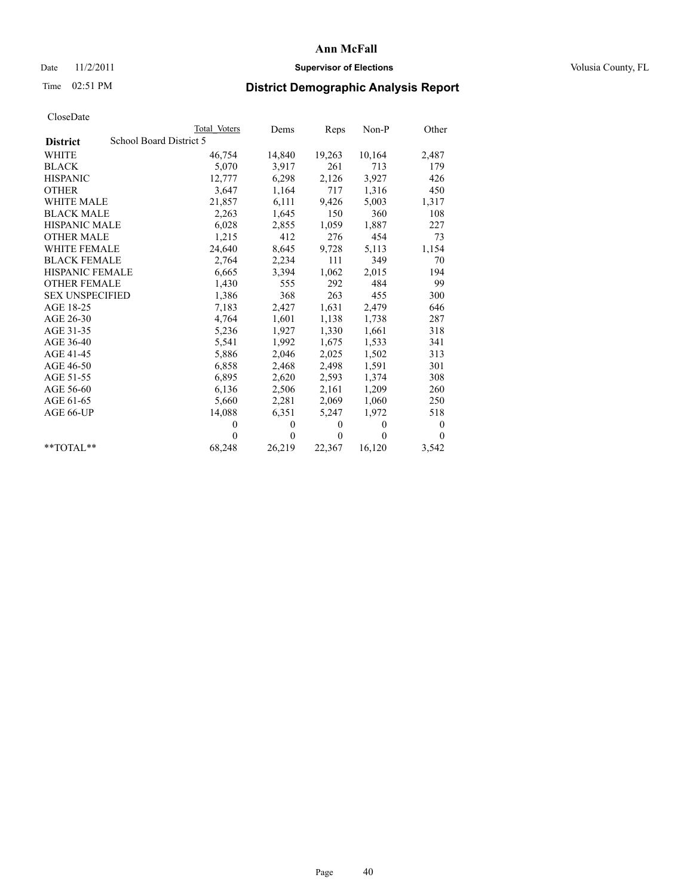## Date 11/2/2011 **Supervisor of Elections Supervisor of Elections** Volusia County, FL

# Time 02:51 PM **District Demographic Analysis Report**

|                                            | Total Voters | Dems         | Reps     | $Non-P$  | Other            |
|--------------------------------------------|--------------|--------------|----------|----------|------------------|
| School Board District 5<br><b>District</b> |              |              |          |          |                  |
| <b>WHITE</b>                               | 46,754       | 14,840       | 19,263   | 10,164   | 2,487            |
| <b>BLACK</b>                               | 5,070        | 3,917        | 261      | 713      | 179              |
| <b>HISPANIC</b>                            | 12.777       | 6,298        | 2,126    | 3.927    | 426              |
| <b>OTHER</b>                               | 3,647        | 1,164        | 717      | 1,316    | 450              |
| <b>WHITE MALE</b>                          | 21,857       | 6,111        | 9,426    | 5,003    | 1,317            |
| <b>BLACK MALE</b>                          | 2,263        | 1,645        | 150      | 360      | 108              |
| <b>HISPANIC MALE</b>                       | 6,028        | 2,855        | 1,059    | 1,887    | 227              |
| <b>OTHER MALE</b>                          | 1,215        | 412          | 276      | 454      | 73               |
| WHITE FEMALE                               | 24,640       | 8,645        | 9,728    | 5,113    | 1,154            |
| <b>BLACK FEMALE</b>                        | 2,764        | 2,234        | 111      | 349      | 70               |
| HISPANIC FEMALE                            | 6,665        | 3,394        | 1,062    | 2,015    | 194              |
| <b>OTHER FEMALE</b>                        | 1,430        | 555          | 292      | 484      | 99               |
| <b>SEX UNSPECIFIED</b>                     | 1,386        | 368          | 263      | 455      | 300              |
| AGE 18-25                                  | 7,183        | 2,427        | 1,631    | 2,479    | 646              |
| AGE 26-30                                  | 4,764        | 1,601        | 1,138    | 1,738    | 287              |
| AGE 31-35                                  | 5,236        | 1,927        | 1,330    | 1,661    | 318              |
| AGE 36-40                                  | 5,541        | 1,992        | 1,675    | 1,533    | 341              |
| AGE 41-45                                  | 5,886        | 2,046        | 2,025    | 1,502    | 313              |
| AGE 46-50                                  | 6,858        | 2,468        | 2,498    | 1,591    | 301              |
| AGE 51-55                                  | 6,895        | 2,620        | 2,593    | 1,374    | 308              |
| AGE 56-60                                  | 6,136        | 2,506        | 2,161    | 1,209    | 260              |
| AGE 61-65                                  | 5,660        | 2,281        | 2,069    | 1,060    | 250              |
| AGE 66-UP                                  | 14,088       | 6,351        | 5,247    | 1,972    | 518              |
|                                            | $\theta$     | $\mathbf{0}$ | $\theta$ | $\theta$ | $\boldsymbol{0}$ |
|                                            | $\theta$     | $\theta$     | $\theta$ | $\theta$ | $\theta$         |
| $*$ $TOTAI.**$                             | 68,248       | 26,219       | 22,367   | 16,120   | 3,542            |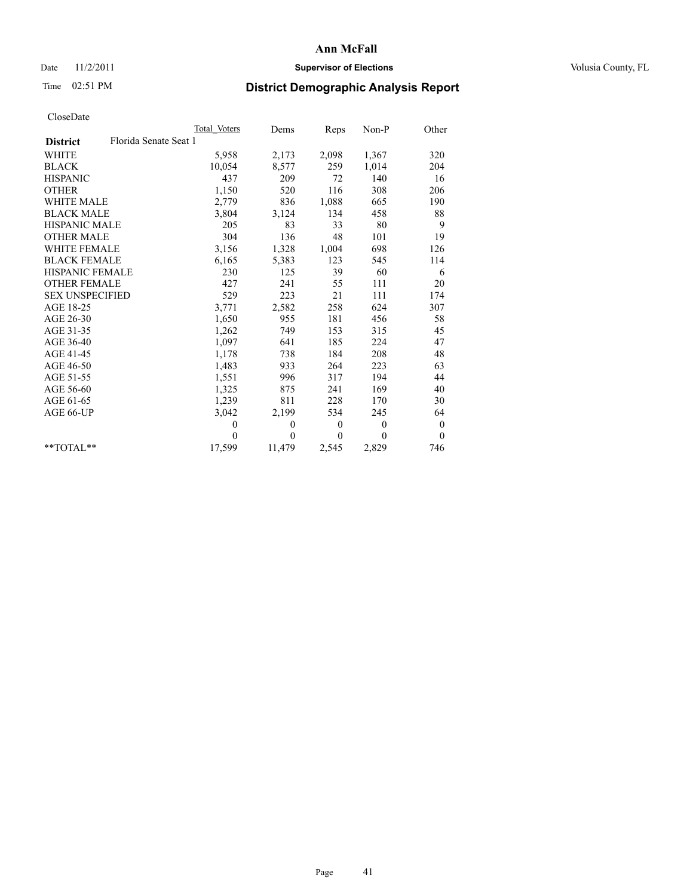## Date 11/2/2011 **Supervisor of Elections Supervisor of Elections** Volusia County, FL

# Time 02:51 PM **District Demographic Analysis Report**

|                                          | Total Voters | Dems     | Reps         | Non-P            | Other          |
|------------------------------------------|--------------|----------|--------------|------------------|----------------|
| Florida Senate Seat 1<br><b>District</b> |              |          |              |                  |                |
| <b>WHITE</b>                             | 5,958        | 2,173    | 2,098        | 1,367            | 320            |
| <b>BLACK</b>                             | 10,054       | 8,577    | 259          | 1,014            | 204            |
| <b>HISPANIC</b>                          | 437          | 209      | 72           | 140              | 16             |
| <b>OTHER</b>                             | 1,150        | 520      | 116          | 308              | 206            |
| <b>WHITE MALE</b>                        | 2,779        | 836      | 1,088        | 665              | 190            |
| <b>BLACK MALE</b>                        | 3,804        | 3,124    | 134          | 458              | 88             |
| <b>HISPANIC MALE</b>                     | 205          | 83       | 33           | 80               | 9              |
| <b>OTHER MALE</b>                        | 304          | 136      | 48           | 101              | 19             |
| <b>WHITE FEMALE</b>                      | 3,156        | 1,328    | 1,004        | 698              | 126            |
| <b>BLACK FEMALE</b>                      | 6,165        | 5,383    | 123          | 545              | 114            |
| <b>HISPANIC FEMALE</b>                   | 230          | 125      | 39           | 60               | 6              |
| <b>OTHER FEMALE</b>                      | 427          | 241      | 55           | 111              | 20             |
| <b>SEX UNSPECIFIED</b>                   | 529          | 223      | 21           | 111              | 174            |
| AGE 18-25                                | 3,771        | 2,582    | 258          | 624              | 307            |
| AGE 26-30                                | 1,650        | 955      | 181          | 456              | 58             |
| AGE 31-35                                | 1,262        | 749      | 153          | 315              | 45             |
| AGE 36-40                                | 1,097        | 641      | 185          | 224              | 47             |
| AGE 41-45                                | 1,178        | 738      | 184          | 208              | 48             |
| AGE 46-50                                | 1,483        | 933      | 264          | 223              | 63             |
| AGE 51-55                                | 1,551        | 996      | 317          | 194              | 44             |
| AGE 56-60                                | 1,325        | 875      | 241          | 169              | 40             |
| AGE 61-65                                | 1,239        | 811      | 228          | 170              | 30             |
| AGE 66-UP                                | 3,042        | 2,199    | 534          | 245              | 64             |
|                                          | $\theta$     | $\theta$ | $\theta$     | $\mathbf{0}$     | $\theta$       |
|                                          | $\Omega$     | $\theta$ | $\mathbf{0}$ | $\boldsymbol{0}$ | $\overline{0}$ |
| $*$ $TOTAI.**$                           | 17,599       | 11,479   | 2,545        | 2,829            | 746            |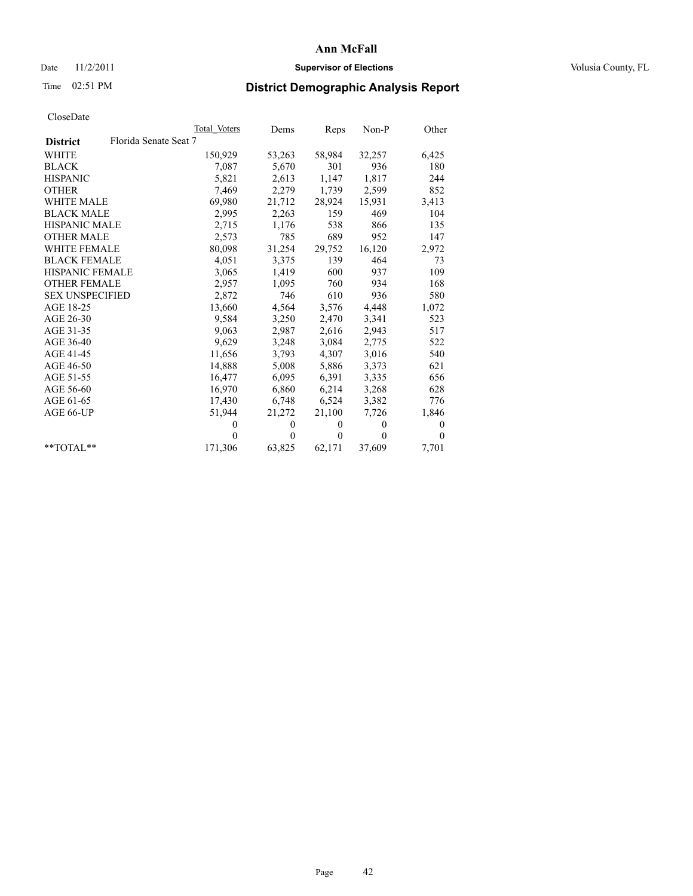## Date 11/2/2011 **Supervisor of Elections Supervisor of Elections** Volusia County, FL

# Time 02:51 PM **District Demographic Analysis Report**

|                                          | Total Voters | Dems     | Reps     | $Non-P$  | Other        |
|------------------------------------------|--------------|----------|----------|----------|--------------|
| Florida Senate Seat 7<br><b>District</b> |              |          |          |          |              |
| <b>WHITE</b>                             | 150,929      | 53,263   | 58,984   | 32,257   | 6,425        |
| <b>BLACK</b>                             | 7,087        | 5,670    | 301      | 936      | 180          |
| <b>HISPANIC</b>                          | 5,821        | 2,613    | 1,147    | 1,817    | 244          |
| <b>OTHER</b>                             | 7,469        | 2,279    | 1,739    | 2,599    | 852          |
| <b>WHITE MALE</b>                        | 69,980       | 21,712   | 28,924   | 15,931   | 3,413        |
| <b>BLACK MALE</b>                        | 2,995        | 2,263    | 159      | 469      | 104          |
| HISPANIC MALE                            | 2,715        | 1,176    | 538      | 866      | 135          |
| <b>OTHER MALE</b>                        | 2,573        | 785      | 689      | 952      | 147          |
| WHITE FEMALE                             | 80,098       | 31,254   | 29,752   | 16,120   | 2,972        |
| <b>BLACK FEMALE</b>                      | 4,051        | 3,375    | 139      | 464      | 73           |
| <b>HISPANIC FEMALE</b>                   | 3,065        | 1,419    | 600      | 937      | 109          |
| <b>OTHER FEMALE</b>                      | 2,957        | 1,095    | 760      | 934      | 168          |
| <b>SEX UNSPECIFIED</b>                   | 2,872        | 746      | 610      | 936      | 580          |
| AGE 18-25                                | 13,660       | 4,564    | 3,576    | 4,448    | 1,072        |
| AGE 26-30                                | 9,584        | 3,250    | 2,470    | 3,341    | 523          |
| AGE 31-35                                | 9,063        | 2,987    | 2,616    | 2,943    | 517          |
| AGE 36-40                                | 9,629        | 3,248    | 3,084    | 2,775    | 522          |
| AGE 41-45                                | 11,656       | 3,793    | 4,307    | 3,016    | 540          |
| AGE 46-50                                | 14,888       | 5,008    | 5,886    | 3,373    | 621          |
| AGE 51-55                                | 16,477       | 6,095    | 6,391    | 3,335    | 656          |
| AGE 56-60                                | 16,970       | 6,860    | 6,214    | 3,268    | 628          |
| AGE 61-65                                | 17,430       | 6,748    | 6,524    | 3,382    | 776          |
| AGE 66-UP                                | 51,944       | 21,272   | 21,100   | 7,726    | 1,846        |
|                                          | $\theta$     | $\theta$ | $\theta$ | $\theta$ | $\mathbf{0}$ |
|                                          | $\Omega$     | $\theta$ | $\theta$ | $\theta$ | $\theta$     |
| $*$ TOTAL $*$                            | 171,306      | 63,825   | 62,171   | 37,609   | 7,701        |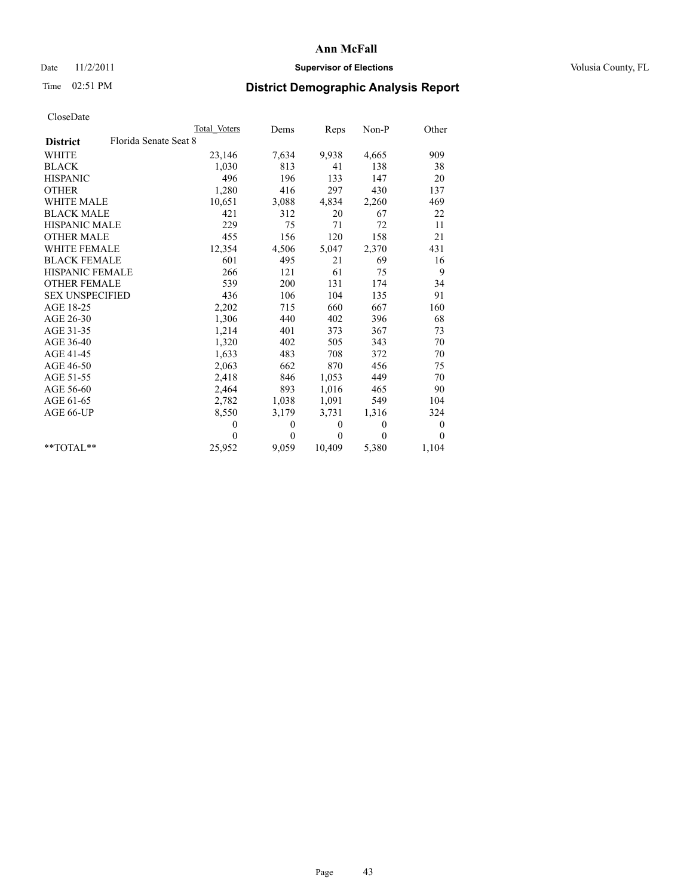## Date 11/2/2011 **Supervisor of Elections Supervisor of Elections** Volusia County, FL

# Time 02:51 PM **District Demographic Analysis Report**

|                                          | Total Voters | Dems             | Reps             | $Non-P$  | Other            |
|------------------------------------------|--------------|------------------|------------------|----------|------------------|
| Florida Senate Seat 8<br><b>District</b> |              |                  |                  |          |                  |
| <b>WHITE</b>                             | 23,146       | 7,634            | 9,938            | 4,665    | 909              |
| <b>BLACK</b>                             | 1,030        | 813              | 41               | 138      | 38               |
| <b>HISPANIC</b>                          | 496          | 196              | 133              | 147      | 20               |
| <b>OTHER</b>                             | 1,280        | 416              | 297              | 430      | 137              |
| WHITE MALE                               | 10,651       | 3,088            | 4,834            | 2,260    | 469              |
| <b>BLACK MALE</b>                        | 421          | 312              | 20               | 67       | 22               |
| <b>HISPANIC MALE</b>                     | 229          | 75               | 71               | 72       | 11               |
| <b>OTHER MALE</b>                        | 455          | 156              | 120              | 158      | 21               |
| <b>WHITE FEMALE</b>                      | 12,354       | 4,506            | 5,047            | 2,370    | 431              |
| <b>BLACK FEMALE</b>                      | 601          | 495              | 21               | 69       | 16               |
| <b>HISPANIC FEMALE</b>                   | 266          | 121              | 61               | 75       | 9                |
| <b>OTHER FEMALE</b>                      | 539          | 200              | 131              | 174      | 34               |
| <b>SEX UNSPECIFIED</b>                   | 436          | 106              | 104              | 135      | 91               |
| AGE 18-25                                | 2,202        | 715              | 660              | 667      | 160              |
| AGE 26-30                                | 1,306        | 440              | 402              | 396      | 68               |
| AGE 31-35                                | 1,214        | 401              | 373              | 367      | 73               |
| AGE 36-40                                | 1,320        | 402              | 505              | 343      | 70               |
| AGE 41-45                                | 1,633        | 483              | 708              | 372      | 70               |
| AGE 46-50                                | 2,063        | 662              | 870              | 456      | 75               |
| AGE 51-55                                | 2,418        | 846              | 1,053            | 449      | 70               |
| AGE 56-60                                | 2,464        | 893              | 1,016            | 465      | 90               |
| AGE 61-65                                | 2,782        | 1,038            | 1,091            | 549      | 104              |
| AGE 66-UP                                | 8,550        | 3,179            | 3,731            | 1,316    | 324              |
|                                          | $\theta$     | $\boldsymbol{0}$ | $\boldsymbol{0}$ | $\theta$ | $\boldsymbol{0}$ |
|                                          | $\Omega$     | $\theta$         | $\theta$         | $\theta$ | $\theta$         |
| $*$ $TOTAI.**$                           | 25,952       | 9,059            | 10,409           | 5,380    | 1,104            |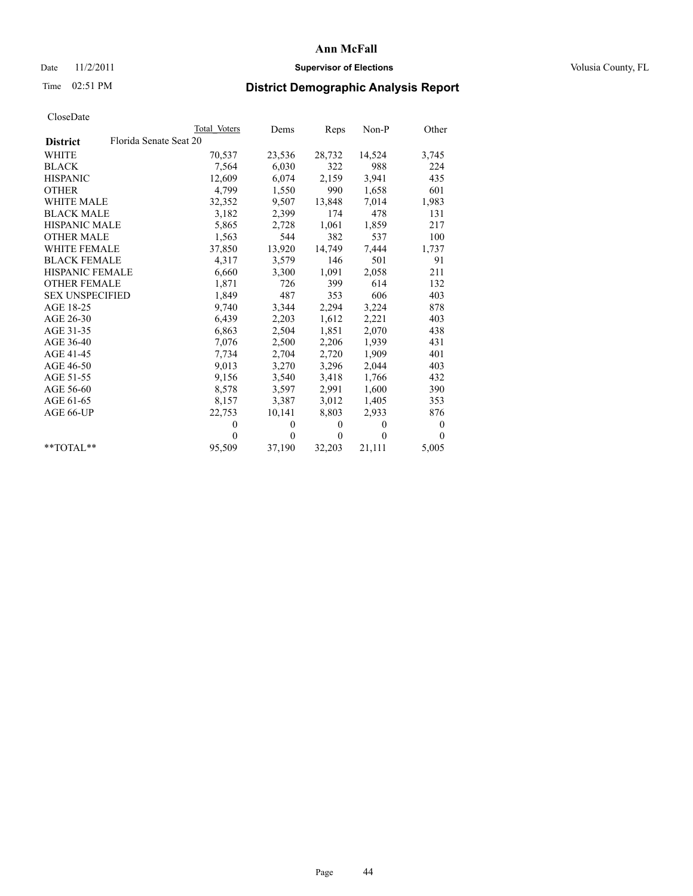## Date 11/2/2011 **Supervisor of Elections Supervisor of Elections** Volusia County, FL

# Time 02:51 PM **District Demographic Analysis Report**

|                                           | Total Voters | Dems     | Reps         | $Non-P$  | Other            |
|-------------------------------------------|--------------|----------|--------------|----------|------------------|
| Florida Senate Seat 20<br><b>District</b> |              |          |              |          |                  |
| WHITE                                     | 70,537       | 23,536   | 28,732       | 14,524   | 3,745            |
| <b>BLACK</b>                              | 7,564        | 6,030    | 322          | 988      | 224              |
| <b>HISPANIC</b>                           | 12,609       | 6,074    | 2,159        | 3,941    | 435              |
| <b>OTHER</b>                              | 4,799        | 1,550    | 990          | 1,658    | 601              |
| <b>WHITE MALE</b>                         | 32,352       | 9,507    | 13,848       | 7,014    | 1,983            |
| <b>BLACK MALE</b>                         | 3,182        | 2,399    | 174          | 478      | 131              |
| <b>HISPANIC MALE</b>                      | 5,865        | 2,728    | 1,061        | 1,859    | 217              |
| <b>OTHER MALE</b>                         | 1,563        | 544      | 382          | 537      | 100              |
| <b>WHITE FEMALE</b>                       | 37,850       | 13,920   | 14,749       | 7,444    | 1,737            |
| <b>BLACK FEMALE</b>                       | 4,317        | 3,579    | 146          | 501      | 91               |
| HISPANIC FEMALE                           | 6,660        | 3,300    | 1,091        | 2,058    | 211              |
| <b>OTHER FEMALE</b>                       | 1,871        | 726      | 399          | 614      | 132              |
| <b>SEX UNSPECIFIED</b>                    | 1,849        | 487      | 353          | 606      | 403              |
| AGE 18-25                                 | 9,740        | 3,344    | 2,294        | 3,224    | 878              |
| AGE 26-30                                 | 6,439        | 2,203    | 1,612        | 2,221    | 403              |
| AGE 31-35                                 | 6,863        | 2,504    | 1,851        | 2,070    | 438              |
| AGE 36-40                                 | 7,076        | 2,500    | 2,206        | 1,939    | 431              |
| AGE 41-45                                 | 7,734        | 2,704    | 2,720        | 1,909    | 401              |
| AGE 46-50                                 | 9,013        | 3,270    | 3,296        | 2,044    | 403              |
| AGE 51-55                                 | 9,156        | 3,540    | 3,418        | 1,766    | 432              |
| AGE 56-60                                 | 8,578        | 3,597    | 2,991        | 1,600    | 390              |
| AGE 61-65                                 | 8,157        | 3,387    | 3,012        | 1,405    | 353              |
| AGE 66-UP                                 | 22,753       | 10,141   | 8,803        | 2,933    | 876              |
|                                           | $\theta$     | $\theta$ | $\theta$     | $\theta$ | $\boldsymbol{0}$ |
|                                           | $\Omega$     | $\theta$ | $\mathbf{0}$ | $\theta$ | $\Omega$         |
| $*$ $TOTAI.**$                            | 95,509       | 37,190   | 32,203       | 21,111   | 5,005            |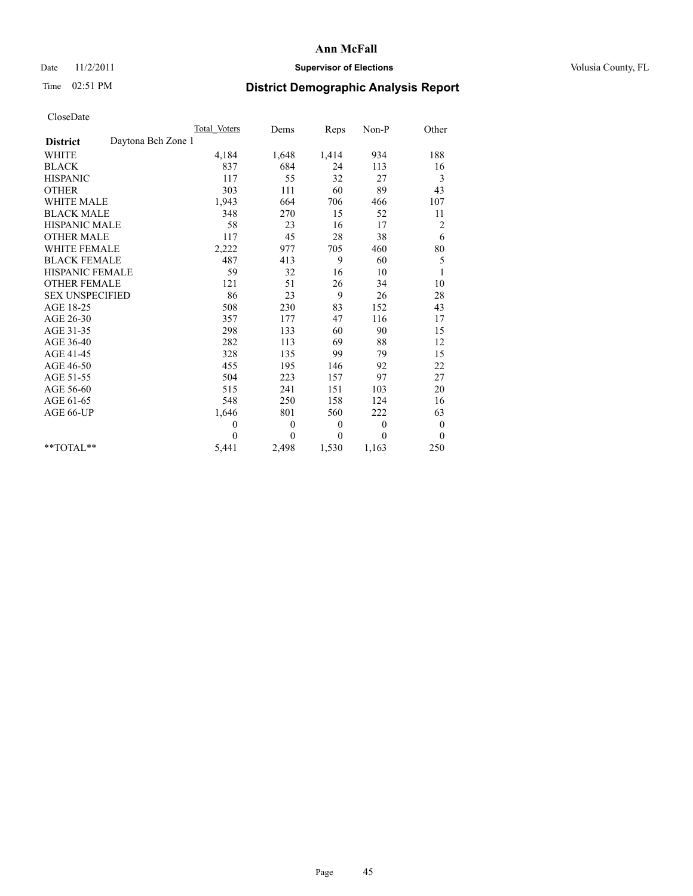## Date 11/2/2011 **Supervisor of Elections Supervisor of Elections** Volusia County, FL

# Time 02:51 PM **District Demographic Analysis Report**

|                                       | Total Voters | Dems         | Reps         | Non-P        | Other            |
|---------------------------------------|--------------|--------------|--------------|--------------|------------------|
| Daytona Bch Zone 1<br><b>District</b> |              |              |              |              |                  |
| <b>WHITE</b>                          | 4,184        | 1,648        | 1,414        | 934          | 188              |
| <b>BLACK</b>                          | 837          | 684          | 24           | 113          | 16               |
| <b>HISPANIC</b>                       | 117          | 55           | 32           | 27           | 3                |
| <b>OTHER</b>                          | 303          | 111          | 60           | 89           | 43               |
| <b>WHITE MALE</b>                     | 1,943        | 664          | 706          | 466          | 107              |
| <b>BLACK MALE</b>                     | 348          | 270          | 15           | 52           | 11               |
| <b>HISPANIC MALE</b>                  | 58           | 23           | 16           | 17           | $\overline{c}$   |
| <b>OTHER MALE</b>                     | 117          | 45           | 28           | 38           | 6                |
| <b>WHITE FEMALE</b>                   | 2,222        | 977          | 705          | 460          | 80               |
| <b>BLACK FEMALE</b>                   | 487          | 413          | 9            | 60           | 5                |
| HISPANIC FEMALE                       | 59           | 32           | 16           | 10           | $\mathbf{1}$     |
| <b>OTHER FEMALE</b>                   | 121          | 51           | 26           | 34           | 10               |
| <b>SEX UNSPECIFIED</b>                | 86           | 23           | 9            | 26           | 28               |
| AGE 18-25                             | 508          | 230          | 83           | 152          | 43               |
| AGE 26-30                             | 357          | 177          | 47           | 116          | 17               |
| AGE 31-35                             | 298          | 133          | 60           | 90           | 15               |
| AGE 36-40                             | 282          | 113          | 69           | 88           | 12               |
| AGE 41-45                             | 328          | 135          | 99           | 79           | 15               |
| AGE 46-50                             | 455          | 195          | 146          | 92           | 22               |
| AGE 51-55                             | 504          | 223          | 157          | 97           | 27               |
| AGE 56-60                             | 515          | 241          | 151          | 103          | 20               |
| AGE 61-65                             | 548          | 250          | 158          | 124          | 16               |
| AGE 66-UP                             | 1,646        | 801          | 560          | 222          | 63               |
|                                       | $\mathbf{0}$ | $\mathbf{0}$ | $\mathbf{0}$ | $\mathbf{0}$ | $\boldsymbol{0}$ |
|                                       | $\theta$     | $\theta$     | $\theta$     | $\theta$     | $\theta$         |
| $*$ $TOTAI.**$                        | 5,441        | 2,498        | 1,530        | 1,163        | 250              |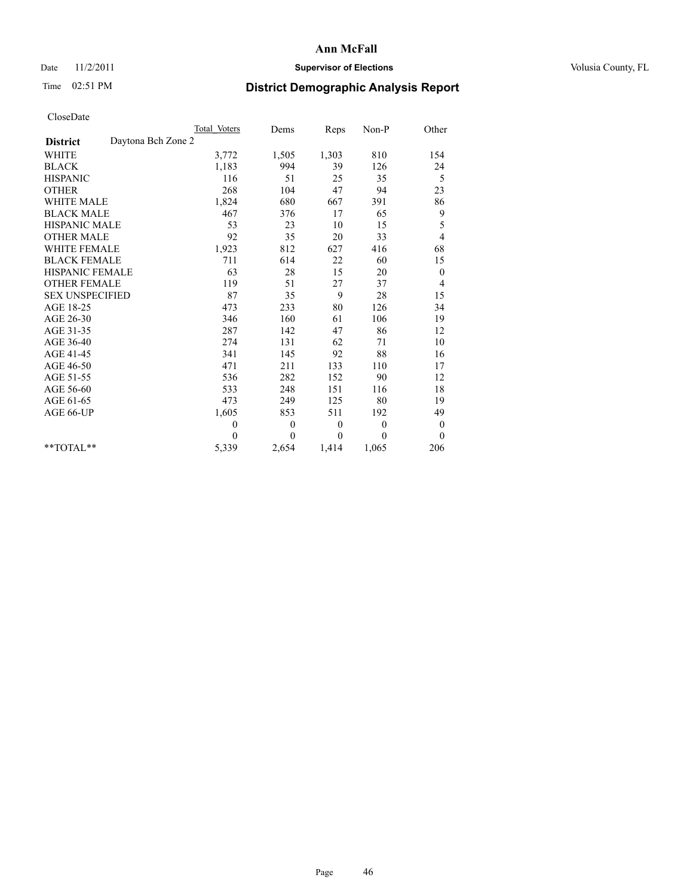## Date 11/2/2011 **Supervisor of Elections Supervisor of Elections** Volusia County, FL

# Time 02:51 PM **District Demographic Analysis Report**

|                                       | Total Voters | Dems     | Reps         | $Non-P$      | Other            |  |
|---------------------------------------|--------------|----------|--------------|--------------|------------------|--|
| Daytona Bch Zone 2<br><b>District</b> |              |          |              |              |                  |  |
| <b>WHITE</b>                          | 3,772        | 1,505    | 1,303        | 810          | 154              |  |
| <b>BLACK</b>                          | 1,183        | 994      | 39           | 126          | 24               |  |
| <b>HISPANIC</b>                       | 116          | 51       | 25           | 35           | 5                |  |
| <b>OTHER</b>                          | 268          | 104      | 47           | 94           | 23               |  |
| <b>WHITE MALE</b>                     | 1,824        | 680      | 667          | 391          | 86               |  |
| <b>BLACK MALE</b>                     | 467          | 376      | 17           | 65           | 9                |  |
| <b>HISPANIC MALE</b>                  | 53           | 23       | 10           | 15           | 5                |  |
| <b>OTHER MALE</b>                     | 92           | 35       | 20           | 33           | 4                |  |
| <b>WHITE FEMALE</b>                   | 1,923        | 812      | 627          | 416          | 68               |  |
| <b>BLACK FEMALE</b>                   | 711          | 614      | 22           | 60           | 15               |  |
| HISPANIC FEMALE                       | 63           | 28       | 15           | 20           | $\boldsymbol{0}$ |  |
| <b>OTHER FEMALE</b>                   | 119          | 51       | 27           | 37           | 4                |  |
| <b>SEX UNSPECIFIED</b>                | 87           | 35       | 9            | 28           | 15               |  |
| AGE 18-25                             | 473          | 233      | 80           | 126          | 34               |  |
| AGE 26-30                             | 346          | 160      | 61           | 106          | 19               |  |
| AGE 31-35                             | 287          | 142      | 47           | 86           | 12               |  |
| AGE 36-40                             | 274          | 131      | 62           | 71           | 10               |  |
| AGE 41-45                             | 341          | 145      | 92           | 88           | 16               |  |
| AGE 46-50                             | 471          | 211      | 133          | 110          | 17               |  |
| AGE 51-55                             | 536          | 282      | 152          | 90           | 12               |  |
| AGE 56-60                             | 533          | 248      | 151          | 116          | 18               |  |
| AGE 61-65                             | 473          | 249      | 125          | 80           | 19               |  |
| AGE 66-UP                             | 1,605        | 853      | 511          | 192          | 49               |  |
|                                       | $\mathbf{0}$ | $\theta$ | $\mathbf{0}$ | $\mathbf{0}$ | $\boldsymbol{0}$ |  |
|                                       | $\Omega$     | $\theta$ | $\mathbf{0}$ | $\theta$     | $\theta$         |  |
| $*$ $TOTAI.**$                        | 5,339        | 2,654    | 1,414        | 1,065        | 206              |  |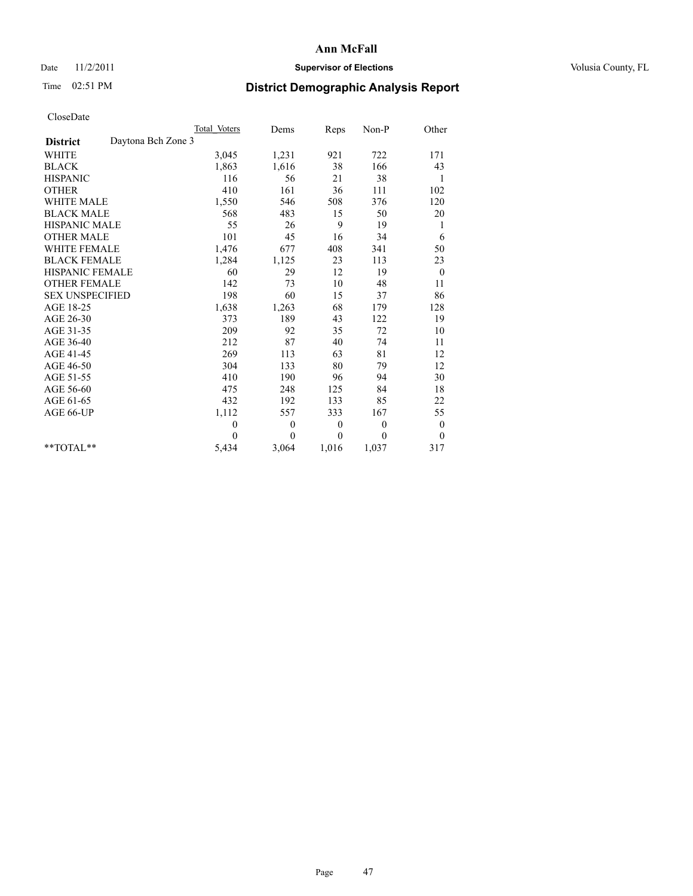## Date 11/2/2011 **Supervisor of Elections Supervisor of Elections** Volusia County, FL

# Time 02:51 PM **District Demographic Analysis Report**

|                                       | Total Voters | Dems         | Reps     | Non-P        | Other            |
|---------------------------------------|--------------|--------------|----------|--------------|------------------|
| Daytona Bch Zone 3<br><b>District</b> |              |              |          |              |                  |
| WHITE                                 | 3,045        | 1,231        | 921      | 722          | 171              |
| <b>BLACK</b>                          | 1,863        | 1,616        | 38       | 166          | 43               |
| <b>HISPANIC</b>                       | 116          | 56           | 21       | 38           | 1                |
| <b>OTHER</b>                          | 410          | 161          | 36       | 111          | 102              |
| <b>WHITE MALE</b>                     | 1,550        | 546          | 508      | 376          | 120              |
| <b>BLACK MALE</b>                     | 568          | 483          | 15       | 50           | 20               |
| <b>HISPANIC MALE</b>                  | 55           | 26           | 9        | 19           | 1                |
| <b>OTHER MALE</b>                     | 101          | 45           | 16       | 34           | 6                |
| WHITE FEMALE                          | 1,476        | 677          | 408      | 341          | 50               |
| <b>BLACK FEMALE</b>                   | 1,284        | 1,125        | 23       | 113          | 23               |
| HISPANIC FEMALE                       | 60           | 29           | 12       | 19           | $\mathbf{0}$     |
| <b>OTHER FEMALE</b>                   | 142          | 73           | 10       | 48           | 11               |
| <b>SEX UNSPECIFIED</b>                | 198          | 60           | 15       | 37           | 86               |
| AGE 18-25                             | 1,638        | 1,263        | 68       | 179          | 128              |
| AGE 26-30                             | 373          | 189          | 43       | 122          | 19               |
| AGE 31-35                             | 209          | 92           | 35       | 72           | 10               |
| AGE 36-40                             | 212          | 87           | 40       | 74           | 11               |
| AGE 41-45                             | 269          | 113          | 63       | 81           | 12               |
| AGE 46-50                             | 304          | 133          | 80       | 79           | 12               |
| AGE 51-55                             | 410          | 190          | 96       | 94           | 30               |
| AGE 56-60                             | 475          | 248          | 125      | 84           | 18               |
| AGE 61-65                             | 432          | 192          | 133      | 85           | 22               |
| AGE 66-UP                             | 1,112        | 557          | 333      | 167          | 55               |
|                                       | $\theta$     | $\mathbf{0}$ | $\theta$ | $\mathbf{0}$ | $\boldsymbol{0}$ |
|                                       | $\theta$     | $\theta$     | $\theta$ | $\theta$     | $\theta$         |
| **TOTAL**                             | 5,434        | 3,064        | 1,016    | 1,037        | 317              |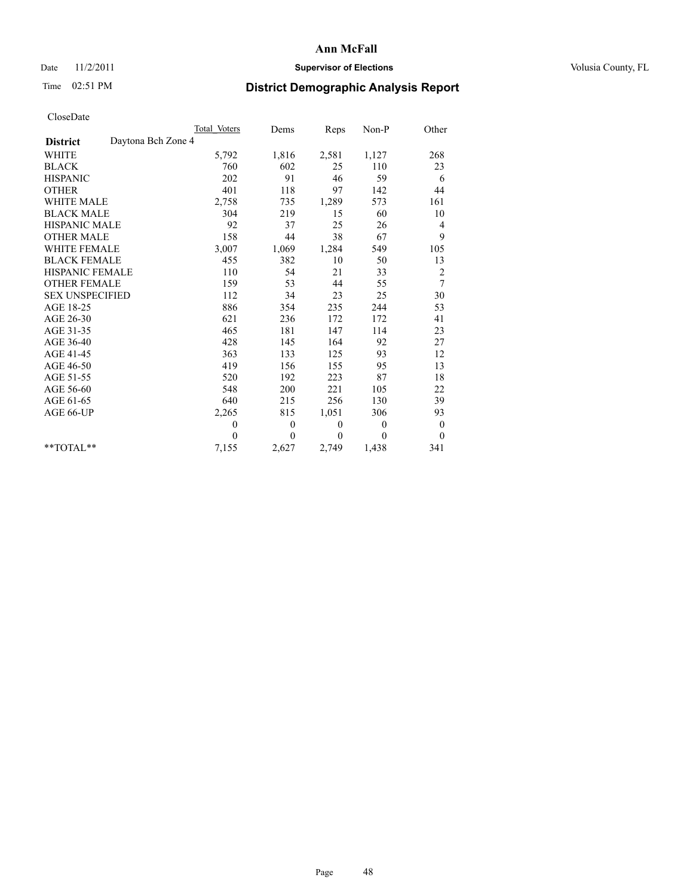## Date 11/2/2011 **Supervisor of Elections Supervisor of Elections** Volusia County, FL

# Time 02:51 PM **District Demographic Analysis Report**

|                                       | Total Voters | Dems     | Reps         | Non-P    | Other            |
|---------------------------------------|--------------|----------|--------------|----------|------------------|
| Daytona Bch Zone 4<br><b>District</b> |              |          |              |          |                  |
| <b>WHITE</b>                          | 5,792        | 1,816    | 2,581        | 1,127    | 268              |
| <b>BLACK</b>                          | 760          | 602      | 25           | 110      | 23               |
| <b>HISPANIC</b>                       | 202          | 91       | 46           | 59       | 6                |
| <b>OTHER</b>                          | 401          | 118      | 97           | 142      | 44               |
| WHITE MALE                            | 2,758        | 735      | 1,289        | 573      | 161              |
| <b>BLACK MALE</b>                     | 304          | 219      | 15           | 60       | 10               |
| <b>HISPANIC MALE</b>                  | 92           | 37       | 25           | 26       | 4                |
| <b>OTHER MALE</b>                     | 158          | 44       | 38           | 67       | 9                |
| <b>WHITE FEMALE</b>                   | 3,007        | 1,069    | 1,284        | 549      | 105              |
| <b>BLACK FEMALE</b>                   | 455          | 382      | 10           | 50       | 13               |
| <b>HISPANIC FEMALE</b>                | 110          | 54       | 21           | 33       | 2                |
| <b>OTHER FEMALE</b>                   | 159          | 53       | 44           | 55       | 7                |
| <b>SEX UNSPECIFIED</b>                | 112          | 34       | 23           | 25       | 30               |
| AGE 18-25                             | 886          | 354      | 235          | 244      | 53               |
| AGE 26-30                             | 621          | 236      | 172          | 172      | 41               |
| AGE 31-35                             | 465          | 181      | 147          | 114      | 23               |
| AGE 36-40                             | 428          | 145      | 164          | 92       | 27               |
| AGE 41-45                             | 363          | 133      | 125          | 93       | 12               |
| AGE 46-50                             | 419          | 156      | 155          | 95       | 13               |
| AGE 51-55                             | 520          | 192      | 223          | 87       | 18               |
| AGE 56-60                             | 548          | 200      | 221          | 105      | 22               |
| AGE 61-65                             | 640          | 215      | 256          | 130      | 39               |
| AGE 66-UP                             | 2,265        | 815      | 1,051        | 306      | 93               |
|                                       | $\theta$     | $\theta$ | $\theta$     | $\theta$ | $\boldsymbol{0}$ |
|                                       | $\theta$     | $\theta$ | $\mathbf{0}$ | $\theta$ | $\theta$         |
| $*$ $TOTAI.**$                        | 7,155        | 2,627    | 2,749        | 1,438    | 341              |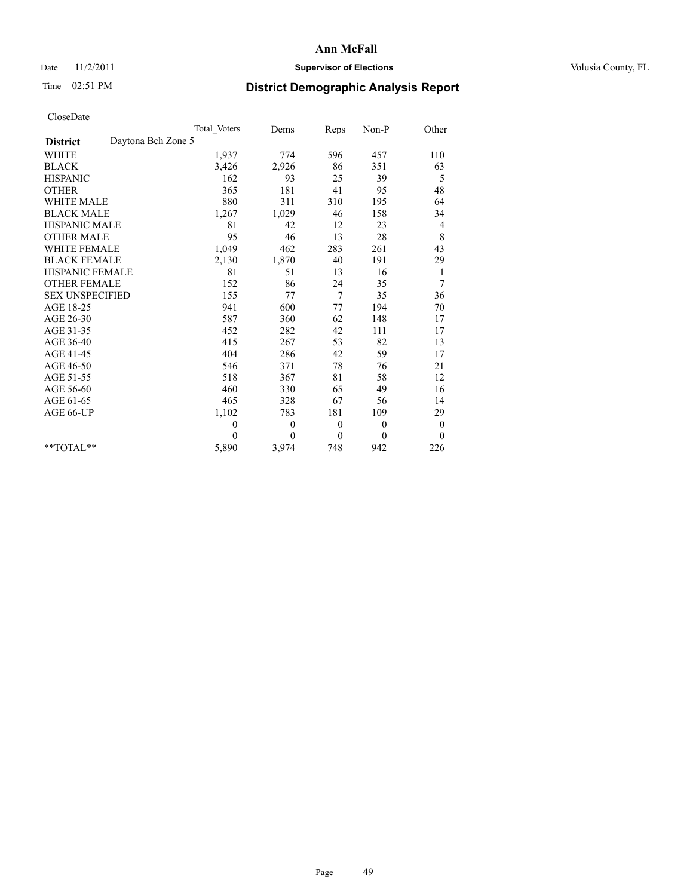## Date 11/2/2011 **Supervisor of Elections Supervisor of Elections** Volusia County, FL

# Time 02:51 PM **District Demographic Analysis Report**

|                                       | Total Voters | Dems         | Reps         | Non-P          | Other            |  |
|---------------------------------------|--------------|--------------|--------------|----------------|------------------|--|
| Daytona Bch Zone 5<br><b>District</b> |              |              |              |                |                  |  |
| <b>WHITE</b>                          | 1,937        | 774          | 596          | 457            | 110              |  |
| <b>BLACK</b>                          | 3,426        | 2,926        | 86           | 351            | 63               |  |
| <b>HISPANIC</b>                       | 162          | 93           | 25           | 39             | 5                |  |
| <b>OTHER</b>                          | 365          | 181          | 41           | 95             | 48               |  |
| <b>WHITE MALE</b>                     | 880          | 311          | 310          | 195            | 64               |  |
| <b>BLACK MALE</b>                     | 1,267        | 1,029        | 46           | 158            | 34               |  |
| <b>HISPANIC MALE</b>                  | 81           | 42           | 12           | 23             | $\overline{4}$   |  |
| <b>OTHER MALE</b>                     | 95           | 46           | 13           | 28             | 8                |  |
| <b>WHITE FEMALE</b>                   | 1,049        | 462          | 283          | 261            | 43               |  |
| <b>BLACK FEMALE</b>                   | 2,130        | 1,870        | 40           | 191            | 29               |  |
| HISPANIC FEMALE                       | 81           | 51           | 13           | 16             | 1                |  |
| <b>OTHER FEMALE</b>                   | 152          | 86           | 24           | 35             | 7                |  |
| <b>SEX UNSPECIFIED</b>                | 155          | 77           | 7            | 35             | 36               |  |
| AGE 18-25                             | 941          | 600          | 77           | 194            | 70               |  |
| AGE 26-30                             | 587          | 360          | 62           | 148            | 17               |  |
| AGE 31-35                             | 452          | 282          | 42           | 111            | 17               |  |
| AGE 36-40                             | 415          | 267          | 53           | 82             | 13               |  |
| AGE 41-45                             | 404          | 286          | 42           | 59             | 17               |  |
| AGE 46-50                             | 546          | 371          | 78           | 76             | 21               |  |
| AGE 51-55                             | 518          | 367          | 81           | 58             | 12               |  |
| AGE 56-60                             | 460          | 330          | 65           | 49             | 16               |  |
| AGE 61-65                             | 465          | 328          | 67           | 56             | 14               |  |
| AGE 66-UP                             | 1,102        | 783          | 181          | 109            | 29               |  |
|                                       | $\mathbf{0}$ | $\mathbf{0}$ | $\theta$     | $\overline{0}$ | $\boldsymbol{0}$ |  |
|                                       | $\theta$     | $\theta$     | $\mathbf{0}$ | $\mathbf{0}$   | $\theta$         |  |
| $*$ $TOTAI.**$                        | 5,890        | 3,974        | 748          | 942            | 226              |  |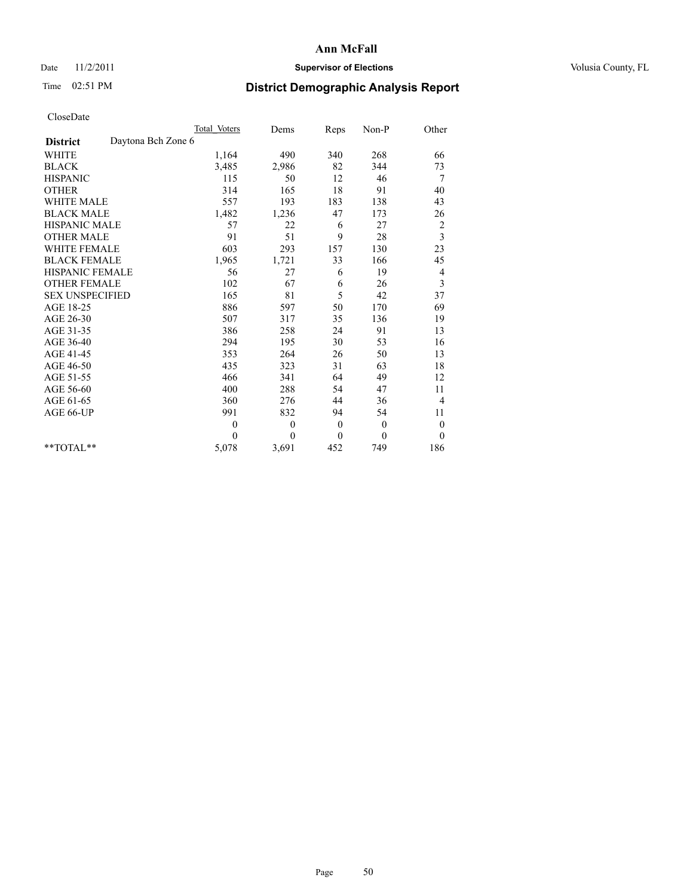## Date 11/2/2011 **Supervisor of Elections Supervisor of Elections** Volusia County, FL

# Time 02:51 PM **District Demographic Analysis Report**

|                                       | Total Voters | Dems         | Reps             | Non-P        | Other            |
|---------------------------------------|--------------|--------------|------------------|--------------|------------------|
| Daytona Bch Zone 6<br><b>District</b> |              |              |                  |              |                  |
| <b>WHITE</b>                          | 1,164        | 490          | 340              | 268          | 66               |
| <b>BLACK</b>                          | 3,485        | 2,986        | 82               | 344          | 73               |
| <b>HISPANIC</b>                       | 115          | 50           | 12               | 46           | 7                |
| <b>OTHER</b>                          | 314          | 165          | 18               | 91           | 40               |
| <b>WHITE MALE</b>                     | 557          | 193          | 183              | 138          | 43               |
| <b>BLACK MALE</b>                     | 1,482        | 1,236        | 47               | 173          | 26               |
| HISPANIC MALE                         | 57           | 22           | 6                | 27           | $\overline{c}$   |
| <b>OTHER MALE</b>                     | 91           | 51           | 9                | 28           | 3                |
| <b>WHITE FEMALE</b>                   | 603          | 293          | 157              | 130          | 23               |
| <b>BLACK FEMALE</b>                   | 1,965        | 1,721        | 33               | 166          | 45               |
| HISPANIC FEMALE                       | 56           | 27           | 6                | 19           | 4                |
| <b>OTHER FEMALE</b>                   | 102          | 67           | 6                | 26           | 3                |
| <b>SEX UNSPECIFIED</b>                | 165          | 81           | 5                | 42           | 37               |
| AGE 18-25                             | 886          | 597          | 50               | 170          | 69               |
| AGE 26-30                             | 507          | 317          | 35               | 136          | 19               |
| AGE 31-35                             | 386          | 258          | 24               | 91           | 13               |
| AGE 36-40                             | 294          | 195          | 30               | 53           | 16               |
| AGE 41-45                             | 353          | 264          | 26               | 50           | 13               |
| AGE 46-50                             | 435          | 323          | 31               | 63           | 18               |
| AGE 51-55                             | 466          | 341          | 64               | 49           | 12               |
| AGE 56-60                             | 400          | 288          | 54               | 47           | 11               |
| AGE 61-65                             | 360          | 276          | 44               | 36           | $\overline{4}$   |
| AGE 66-UP                             | 991          | 832          | 94               | 54           | 11               |
|                                       | $\theta$     | $\mathbf{0}$ | $\mathbf{0}$     | $\mathbf{0}$ | $\boldsymbol{0}$ |
|                                       | $\theta$     | $\theta$     | $\boldsymbol{0}$ | $\theta$     | $\mathbf{0}$     |
| $*$ $TOTAI.**$                        | 5,078        | 3,691        | 452              | 749          | 186              |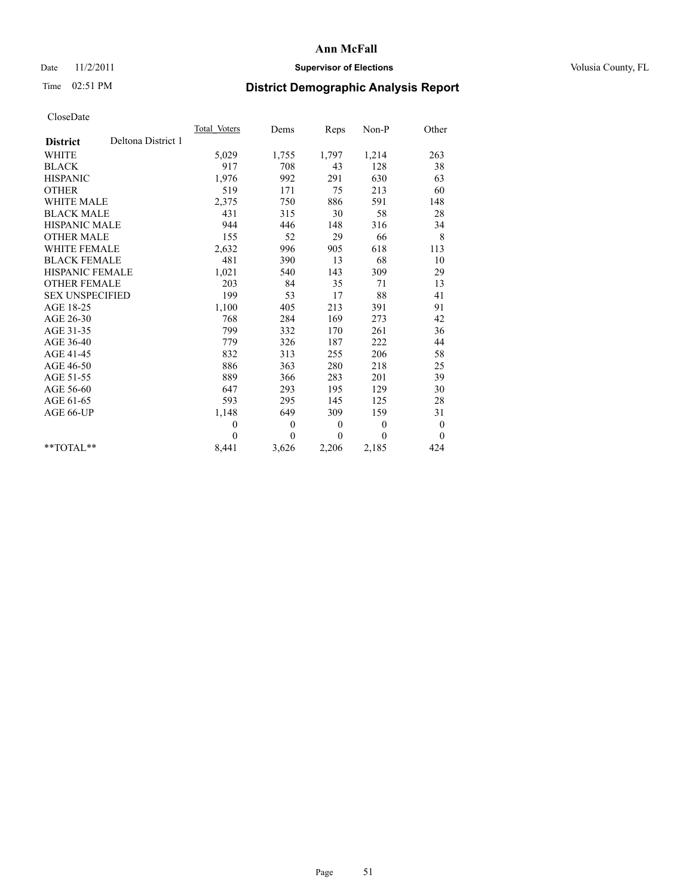## Date 11/2/2011 **Supervisor of Elections Supervisor of Elections** Volusia County, FL

# Time 02:51 PM **District Demographic Analysis Report**

|                                       | Total Voters | Dems         | Reps         | Non-P        | Other            |  |
|---------------------------------------|--------------|--------------|--------------|--------------|------------------|--|
| Deltona District 1<br><b>District</b> |              |              |              |              |                  |  |
| <b>WHITE</b>                          | 5,029        | 1,755        | 1,797        | 1,214        | 263              |  |
| <b>BLACK</b>                          | 917          | 708          | 43           | 128          | 38               |  |
| <b>HISPANIC</b>                       | 1,976        | 992          | 291          | 630          | 63               |  |
| <b>OTHER</b>                          | 519          | 171          | 75           | 213          | 60               |  |
| <b>WHITE MALE</b>                     | 2,375        | 750          | 886          | 591          | 148              |  |
| <b>BLACK MALE</b>                     | 431          | 315          | 30           | 58           | 28               |  |
| <b>HISPANIC MALE</b>                  | 944          | 446          | 148          | 316          | 34               |  |
| <b>OTHER MALE</b>                     | 155          | 52           | 29           | 66           | $\,$ 8 $\,$      |  |
| <b>WHITE FEMALE</b>                   | 2,632        | 996          | 905          | 618          | 113              |  |
| <b>BLACK FEMALE</b>                   | 481          | 390          | 13           | 68           | 10               |  |
| HISPANIC FEMALE                       | 1,021        | 540          | 143          | 309          | 29               |  |
| <b>OTHER FEMALE</b>                   | 203          | 84           | 35           | 71           | 13               |  |
| <b>SEX UNSPECIFIED</b>                | 199          | 53           | 17           | 88           | 41               |  |
| AGE 18-25                             | 1,100        | 405          | 213          | 391          | 91               |  |
| AGE 26-30                             | 768          | 284          | 169          | 273          | 42               |  |
| AGE 31-35                             | 799          | 332          | 170          | 261          | 36               |  |
| AGE 36-40                             | 779          | 326          | 187          | 222          | 44               |  |
| AGE 41-45                             | 832          | 313          | 255          | 206          | 58               |  |
| AGE 46-50                             | 886          | 363          | 280          | 218          | 25               |  |
| AGE 51-55                             | 889          | 366          | 283          | 201          | 39               |  |
| AGE 56-60                             | 647          | 293          | 195          | 129          | 30               |  |
| AGE 61-65                             | 593          | 295          | 145          | 125          | 28               |  |
| AGE 66-UP                             | 1,148        | 649          | 309          | 159          | 31               |  |
|                                       | $\mathbf{0}$ | $\mathbf{0}$ | $\mathbf{0}$ | $\mathbf{0}$ | $\boldsymbol{0}$ |  |
|                                       | $\theta$     | $\theta$     | $\theta$     | $\theta$     | $\theta$         |  |
| $*$ $TOTAI.**$                        | 8,441        | 3,626        | 2,206        | 2,185        | 424              |  |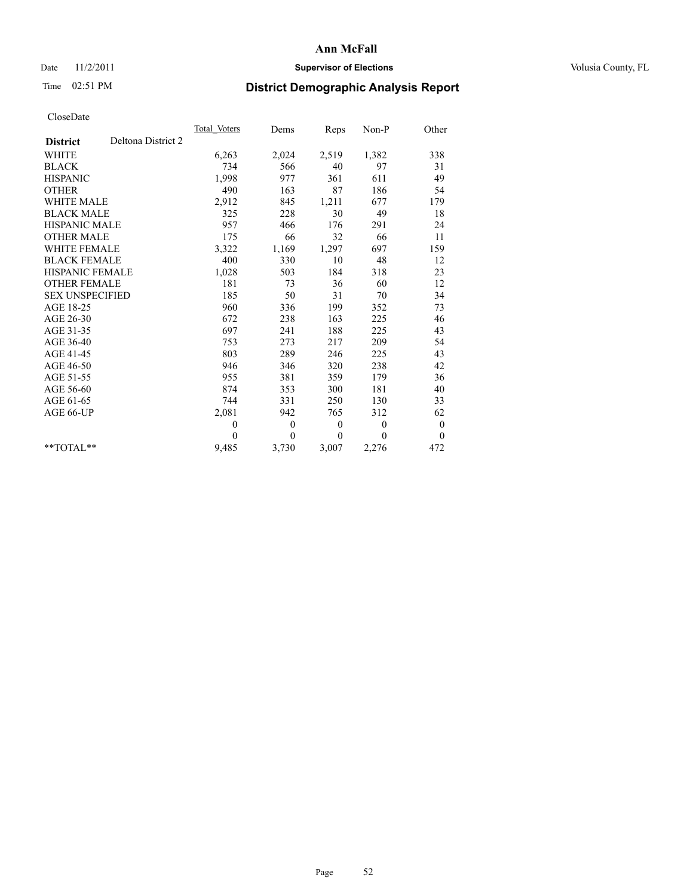## Date 11/2/2011 **Supervisor of Elections Supervisor of Elections** Volusia County, FL

# Time 02:51 PM **District Demographic Analysis Report**

|                        |                    | Total Voters | Dems     | Reps         | Non-P          | Other            |  |
|------------------------|--------------------|--------------|----------|--------------|----------------|------------------|--|
| <b>District</b>        | Deltona District 2 |              |          |              |                |                  |  |
| <b>WHITE</b>           |                    | 6,263        | 2,024    | 2,519        | 1,382          | 338              |  |
| <b>BLACK</b>           |                    | 734          | 566      | 40           | 97             | 31               |  |
| <b>HISPANIC</b>        |                    | 1,998        | 977      | 361          | 611            | 49               |  |
| <b>OTHER</b>           |                    | 490          | 163      | 87           | 186            | 54               |  |
| <b>WHITE MALE</b>      |                    | 2,912        | 845      | 1,211        | 677            | 179              |  |
| <b>BLACK MALE</b>      |                    | 325          | 228      | 30           | 49             | 18               |  |
| <b>HISPANIC MALE</b>   |                    | 957          | 466      | 176          | 291            | 24               |  |
| <b>OTHER MALE</b>      |                    | 175          | 66       | 32           | 66             | 11               |  |
| WHITE FEMALE           |                    | 3,322        | 1,169    | 1,297        | 697            | 159              |  |
| <b>BLACK FEMALE</b>    |                    | 400          | 330      | 10           | 48             | 12               |  |
| HISPANIC FEMALE        |                    | 1,028        | 503      | 184          | 318            | 23               |  |
| <b>OTHER FEMALE</b>    |                    | 181          | 73       | 36           | 60             | 12               |  |
| <b>SEX UNSPECIFIED</b> |                    | 185          | 50       | 31           | 70             | 34               |  |
| AGE 18-25              |                    | 960          | 336      | 199          | 352            | 73               |  |
| AGE 26-30              |                    | 672          | 238      | 163          | 225            | 46               |  |
| AGE 31-35              |                    | 697          | 241      | 188          | 225            | 43               |  |
| AGE 36-40              |                    | 753          | 273      | 217          | 209            | 54               |  |
| AGE 41-45              |                    | 803          | 289      | 246          | 225            | 43               |  |
| AGE 46-50              |                    | 946          | 346      | 320          | 238            | 42               |  |
| AGE 51-55              |                    | 955          | 381      | 359          | 179            | 36               |  |
| AGE 56-60              |                    | 874          | 353      | 300          | 181            | 40               |  |
| AGE 61-65              |                    | 744          | 331      | 250          | 130            | 33               |  |
| AGE 66-UP              |                    | 2,081        | 942      | 765          | 312            | 62               |  |
|                        |                    | $\theta$     | $\theta$ | $\mathbf{0}$ | $\overline{0}$ | $\boldsymbol{0}$ |  |
|                        |                    | $\theta$     | $\theta$ | $\theta$     | $\theta$       | $\theta$         |  |
| $*$ $TOTAI.**$         |                    | 9,485        | 3,730    | 3,007        | 2,276          | 472              |  |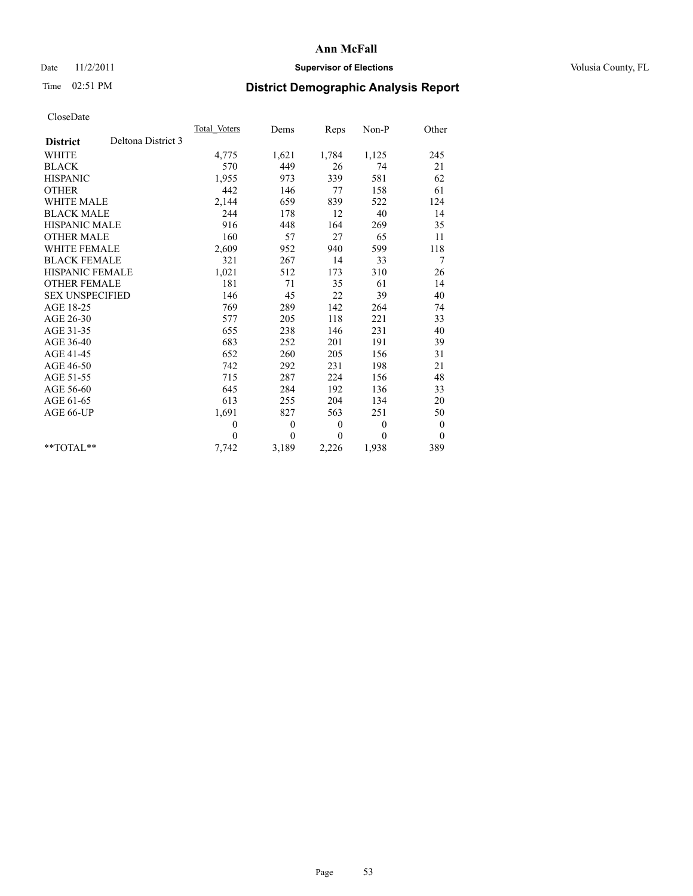## Date 11/2/2011 **Supervisor of Elections Supervisor of Elections** Volusia County, FL

# Time 02:51 PM **District Demographic Analysis Report**

|                        |                    | Total Voters | Dems           | Reps         | Non-P        | Other          |
|------------------------|--------------------|--------------|----------------|--------------|--------------|----------------|
| <b>District</b>        | Deltona District 3 |              |                |              |              |                |
| <b>WHITE</b>           |                    | 4,775        | 1,621          | 1,784        | 1,125        | 245            |
| <b>BLACK</b>           |                    | 570          | 449            | 26           | 74           | 21             |
| <b>HISPANIC</b>        |                    | 1,955        | 973            | 339          | 581          | 62             |
| <b>OTHER</b>           |                    | 442          | 146            | 77           | 158          | 61             |
| <b>WHITE MALE</b>      |                    | 2,144        | 659            | 839          | 522          | 124            |
| <b>BLACK MALE</b>      |                    | 244          | 178            | 12           | 40           | 14             |
| <b>HISPANIC MALE</b>   |                    | 916          | 448            | 164          | 269          | 35             |
| <b>OTHER MALE</b>      |                    | 160          | 57             | 27           | 65           | 11             |
| <b>WHITE FEMALE</b>    |                    | 2,609        | 952            | 940          | 599          | 118            |
| <b>BLACK FEMALE</b>    |                    | 321          | 267            | 14           | 33           | 7              |
| HISPANIC FEMALE        |                    | 1,021        | 512            | 173          | 310          | 26             |
| <b>OTHER FEMALE</b>    |                    | 181          | 71             | 35           | 61           | 14             |
| <b>SEX UNSPECIFIED</b> |                    | 146          | 45             | 22           | 39           | 40             |
| AGE 18-25              |                    | 769          | 289            | 142          | 264          | 74             |
| AGE 26-30              |                    | 577          | 205            | 118          | 221          | 33             |
| AGE 31-35              |                    | 655          | 238            | 146          | 231          | 40             |
| AGE 36-40              |                    | 683          | 252            | 201          | 191          | 39             |
| AGE 41-45              |                    | 652          | 260            | 205          | 156          | 31             |
| AGE 46-50              |                    | 742          | 292            | 231          | 198          | 21             |
| AGE 51-55              |                    | 715          | 287            | 224          | 156          | 48             |
| AGE 56-60              |                    | 645          | 284            | 192          | 136          | 33             |
| AGE 61-65              |                    | 613          | 255            | 204          | 134          | 20             |
| AGE 66-UP              |                    | 1,691        | 827            | 563          | 251          | 50             |
|                        |                    | $\theta$     | $\overline{0}$ | $\theta$     | $\mathbf{0}$ | $\theta$       |
|                        |                    | $\Omega$     | $\theta$       | $\mathbf{0}$ | 0            | $\overline{0}$ |
| $*$ $TOTAI.**$         |                    | 7,742        | 3,189          | 2,226        | 1,938        | 389            |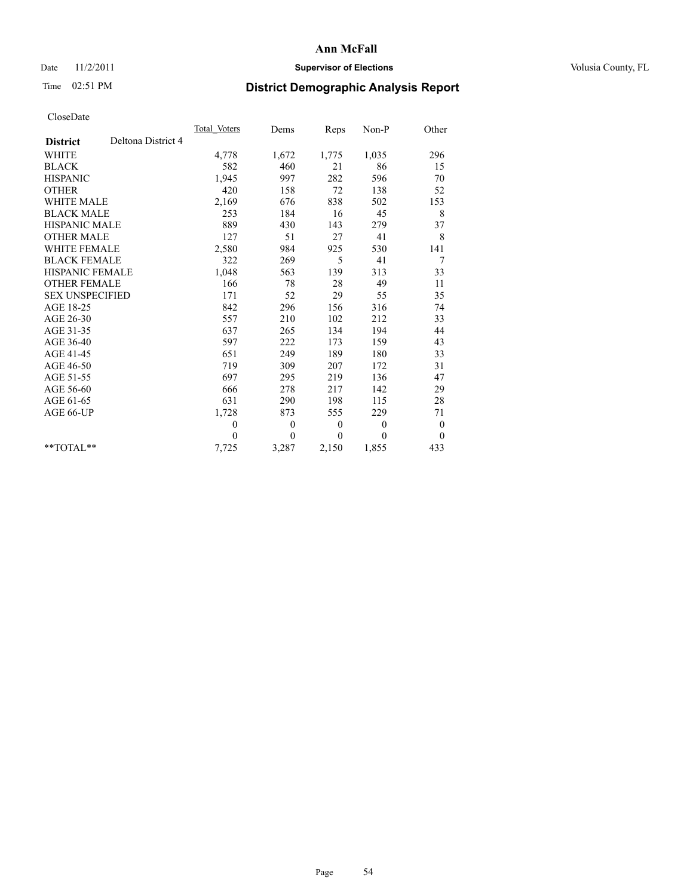## Date 11/2/2011 **Supervisor of Elections Supervisor of Elections** Volusia County, FL

# Time 02:51 PM **District Demographic Analysis Report**

|                                       | Total Voters | Dems         | Reps             | Non-P        | Other            |
|---------------------------------------|--------------|--------------|------------------|--------------|------------------|
| Deltona District 4<br><b>District</b> |              |              |                  |              |                  |
| <b>WHITE</b>                          | 4,778        | 1,672        | 1,775            | 1,035        | 296              |
| <b>BLACK</b>                          | 582          | 460          | 21               | 86           | 15               |
| <b>HISPANIC</b>                       | 1,945        | 997          | 282              | 596          | 70               |
| <b>OTHER</b>                          | 420          | 158          | 72               | 138          | 52               |
| <b>WHITE MALE</b>                     | 2,169        | 676          | 838              | 502          | 153              |
| <b>BLACK MALE</b>                     | 253          | 184          | 16               | 45           | 8                |
| <b>HISPANIC MALE</b>                  | 889          | 430          | 143              | 279          | 37               |
| <b>OTHER MALE</b>                     | 127          | 51           | 27               | 41           | 8                |
| <b>WHITE FEMALE</b>                   | 2,580        | 984          | 925              | 530          | 141              |
| <b>BLACK FEMALE</b>                   | 322          | 269          | 5                | 41           | 7                |
| HISPANIC FEMALE                       | 1,048        | 563          | 139              | 313          | 33               |
| <b>OTHER FEMALE</b>                   | 166          | 78           | 28               | 49           | 11               |
| <b>SEX UNSPECIFIED</b>                | 171          | 52           | 29               | 55           | 35               |
| AGE 18-25                             | 842          | 296          | 156              | 316          | 74               |
| AGE 26-30                             | 557          | 210          | 102              | 212          | 33               |
| AGE 31-35                             | 637          | 265          | 134              | 194          | 44               |
| AGE 36-40                             | 597          | 222          | 173              | 159          | 43               |
| AGE 41-45                             | 651          | 249          | 189              | 180          | 33               |
| AGE 46-50                             | 719          | 309          | 207              | 172          | 31               |
| AGE 51-55                             | 697          | 295          | 219              | 136          | 47               |
| AGE 56-60                             | 666          | 278          | 217              | 142          | 29               |
| AGE 61-65                             | 631          | 290          | 198              | 115          | 28               |
| AGE 66-UP                             | 1,728        | 873          | 555              | 229          | 71               |
|                                       | $\mathbf{0}$ | $\mathbf{0}$ | $\boldsymbol{0}$ | $\mathbf{0}$ | $\boldsymbol{0}$ |
|                                       | $\theta$     | $\theta$     | $\theta$         | $\theta$     | $\boldsymbol{0}$ |
| $*$ $TOTAI.**$                        | 7,725        | 3,287        | 2,150            | 1,855        | 433              |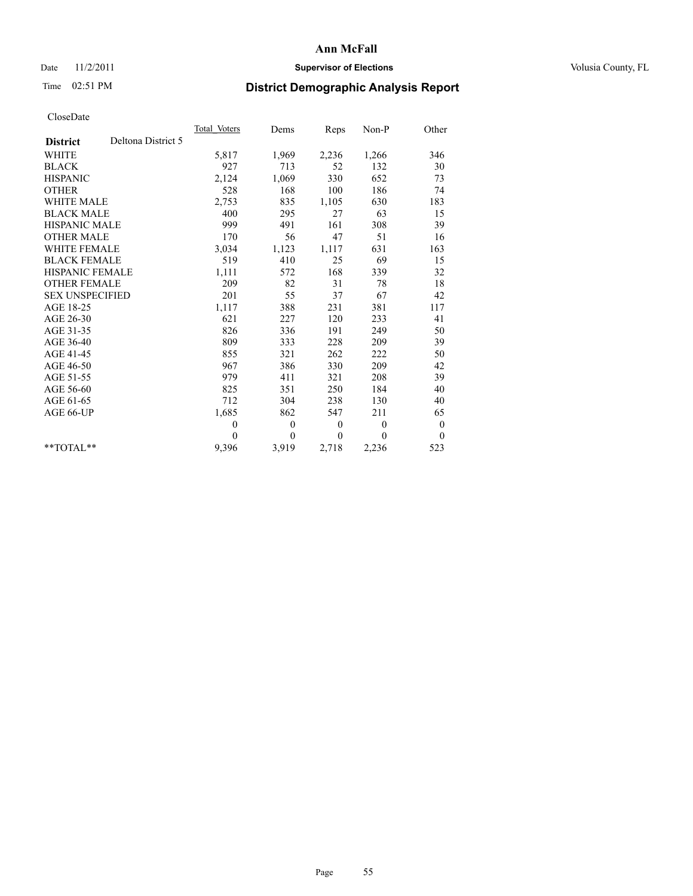## Date 11/2/2011 **Supervisor of Elections Supervisor of Elections** Volusia County, FL

# Time 02:51 PM **District Demographic Analysis Report**

|                                       | Total Voters | Dems         | <b>Reps</b>  | Non-P    | Other            |  |
|---------------------------------------|--------------|--------------|--------------|----------|------------------|--|
| Deltona District 5<br><b>District</b> |              |              |              |          |                  |  |
| <b>WHITE</b>                          | 5,817        | 1,969        | 2,236        | 1,266    | 346              |  |
| <b>BLACK</b>                          | 927          | 713          | 52           | 132      | 30               |  |
| <b>HISPANIC</b>                       | 2,124        | 1,069        | 330          | 652      | 73               |  |
| <b>OTHER</b>                          | 528          | 168          | 100          | 186      | 74               |  |
| <b>WHITE MALE</b>                     | 2,753        | 835          | 1,105        | 630      | 183              |  |
| <b>BLACK MALE</b>                     | 400          | 295          | 27           | 63       | 15               |  |
| <b>HISPANIC MALE</b>                  | 999          | 491          | 161          | 308      | 39               |  |
| <b>OTHER MALE</b>                     | 170          | 56           | 47           | 51       | 16               |  |
| WHITE FEMALE                          | 3,034        | 1,123        | 1,117        | 631      | 163              |  |
| <b>BLACK FEMALE</b>                   | 519          | 410          | 25           | 69       | 15               |  |
| HISPANIC FEMALE                       | 1,111        | 572          | 168          | 339      | 32               |  |
| <b>OTHER FEMALE</b>                   | 209          | 82           | 31           | 78       | 18               |  |
| <b>SEX UNSPECIFIED</b>                | 201          | 55           | 37           | 67       | 42               |  |
| AGE 18-25                             | 1,117        | 388          | 231          | 381      | 117              |  |
| AGE 26-30                             | 621          | 227          | 120          | 233      | 41               |  |
| AGE 31-35                             | 826          | 336          | 191          | 249      | 50               |  |
| AGE 36-40                             | 809          | 333          | 228          | 209      | 39               |  |
| AGE 41-45                             | 855          | 321          | 262          | 222      | 50               |  |
| AGE 46-50                             | 967          | 386          | 330          | 209      | 42               |  |
| AGE 51-55                             | 979          | 411          | 321          | 208      | 39               |  |
| AGE 56-60                             | 825          | 351          | 250          | 184      | 40               |  |
| AGE 61-65                             | 712          | 304          | 238          | 130      | 40               |  |
| AGE 66-UP                             | 1,685        | 862          | 547          | 211      | 65               |  |
|                                       | $\mathbf{0}$ | $\mathbf{0}$ | $\mathbf{0}$ | $\theta$ | $\boldsymbol{0}$ |  |
|                                       | $\Omega$     | $\mathbf{0}$ | $\mathbf{0}$ | $\theta$ | $\theta$         |  |
| $*$ $TOTAI.**$                        | 9,396        | 3,919        | 2,718        | 2,236    | 523              |  |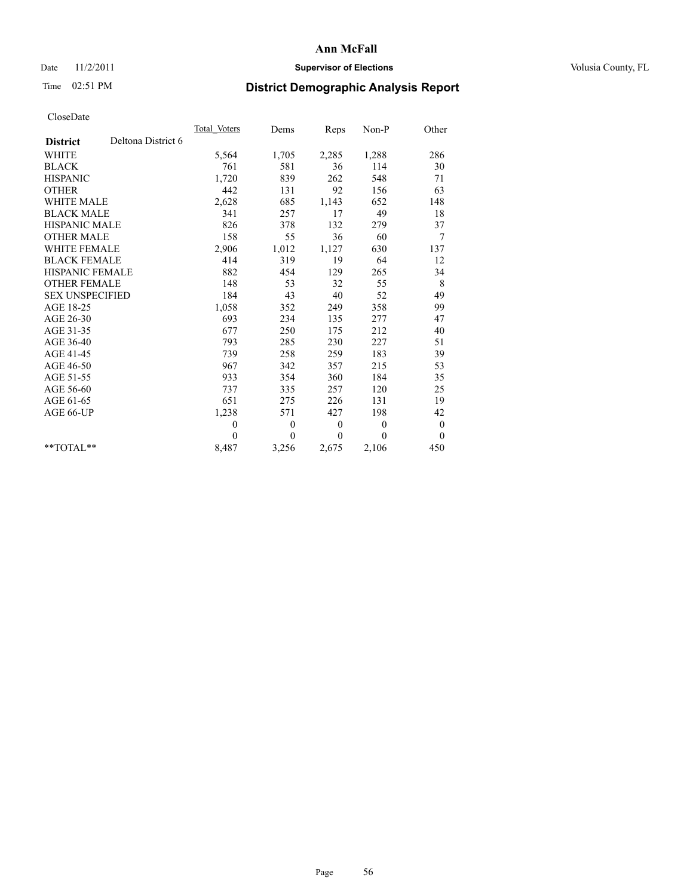## Date 11/2/2011 **Supervisor of Elections Supervisor of Elections** Volusia County, FL

# Time 02:51 PM **District Demographic Analysis Report**

|                                       | Total Voters | Dems         | <b>Reps</b>      | Non-P        | Other        |  |
|---------------------------------------|--------------|--------------|------------------|--------------|--------------|--|
| Deltona District 6<br><b>District</b> |              |              |                  |              |              |  |
| <b>WHITE</b>                          | 5,564        | 1,705        | 2,285            | 1,288        | 286          |  |
| <b>BLACK</b>                          | 761          | 581          | 36               | 114          | 30           |  |
| <b>HISPANIC</b>                       | 1,720        | 839          | 262              | 548          | 71           |  |
| <b>OTHER</b>                          | 442          | 131          | 92               | 156          | 63           |  |
| <b>WHITE MALE</b>                     | 2,628        | 685          | 1,143            | 652          | 148          |  |
| <b>BLACK MALE</b>                     | 341          | 257          | 17               | 49           | 18           |  |
| <b>HISPANIC MALE</b>                  | 826          | 378          | 132              | 279          | 37           |  |
| <b>OTHER MALE</b>                     | 158          | 55           | 36               | 60           | 7            |  |
| <b>WHITE FEMALE</b>                   | 2,906        | 1,012        | 1,127            | 630          | 137          |  |
| <b>BLACK FEMALE</b>                   | 414          | 319          | 19               | 64           | 12           |  |
| HISPANIC FEMALE                       | 882          | 454          | 129              | 265          | 34           |  |
| <b>OTHER FEMALE</b>                   | 148          | 53           | 32               | 55           | 8            |  |
| <b>SEX UNSPECIFIED</b>                | 184          | 43           | 40               | 52           | 49           |  |
| AGE 18-25                             | 1,058        | 352          | 249              | 358          | 99           |  |
| AGE 26-30                             | 693          | 234          | 135              | 277          | 47           |  |
| AGE 31-35                             | 677          | 250          | 175              | 212          | 40           |  |
| AGE 36-40                             | 793          | 285          | 230              | 227          | 51           |  |
| AGE 41-45                             | 739          | 258          | 259              | 183          | 39           |  |
| AGE 46-50                             | 967          | 342          | 357              | 215          | 53           |  |
| AGE 51-55                             | 933          | 354          | 360              | 184          | 35           |  |
| AGE 56-60                             | 737          | 335          | 257              | 120          | 25           |  |
| AGE 61-65                             | 651          | 275          | 226              | 131          | 19           |  |
| AGE 66-UP                             | 1,238        | 571          | 427              | 198          | 42           |  |
|                                       | $\theta$     | $\mathbf{0}$ | $\boldsymbol{0}$ | $\mathbf{0}$ | $\mathbf{0}$ |  |
|                                       | $\theta$     | $\theta$     | $\theta$         | $\theta$     | $\mathbf{0}$ |  |
| $*$ $TOTAI.**$                        | 8,487        | 3,256        | 2,675            | 2,106        | 450          |  |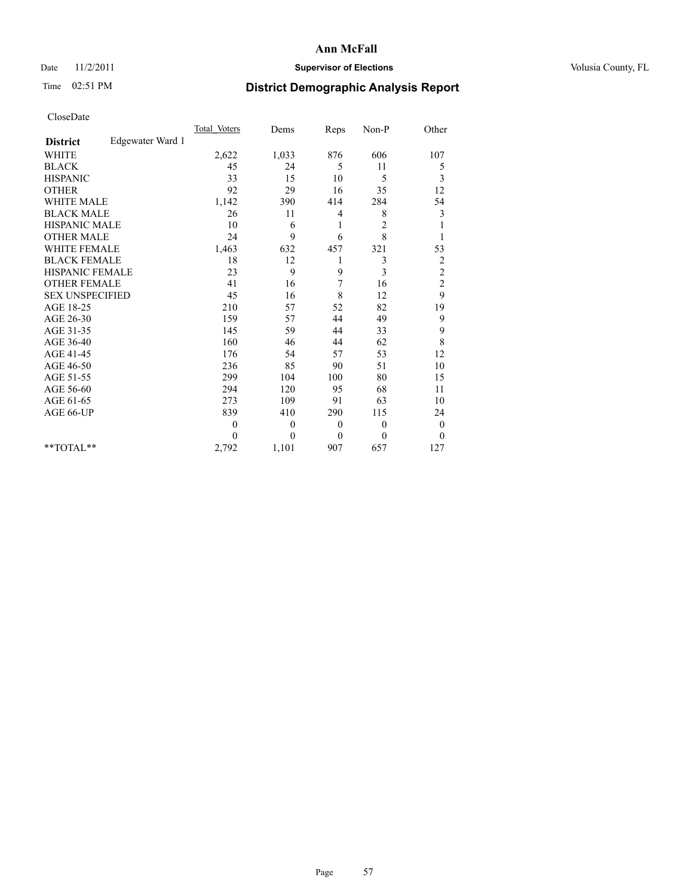## Date 11/2/2011 **Supervisor of Elections Supervisor of Elections** Volusia County, FL

# Time 02:51 PM **District Demographic Analysis Report**

|                                     | <b>Total Voters</b> | Dems             | Reps         | $Non-P$        | Other            |  |
|-------------------------------------|---------------------|------------------|--------------|----------------|------------------|--|
| Edgewater Ward 1<br><b>District</b> |                     |                  |              |                |                  |  |
| <b>WHITE</b>                        | 2,622               | 1,033            | 876          | 606            | 107              |  |
| <b>BLACK</b>                        | 45                  | 24               | 5            | 11             | 5                |  |
| <b>HISPANIC</b>                     | 33                  | 15               | 10           | 5              | 3                |  |
| <b>OTHER</b>                        | 92                  | 29               | 16           | 35             | 12               |  |
| <b>WHITE MALE</b>                   | 1,142               | 390              | 414          | 284            | 54               |  |
| <b>BLACK MALE</b>                   | 26                  | 11               | 4            | 8              | 3                |  |
| HISPANIC MALE                       | 10                  | 6                | 1            | $\overline{c}$ | 1                |  |
| <b>OTHER MALE</b>                   | 24                  | 9                | 6            | 8              |                  |  |
| <b>WHITE FEMALE</b>                 | 1,463               | 632              | 457          | 321            | 53               |  |
| <b>BLACK FEMALE</b>                 | 18                  | 12               | 1            | 3              | $\overline{c}$   |  |
| HISPANIC FEMALE                     | 23                  | 9                | 9            | 3              | $\overline{c}$   |  |
| <b>OTHER FEMALE</b>                 | 41                  | 16               | 7            | 16             | $\overline{c}$   |  |
| <b>SEX UNSPECIFIED</b>              | 45                  | 16               | 8            | 12             | 9                |  |
| AGE 18-25                           | 210                 | 57               | 52           | 82             | 19               |  |
| AGE 26-30                           | 159                 | 57               | 44           | 49             | 9                |  |
| AGE 31-35                           | 145                 | 59               | 44           | 33             | 9                |  |
| AGE 36-40                           | 160                 | 46               | 44           | 62             | 8                |  |
| AGE 41-45                           | 176                 | 54               | 57           | 53             | 12               |  |
| AGE 46-50                           | 236                 | 85               | 90           | 51             | 10               |  |
| AGE 51-55                           | 299                 | 104              | 100          | 80             | 15               |  |
| AGE 56-60                           | 294                 | 120              | 95           | 68             | 11               |  |
| AGE 61-65                           | 273                 | 109              | 91           | 63             | 10               |  |
| AGE 66-UP                           | 839                 | 410              | 290          | 115            | 24               |  |
|                                     | $\theta$            | $\boldsymbol{0}$ | $\mathbf{0}$ | $\mathbf{0}$   | $\boldsymbol{0}$ |  |
|                                     | $\theta$            | $\theta$         | $\mathbf{0}$ | $\theta$       | $\theta$         |  |
| $*$ $TOTAI.**$                      | 2,792               | 1,101            | 907          | 657            | 127              |  |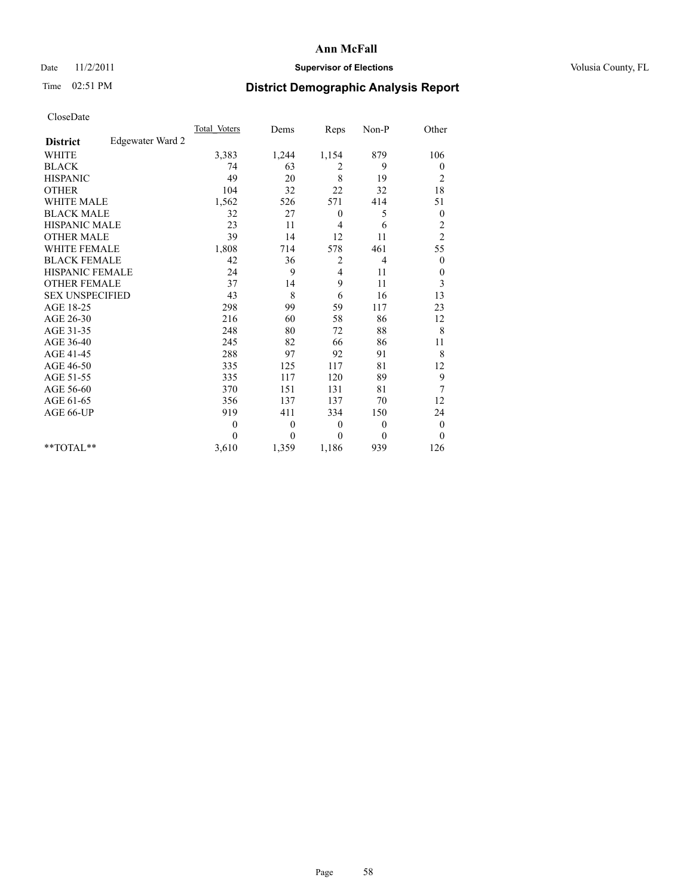## Date 11/2/2011 **Supervisor of Elections Supervisor of Elections** Volusia County, FL

# Time 02:51 PM **District Demographic Analysis Report**

|                                     | <b>Total Voters</b> | Dems         | Reps     | Non-P        | Other            |
|-------------------------------------|---------------------|--------------|----------|--------------|------------------|
| Edgewater Ward 2<br><b>District</b> |                     |              |          |              |                  |
| <b>WHITE</b>                        | 3,383               | 1,244        | 1,154    | 879          | 106              |
| <b>BLACK</b>                        | 74                  | 63           | 2        | 9            | $\boldsymbol{0}$ |
| <b>HISPANIC</b>                     | 49                  | 20           | 8        | 19           | $\overline{c}$   |
| <b>OTHER</b>                        | 104                 | 32           | 22       | 32           | 18               |
| <b>WHITE MALE</b>                   | 1,562               | 526          | 571      | 414          | 51               |
| <b>BLACK MALE</b>                   | 32                  | 27           | $\theta$ | 5            | $\boldsymbol{0}$ |
| <b>HISPANIC MALE</b>                | 23                  | 11           | 4        | 6            | $\overline{c}$   |
| <b>OTHER MALE</b>                   | 39                  | 14           | 12       | 11           | $\overline{c}$   |
| <b>WHITE FEMALE</b>                 | 1,808               | 714          | 578      | 461          | 55               |
| <b>BLACK FEMALE</b>                 | 42                  | 36           | 2        | 4            | $\theta$         |
| HISPANIC FEMALE                     | 24                  | 9            | 4        | 11           | $\boldsymbol{0}$ |
| <b>OTHER FEMALE</b>                 | 37                  | 14           | 9        | 11           | 3                |
| <b>SEX UNSPECIFIED</b>              | 43                  | 8            | 6        | 16           | 13               |
| AGE 18-25                           | 298                 | 99           | 59       | 117          | 23               |
| AGE 26-30                           | 216                 | 60           | 58       | 86           | 12               |
| AGE 31-35                           | 248                 | 80           | 72       | 88           | 8                |
| AGE 36-40                           | 245                 | 82           | 66       | 86           | 11               |
| AGE 41-45                           | 288                 | 97           | 92       | 91           | 8                |
| AGE 46-50                           | 335                 | 125          | 117      | 81           | 12               |
| AGE 51-55                           | 335                 | 117          | 120      | 89           | 9                |
| AGE 56-60                           | 370                 | 151          | 131      | 81           | 7                |
| AGE 61-65                           | 356                 | 137          | 137      | 70           | 12               |
| AGE 66-UP                           | 919                 | 411          | 334      | 150          | 24               |
|                                     | $\theta$            | $\mathbf{0}$ | $\theta$ | $\theta$     | $\mathbf{0}$     |
|                                     | $\theta$            | $\mathbf{0}$ | $\theta$ | $\mathbf{0}$ | $\mathbf{0}$     |
| $*$ $TOTAI.**$                      | 3,610               | 1,359        | 1,186    | 939          | 126              |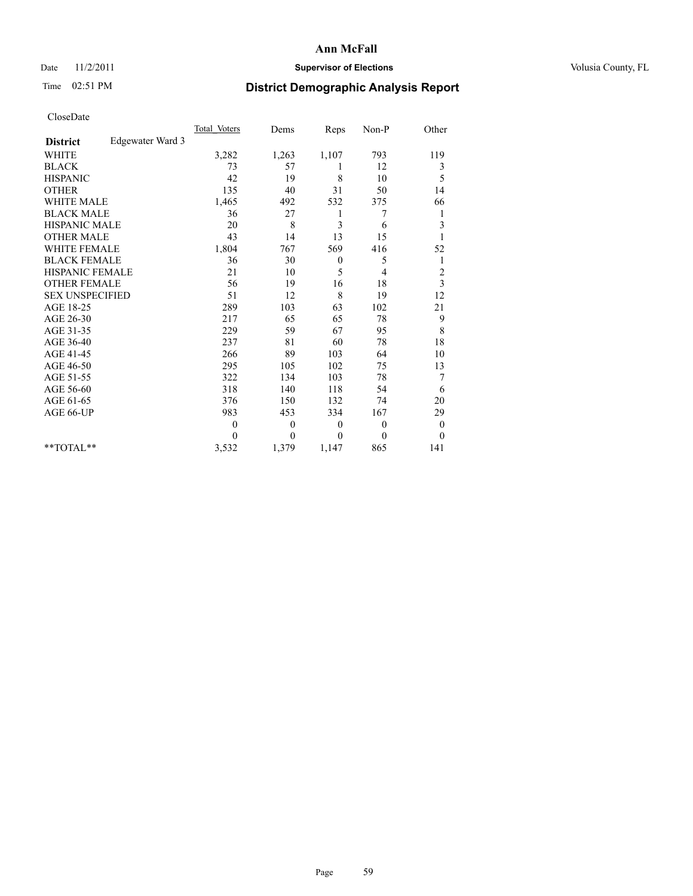## Date 11/2/2011 **Supervisor of Elections Supervisor of Elections** Volusia County, FL

# Time 02:51 PM **District Demographic Analysis Report**

|                        |                  | <b>Total Voters</b> | Dems     | Reps         | Non-P    | Other          |  |
|------------------------|------------------|---------------------|----------|--------------|----------|----------------|--|
| <b>District</b>        | Edgewater Ward 3 |                     |          |              |          |                |  |
| <b>WHITE</b>           |                  | 3,282               | 1,263    | 1,107        | 793      | 119            |  |
| <b>BLACK</b>           |                  | 73                  | 57       | 1            | 12       | 3              |  |
| <b>HISPANIC</b>        |                  | 42                  | 19       | 8            | 10       | 5              |  |
| <b>OTHER</b>           |                  | 135                 | 40       | 31           | 50       | 14             |  |
| WHITE MALE             |                  | 1,465               | 492      | 532          | 375      | 66             |  |
| <b>BLACK MALE</b>      |                  | 36                  | 27       | 1            | 7        | 1              |  |
| <b>HISPANIC MALE</b>   |                  | 20                  | 8        | 3            | 6        | 3              |  |
| <b>OTHER MALE</b>      |                  | 43                  | 14       | 13           | 15       |                |  |
| <b>WHITE FEMALE</b>    |                  | 1,804               | 767      | 569          | 416      | 52             |  |
| <b>BLACK FEMALE</b>    |                  | 36                  | 30       | $\mathbf{0}$ | 5        | $\mathbf{1}$   |  |
| <b>HISPANIC FEMALE</b> |                  | 21                  | 10       | 5            | 4        | $\overline{c}$ |  |
| <b>OTHER FEMALE</b>    |                  | 56                  | 19       | 16           | 18       | 3              |  |
| <b>SEX UNSPECIFIED</b> |                  | 51                  | 12       | 8            | 19       | 12             |  |
| AGE 18-25              |                  | 289                 | 103      | 63           | 102      | 21             |  |
| AGE 26-30              |                  | 217                 | 65       | 65           | 78       | 9              |  |
| AGE 31-35              |                  | 229                 | 59       | 67           | 95       | 8              |  |
| AGE 36-40              |                  | 237                 | 81       | 60           | 78       | 18             |  |
| AGE 41-45              |                  | 266                 | 89       | 103          | 64       | 10             |  |
| AGE 46-50              |                  | 295                 | 105      | 102          | 75       | 13             |  |
| AGE 51-55              |                  | 322                 | 134      | 103          | 78       | 7              |  |
| AGE 56-60              |                  | 318                 | 140      | 118          | 54       | 6              |  |
| AGE 61-65              |                  | 376                 | 150      | 132          | 74       | 20             |  |
| AGE 66-UP              |                  | 983                 | 453      | 334          | 167      | 29             |  |
|                        |                  | $\theta$            | $\theta$ | $\theta$     | $\theta$ | $\mathbf{0}$   |  |
|                        |                  | $\theta$            | $\theta$ | $\theta$     | $\theta$ | $\overline{0}$ |  |
| $*$ $TOTAI.**$         |                  | 3,532               | 1,379    | 1,147        | 865      | 141            |  |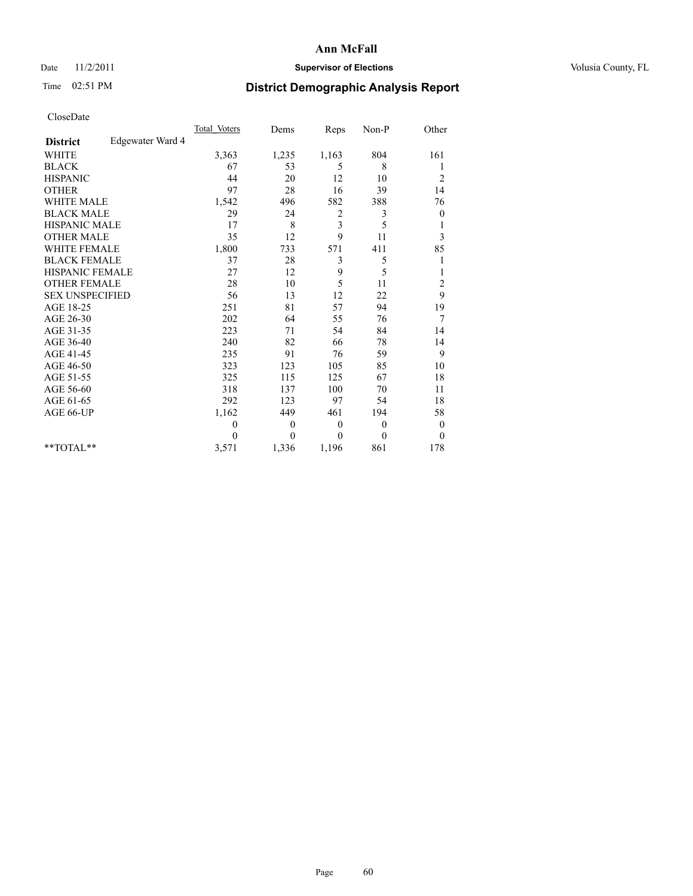### Date 11/2/2011 **Supervisor of Elections Supervisor of Elections** Volusia County, FL

# Time 02:51 PM **District Demographic Analysis Report**

|                                     | <b>Total Voters</b> | Dems             | Reps           | $Non-P$      | Other            |
|-------------------------------------|---------------------|------------------|----------------|--------------|------------------|
| Edgewater Ward 4<br><b>District</b> |                     |                  |                |              |                  |
| <b>WHITE</b>                        | 3,363               | 1,235            | 1,163          | 804          | 161              |
| <b>BLACK</b>                        | 67                  | 53               | 5              | 8            | 1                |
| <b>HISPANIC</b>                     | 44                  | 20               | 12             | 10           | $\overline{c}$   |
| <b>OTHER</b>                        | 97                  | 28               | 16             | 39           | 14               |
| <b>WHITE MALE</b>                   | 1,542               | 496              | 582            | 388          | 76               |
| <b>BLACK MALE</b>                   | 29                  | 24               | 2              | 3            | $\boldsymbol{0}$ |
| <b>HISPANIC MALE</b>                | 17                  | 8                | $\mathfrak{Z}$ | 5            | 1                |
| <b>OTHER MALE</b>                   | 35                  | 12               | 9              | 11           | 3                |
| <b>WHITE FEMALE</b>                 | 1,800               | 733              | 571            | 411          | 85               |
| <b>BLACK FEMALE</b>                 | 37                  | 28               | 3              | 5            | 1                |
| HISPANIC FEMALE                     | 27                  | 12               | 9              | 5            | 1                |
| <b>OTHER FEMALE</b>                 | 28                  | 10               | 5              | 11           | $\overline{c}$   |
| <b>SEX UNSPECIFIED</b>              | 56                  | 13               | 12             | 22           | 9                |
| AGE 18-25                           | 251                 | 81               | 57             | 94           | 19               |
| AGE 26-30                           | 202                 | 64               | 55             | 76           | 7                |
| AGE 31-35                           | 223                 | 71               | 54             | 84           | 14               |
| AGE 36-40                           | 240                 | 82               | 66             | 78           | 14               |
| AGE 41-45                           | 235                 | 91               | 76             | 59           | 9                |
| AGE 46-50                           | 323                 | 123              | 105            | 85           | 10               |
| AGE 51-55                           | 325                 | 115              | 125            | 67           | 18               |
| AGE 56-60                           | 318                 | 137              | 100            | 70           | 11               |
| AGE 61-65                           | 292                 | 123              | 97             | 54           | 18               |
| AGE 66-UP                           | 1,162               | 449              | 461            | 194          | 58               |
|                                     | $\mathbf{0}$        | $\boldsymbol{0}$ | $\mathbf{0}$   | $\theta$     | $\boldsymbol{0}$ |
|                                     | $\Omega$            | $\theta$         | $\mathbf{0}$   | $\mathbf{0}$ | $\mathbf{0}$     |
| $*$ $TOTAI.**$                      | 3,571               | 1,336            | 1,196          | 861          | 178              |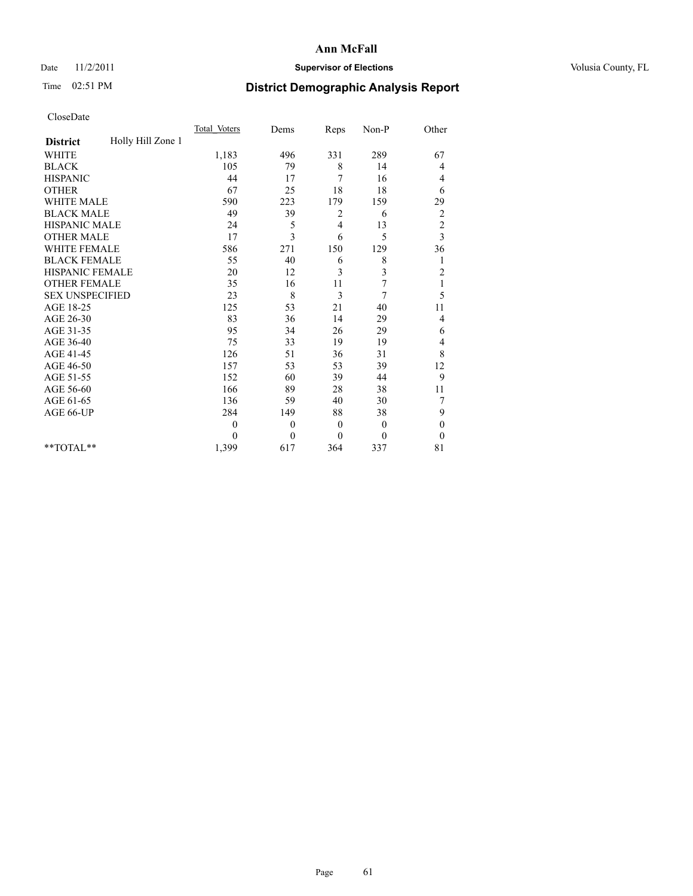## Date 11/2/2011 **Supervisor of Elections Supervisor of Elections** Volusia County, FL

# Time 02:51 PM **District Demographic Analysis Report**

|                        |                   | <b>Total Voters</b> | Dems         | Reps           | Non-P        | Other                   |
|------------------------|-------------------|---------------------|--------------|----------------|--------------|-------------------------|
| <b>District</b>        | Holly Hill Zone 1 |                     |              |                |              |                         |
| <b>WHITE</b>           |                   | 1,183               | 496          | 331            | 289          | 67                      |
| <b>BLACK</b>           |                   | 105                 | 79           | 8              | 14           | 4                       |
| <b>HISPANIC</b>        |                   | 44                  | 17           | 7              | 16           | 4                       |
| <b>OTHER</b>           |                   | 67                  | 25           | 18             | 18           | 6                       |
| WHITE MALE             |                   | 590                 | 223          | 179            | 159          | 29                      |
| <b>BLACK MALE</b>      |                   | 49                  | 39           | 2              | 6            | $\overline{\mathbf{c}}$ |
| HISPANIC MALE          |                   | 24                  | 5            | $\overline{4}$ | 13           | $\overline{c}$          |
| <b>OTHER MALE</b>      |                   | 17                  | 3            | 6              | 5            | $\overline{\mathbf{3}}$ |
| <b>WHITE FEMALE</b>    |                   | 586                 | 271          | 150            | 129          | 36                      |
| <b>BLACK FEMALE</b>    |                   | 55                  | 40           | 6              | 8            | 1                       |
| <b>HISPANIC FEMALE</b> |                   | 20                  | 12           | 3              | 3            | $\overline{c}$          |
| <b>OTHER FEMALE</b>    |                   | 35                  | 16           | 11             | 7            | 1                       |
| <b>SEX UNSPECIFIED</b> |                   | 23                  | 8            | 3              | 7            | 5                       |
| AGE 18-25              |                   | 125                 | 53           | 21             | 40           | 11                      |
| AGE 26-30              |                   | 83                  | 36           | 14             | 29           | 4                       |
| AGE 31-35              |                   | 95                  | 34           | 26             | 29           | 6                       |
| AGE 36-40              |                   | 75                  | 33           | 19             | 19           | 4                       |
| AGE 41-45              |                   | 126                 | 51           | 36             | 31           | 8                       |
| AGE 46-50              |                   | 157                 | 53           | 53             | 39           | 12                      |
| AGE 51-55              |                   | 152                 | 60           | 39             | 44           | 9                       |
| AGE 56-60              |                   | 166                 | 89           | 28             | 38           | 11                      |
| AGE 61-65              |                   | 136                 | 59           | 40             | 30           | 7                       |
| AGE 66-UP              |                   | 284                 | 149          | 88             | 38           | 9                       |
|                        |                   | $\theta$            | $\mathbf{0}$ | $\theta$       | $\mathbf{0}$ | $\boldsymbol{0}$        |
|                        |                   | $\theta$            | $\theta$     | $\theta$       | $\theta$     | $\theta$                |
| $*$ $TOTAI.**$         |                   | 1,399               | 617          | 364            | 337          | 81                      |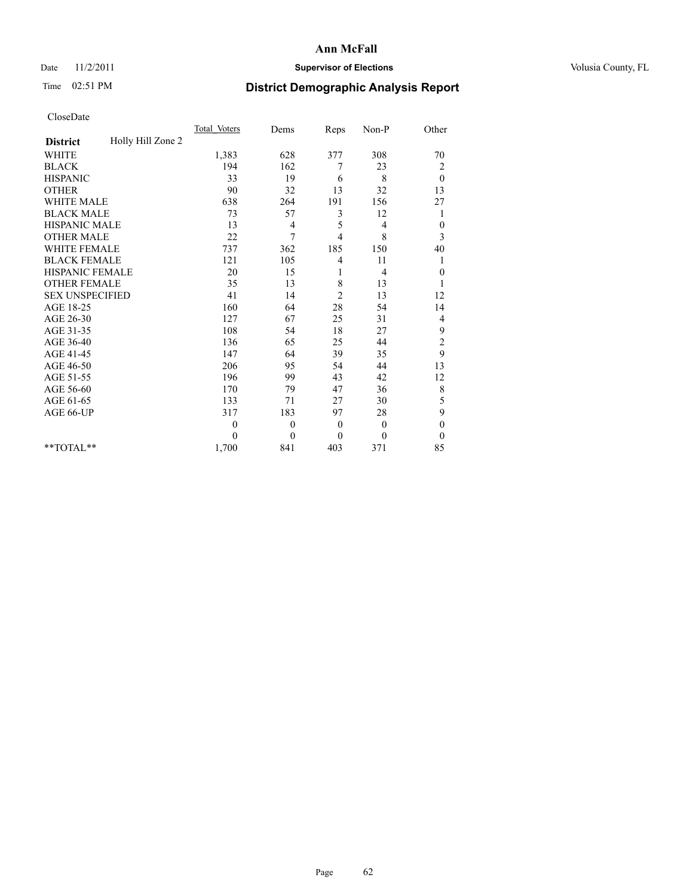## Date 11/2/2011 **Supervisor of Elections Supervisor of Elections** Volusia County, FL

# Time 02:51 PM **District Demographic Analysis Report**

|                        |                   | <b>Total Voters</b> | Dems     | Reps           | Non-P        | Other                   |
|------------------------|-------------------|---------------------|----------|----------------|--------------|-------------------------|
| <b>District</b>        | Holly Hill Zone 2 |                     |          |                |              |                         |
| <b>WHITE</b>           |                   | 1,383               | 628      | 377            | 308          | 70                      |
| <b>BLACK</b>           |                   | 194                 | 162      | 7              | 23           | $\overline{\mathbf{c}}$ |
| <b>HISPANIC</b>        |                   | 33                  | 19       | 6              | 8            | $\theta$                |
| <b>OTHER</b>           |                   | 90                  | 32       | 13             | 32           | 13                      |
| <b>WHITE MALE</b>      |                   | 638                 | 264      | 191            | 156          | 27                      |
| <b>BLACK MALE</b>      |                   | 73                  | 57       | 3              | 12           | 1                       |
| HISPANIC MALE          |                   | 13                  | 4        | 5              | 4            | $\boldsymbol{0}$        |
| <b>OTHER MALE</b>      |                   | 22                  | 7        | $\overline{4}$ | 8            | 3                       |
| <b>WHITE FEMALE</b>    |                   | 737                 | 362      | 185            | 150          | 40                      |
| <b>BLACK FEMALE</b>    |                   | 121                 | 105      | 4              | 11           | 1                       |
| HISPANIC FEMALE        |                   | 20                  | 15       | 1              | 4            | $\boldsymbol{0}$        |
| <b>OTHER FEMALE</b>    |                   | 35                  | 13       | 8              | 13           |                         |
| <b>SEX UNSPECIFIED</b> |                   | 41                  | 14       | $\overline{c}$ | 13           | 12                      |
| AGE 18-25              |                   | 160                 | 64       | 28             | 54           | 14                      |
| AGE 26-30              |                   | 127                 | 67       | 25             | 31           | 4                       |
| AGE 31-35              |                   | 108                 | 54       | 18             | 27           | 9                       |
| AGE 36-40              |                   | 136                 | 65       | 25             | 44           | $\overline{c}$          |
| AGE 41-45              |                   | 147                 | 64       | 39             | 35           | 9                       |
| AGE 46-50              |                   | 206                 | 95       | 54             | 44           | 13                      |
| AGE 51-55              |                   | 196                 | 99       | 43             | 42           | 12                      |
| AGE 56-60              |                   | 170                 | 79       | 47             | 36           | 8                       |
| AGE 61-65              |                   | 133                 | 71       | 27             | 30           | 5                       |
| AGE 66-UP              |                   | 317                 | 183      | 97             | 28           | 9                       |
|                        |                   | $\theta$            | $\theta$ | $\overline{0}$ | $\theta$     | $\mathbf{0}$            |
|                        |                   | $\Omega$            | $\theta$ | $\theta$       | $\mathbf{0}$ | $\overline{0}$          |
| $*$ $TOTAI.**$         |                   | 1,700               | 841      | 403            | 371          | 85                      |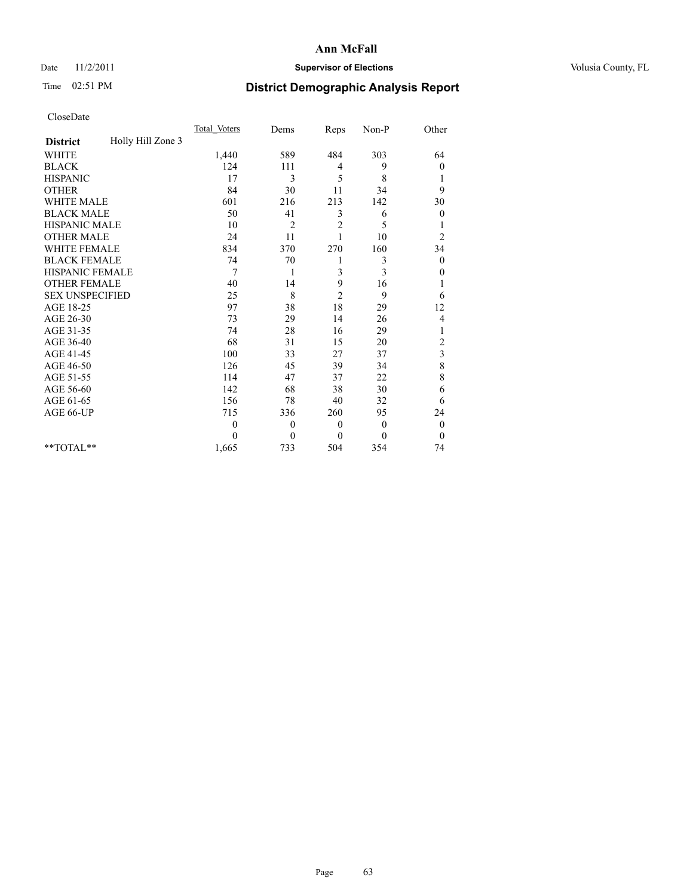## Date 11/2/2011 **Supervisor of Elections Supervisor of Elections** Volusia County, FL

# Time 02:51 PM **District Demographic Analysis Report**

|                                      | <b>Total Voters</b> | Dems           | Reps             | Non-P        | Other            |
|--------------------------------------|---------------------|----------------|------------------|--------------|------------------|
| Holly Hill Zone 3<br><b>District</b> |                     |                |                  |              |                  |
| <b>WHITE</b>                         | 1,440               | 589            | 484              | 303          | 64               |
| <b>BLACK</b>                         | 124                 | 111            | 4                | 9            | $\boldsymbol{0}$ |
| <b>HISPANIC</b>                      | 17                  | 3              | 5                | 8            |                  |
| <b>OTHER</b>                         | 84                  | 30             | 11               | 34           | 9                |
| WHITE MALE                           | 601                 | 216            | 213              | 142          | 30               |
| <b>BLACK MALE</b>                    | 50                  | 41             | 3                | 6            | $\overline{0}$   |
| HISPANIC MALE                        | 10                  | $\overline{2}$ | $\overline{c}$   | 5            |                  |
| <b>OTHER MALE</b>                    | 24                  | 11             |                  | 10           | $\overline{c}$   |
| <b>WHITE FEMALE</b>                  | 834                 | 370            | 270              | 160          | 34               |
| <b>BLACK FEMALE</b>                  | 74                  | 70             | 1                | 3            | $\overline{0}$   |
| <b>HISPANIC FEMALE</b>               | 7                   | 1              | 3                | 3            | 0                |
| <b>OTHER FEMALE</b>                  | 40                  | 14             | 9                | 16           | 1                |
| <b>SEX UNSPECIFIED</b>               | 25                  | 8              | $\overline{2}$   | 9            | 6                |
| AGE 18-25                            | 97                  | 38             | 18               | 29           | 12               |
| AGE 26-30                            | 73                  | 29             | 14               | 26           | 4                |
| AGE 31-35                            | 74                  | 28             | 16               | 29           |                  |
| AGE 36-40                            | 68                  | 31             | 15               | 20           | $\overline{c}$   |
| AGE 41-45                            | 100                 | 33             | 27               | 37           | 3                |
| AGE 46-50                            | 126                 | 45             | 39               | 34           | 8                |
| AGE 51-55                            | 114                 | 47             | 37               | 22           | 8                |
| AGE 56-60                            | 142                 | 68             | 38               | 30           | 6                |
| AGE 61-65                            | 156                 | 78             | 40               | 32           | 6                |
| AGE 66-UP                            | 715                 | 336            | 260              | 95           | 24               |
|                                      | $\theta$            | $\mathbf{0}$   | $\boldsymbol{0}$ | $\mathbf{0}$ | $\boldsymbol{0}$ |
|                                      | $\Omega$            | $\theta$       | $\theta$         | $\mathbf{0}$ | $\overline{0}$   |
| $*$ $TOTAI.**$                       | 1,665               | 733            | 504              | 354          | 74               |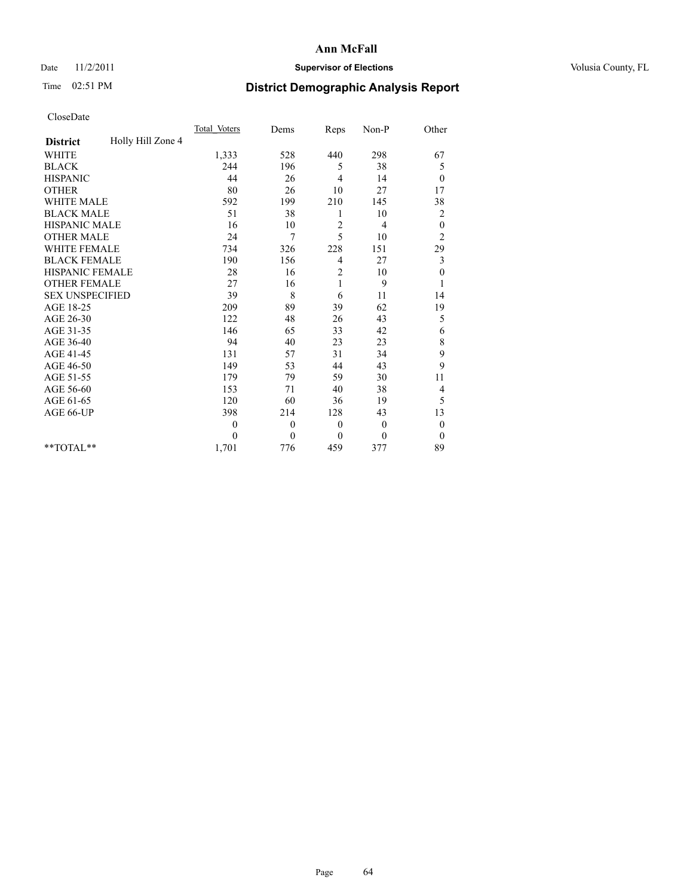## Date 11/2/2011 **Supervisor of Elections Supervisor of Elections** Volusia County, FL

# Time 02:51 PM **District Demographic Analysis Report**

|                                      | <b>Total Voters</b> | Dems         | Reps           | Non-P          | Other            |
|--------------------------------------|---------------------|--------------|----------------|----------------|------------------|
| Holly Hill Zone 4<br><b>District</b> |                     |              |                |                |                  |
| <b>WHITE</b>                         | 1,333               | 528          | 440            | 298            | 67               |
| <b>BLACK</b>                         | 244                 | 196          | 5              | 38             | 5                |
| <b>HISPANIC</b>                      | 44                  | 26           | $\overline{4}$ | 14             | $\theta$         |
| <b>OTHER</b>                         | 80                  | 26           | 10             | 27             | 17               |
| <b>WHITE MALE</b>                    | 592                 | 199          | 210            | 145            | 38               |
| <b>BLACK MALE</b>                    | 51                  | 38           | 1              | 10             | $\overline{c}$   |
| <b>HISPANIC MALE</b>                 | 16                  | 10           | 2              | 4              | $\boldsymbol{0}$ |
| <b>OTHER MALE</b>                    | 24                  | 7            | 5              | 10             | $\overline{c}$   |
| <b>WHITE FEMALE</b>                  | 734                 | 326          | 228            | 151            | 29               |
| <b>BLACK FEMALE</b>                  | 190                 | 156          | 4              | 27             | 3                |
| HISPANIC FEMALE                      | 28                  | 16           | 2              | 10             | $\boldsymbol{0}$ |
| <b>OTHER FEMALE</b>                  | 27                  | 16           | 1              | 9              | 1                |
| <b>SEX UNSPECIFIED</b>               | 39                  | 8            | 6              | 11             | 14               |
| AGE 18-25                            | 209                 | 89           | 39             | 62             | 19               |
| AGE 26-30                            | 122                 | 48           | 26             | 43             | 5                |
| AGE 31-35                            | 146                 | 65           | 33             | 42             | 6                |
| AGE 36-40                            | 94                  | 40           | 23             | 23             | 8                |
| AGE 41-45                            | 131                 | 57           | 31             | 34             | 9                |
| AGE 46-50                            | 149                 | 53           | 44             | 43             | 9                |
| AGE 51-55                            | 179                 | 79           | 59             | 30             | 11               |
| AGE 56-60                            | 153                 | 71           | 40             | 38             | 4                |
| AGE 61-65                            | 120                 | 60           | 36             | 19             | 5                |
| AGE 66-UP                            | 398                 | 214          | 128            | 43             | 13               |
|                                      | $\theta$            | $\theta$     | $\theta$       | $\overline{0}$ | $\boldsymbol{0}$ |
|                                      | $\theta$            | $\mathbf{0}$ | $\mathbf{0}$   | $\mathbf{0}$   | $\theta$         |
| $*$ $TOTAI.**$                       | 1,701               | 776          | 459            | 377            | 89               |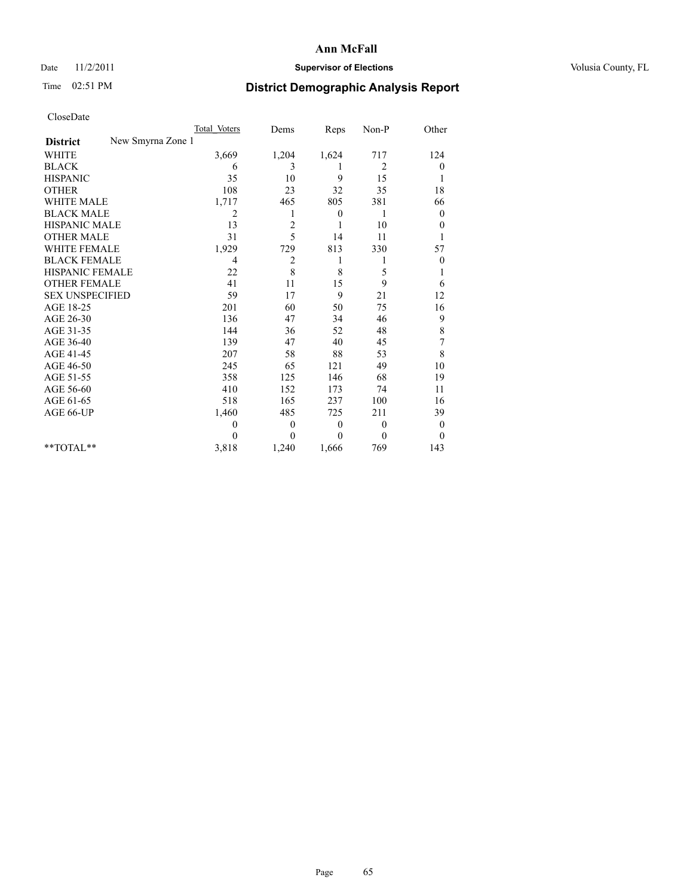## Date 11/2/2011 **Supervisor of Elections Supervisor of Elections** Volusia County, FL

# Time 02:51 PM **District Demographic Analysis Report**

|                                      | Total Voters | Dems           | Reps         | $Non-P$      | Other            |
|--------------------------------------|--------------|----------------|--------------|--------------|------------------|
| New Smyrna Zone 1<br><b>District</b> |              |                |              |              |                  |
| <b>WHITE</b>                         | 3,669        | 1,204          | 1,624        | 717          | 124              |
| <b>BLACK</b>                         | 6            | 3              | 1            | 2            | $\mathbf{0}$     |
| <b>HISPANIC</b>                      | 35           | 10             | 9            | 15           |                  |
| <b>OTHER</b>                         | 108          | 23             | 32           | 35           | 18               |
| <b>WHITE MALE</b>                    | 1,717        | 465            | 805          | 381          | 66               |
| <b>BLACK MALE</b>                    | 2            | 1              | 0            | 1            | $\overline{0}$   |
| <b>HISPANIC MALE</b>                 | 13           | $\overline{c}$ | 1            | 10           | $\theta$         |
| <b>OTHER MALE</b>                    | 31           | 5              | 14           | 11           |                  |
| WHITE FEMALE                         | 1,929        | 729            | 813          | 330          | 57               |
| <b>BLACK FEMALE</b>                  | 4            | $\overline{c}$ | 1            |              | $\boldsymbol{0}$ |
| HISPANIC FEMALE                      | 22           | 8              | 8            | 5            |                  |
| <b>OTHER FEMALE</b>                  | 41           | 11             | 15           | 9            | 6                |
| <b>SEX UNSPECIFIED</b>               | 59           | 17             | 9            | 21           | 12               |
| AGE 18-25                            | 201          | 60             | 50           | 75           | 16               |
| AGE 26-30                            | 136          | 47             | 34           | 46           | 9                |
| AGE 31-35                            | 144          | 36             | 52           | 48           | 8                |
| AGE 36-40                            | 139          | 47             | 40           | 45           | 7                |
| AGE 41-45                            | 207          | 58             | 88           | 53           | 8                |
| AGE 46-50                            | 245          | 65             | 121          | 49           | 10               |
| AGE 51-55                            | 358          | 125            | 146          | 68           | 19               |
| AGE 56-60                            | 410          | 152            | 173          | 74           | 11               |
| AGE 61-65                            | 518          | 165            | 237          | 100          | 16               |
| AGE 66-UP                            | 1,460        | 485            | 725          | 211          | 39               |
|                                      | $\mathbf{0}$ | $\mathbf{0}$   | $\mathbf{0}$ | $\mathbf{0}$ | $\overline{0}$   |
|                                      | $\theta$     | $\theta$       | $\theta$     | $\theta$     | $\theta$         |
| **TOTAL**                            | 3,818        | 1,240          | 1,666        | 769          | 143              |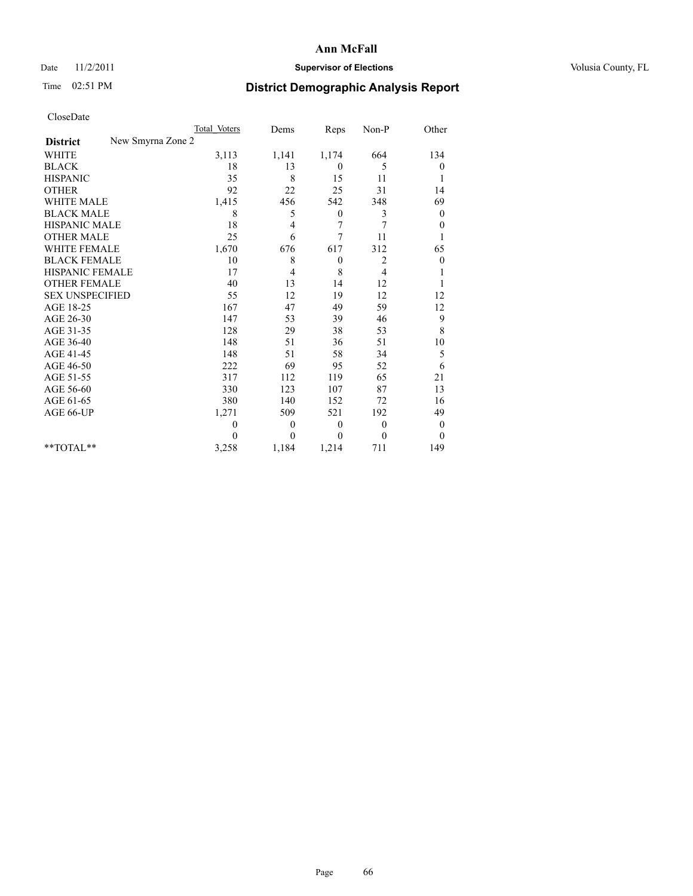### Date 11/2/2011 **Supervisor of Elections Supervisor of Elections** Volusia County, FL

# Time 02:51 PM **District Demographic Analysis Report**

|                                      | Total Voters | Dems         | Reps         | Non-P          | Other            |
|--------------------------------------|--------------|--------------|--------------|----------------|------------------|
| New Smyrna Zone 2<br><b>District</b> |              |              |              |                |                  |
| <b>WHITE</b>                         | 3,113        | 1,141        | 1,174        | 664            | 134              |
| <b>BLACK</b>                         | 18           | 13           | $\mathbf{0}$ | 5              | 0                |
| <b>HISPANIC</b>                      | 35           | 8            | 15           | 11             | 1                |
| <b>OTHER</b>                         | 92           | 22           | 25           | 31             | 14               |
| <b>WHITE MALE</b>                    | 1,415        | 456          | 542          | 348            | 69               |
| <b>BLACK MALE</b>                    | 8            | 5            | $\mathbf{0}$ | 3              | $\boldsymbol{0}$ |
| <b>HISPANIC MALE</b>                 | 18           | 4            | 7            | 7              | $\boldsymbol{0}$ |
| <b>OTHER MALE</b>                    | 25           | 6            | 7            | 11             |                  |
| <b>WHITE FEMALE</b>                  | 1,670        | 676          | 617          | 312            | 65               |
| <b>BLACK FEMALE</b>                  | 10           | 8            | $\theta$     | 2              | $\boldsymbol{0}$ |
| HISPANIC FEMALE                      | 17           | 4            | 8            | $\overline{4}$ |                  |
| <b>OTHER FEMALE</b>                  | 40           | 13           | 14           | 12             |                  |
| <b>SEX UNSPECIFIED</b>               | 55           | 12           | 19           | 12             | 12               |
| AGE 18-25                            | 167          | 47           | 49           | 59             | 12               |
| AGE 26-30                            | 147          | 53           | 39           | 46             | 9                |
| AGE 31-35                            | 128          | 29           | 38           | 53             | $\,$ 8 $\,$      |
| AGE 36-40                            | 148          | 51           | 36           | 51             | 10               |
| AGE 41-45                            | 148          | 51           | 58           | 34             | 5                |
| AGE 46-50                            | 222          | 69           | 95           | 52             | 6                |
| AGE 51-55                            | 317          | 112          | 119          | 65             | 21               |
| AGE 56-60                            | 330          | 123          | 107          | 87             | 13               |
| AGE 61-65                            | 380          | 140          | 152          | 72             | 16               |
| AGE 66-UP                            | 1,271        | 509          | 521          | 192            | 49               |
|                                      | $\theta$     | $\mathbf{0}$ | $\mathbf{0}$ | $\overline{0}$ | $\boldsymbol{0}$ |
|                                      | $\Omega$     | $\theta$     | $\theta$     | $\theta$       | $\theta$         |
| $*$ $TOTAI.**$                       | 3,258        | 1,184        | 1,214        | 711            | 149              |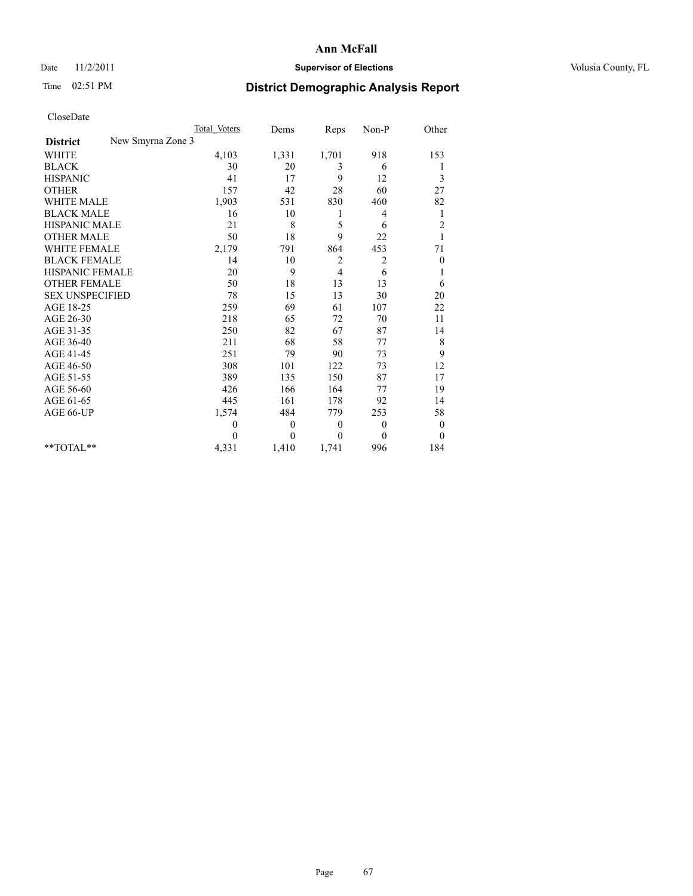## Date 11/2/2011 **Supervisor of Elections Supervisor of Elections** Volusia County, FL

# Time 02:51 PM **District Demographic Analysis Report**

|                                      | <b>Total Voters</b> | Dems     | Reps         | Non-P          | Other            |
|--------------------------------------|---------------------|----------|--------------|----------------|------------------|
| New Smyrna Zone 3<br><b>District</b> |                     |          |              |                |                  |
| <b>WHITE</b>                         | 4,103               | 1,331    | 1,701        | 918            | 153              |
| <b>BLACK</b>                         | 30                  | 20       | 3            | 6              | 1                |
| <b>HISPANIC</b>                      | 41                  | 17       | 9            | 12             | 3                |
| <b>OTHER</b>                         | 157                 | 42       | 28           | 60             | 27               |
| <b>WHITE MALE</b>                    | 1,903               | 531      | 830          | 460            | 82               |
| <b>BLACK MALE</b>                    | 16                  | 10       | 1            | 4              | 1                |
| <b>HISPANIC MALE</b>                 | 21                  | 8        | 5            | 6              | $\overline{c}$   |
| <b>OTHER MALE</b>                    | 50                  | 18       | 9            | 22             | $\mathbf{1}$     |
| <b>WHITE FEMALE</b>                  | 2,179               | 791      | 864          | 453            | 71               |
| <b>BLACK FEMALE</b>                  | 14                  | 10       | 2            | $\overline{c}$ | $\boldsymbol{0}$ |
| HISPANIC FEMALE                      | 20                  | 9        | 4            | 6              | 1                |
| <b>OTHER FEMALE</b>                  | 50                  | 18       | 13           | 13             | 6                |
| <b>SEX UNSPECIFIED</b>               | 78                  | 15       | 13           | 30             | 20               |
| AGE 18-25                            | 259                 | 69       | 61           | 107            | 22               |
| AGE 26-30                            | 218                 | 65       | 72           | 70             | 11               |
| AGE 31-35                            | 250                 | 82       | 67           | 87             | 14               |
| AGE 36-40                            | 211                 | 68       | 58           | 77             | 8                |
| AGE 41-45                            | 251                 | 79       | 90           | 73             | 9                |
| AGE 46-50                            | 308                 | 101      | 122          | 73             | 12               |
| AGE 51-55                            | 389                 | 135      | 150          | 87             | 17               |
| AGE 56-60                            | 426                 | 166      | 164          | 77             | 19               |
| AGE 61-65                            | 445                 | 161      | 178          | 92             | 14               |
| AGE 66-UP                            | 1,574               | 484      | 779          | 253            | 58               |
|                                      | $\theta$            | $\theta$ | $\mathbf{0}$ | $\theta$       | $\mathbf{0}$     |
|                                      | $\theta$            | $\theta$ | $\theta$     | $\theta$       | $\mathbf{0}$     |
| $*$ $TOTAI.**$                       | 4,331               | 1,410    | 1,741        | 996            | 184              |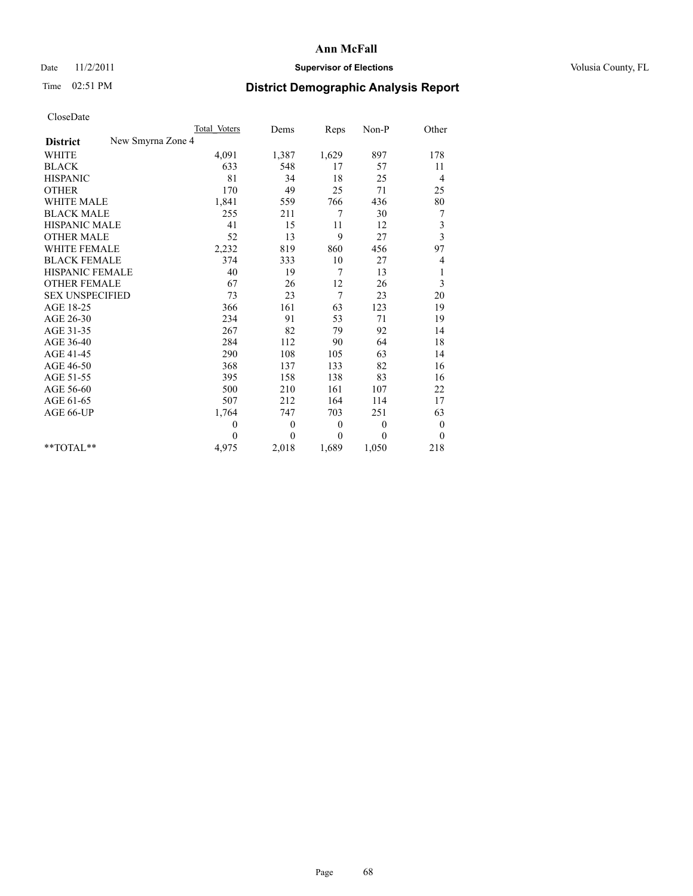### Date 11/2/2011 **Supervisor of Elections Supervisor of Elections** Volusia County, FL

# Time 02:51 PM **District Demographic Analysis Report**

|                                      | Total Voters | Dems         | Reps     | Non-P        | Other                   |
|--------------------------------------|--------------|--------------|----------|--------------|-------------------------|
| New Smyrna Zone 4<br><b>District</b> |              |              |          |              |                         |
| <b>WHITE</b>                         | 4,091        | 1,387        | 1,629    | 897          | 178                     |
| <b>BLACK</b>                         | 633          | 548          | 17       | 57           | 11                      |
| <b>HISPANIC</b>                      | 81           | 34           | 18       | 25           | 4                       |
| <b>OTHER</b>                         | 170          | 49           | 25       | 71           | 25                      |
| <b>WHITE MALE</b>                    | 1,841        | 559          | 766      | 436          | 80                      |
| <b>BLACK MALE</b>                    | 255          | 211          | 7        | 30           | 7                       |
| HISPANIC MALE                        | 41           | 15           | 11       | 12           | 3                       |
| <b>OTHER MALE</b>                    | 52           | 13           | 9        | 27           | $\overline{\mathbf{3}}$ |
| <b>WHITE FEMALE</b>                  | 2,232        | 819          | 860      | 456          | 97                      |
| <b>BLACK FEMALE</b>                  | 374          | 333          | 10       | 27           | 4                       |
| HISPANIC FEMALE                      | 40           | 19           | 7        | 13           | 1                       |
| <b>OTHER FEMALE</b>                  | 67           | 26           | 12       | 26           | 3                       |
| <b>SEX UNSPECIFIED</b>               | 73           | 23           | 7        | 23           | 20                      |
| AGE 18-25                            | 366          | 161          | 63       | 123          | 19                      |
| AGE 26-30                            | 234          | 91           | 53       | 71           | 19                      |
| AGE 31-35                            | 267          | 82           | 79       | 92           | 14                      |
| AGE 36-40                            | 284          | 112          | 90       | 64           | 18                      |
| AGE 41-45                            | 290          | 108          | 105      | 63           | 14                      |
| AGE 46-50                            | 368          | 137          | 133      | 82           | 16                      |
| AGE 51-55                            | 395          | 158          | 138      | 83           | 16                      |
| AGE 56-60                            | 500          | 210          | 161      | 107          | 22                      |
| AGE 61-65                            | 507          | 212          | 164      | 114          | 17                      |
| AGE 66-UP                            | 1,764        | 747          | 703      | 251          | 63                      |
|                                      | $\theta$     | $\mathbf{0}$ | $\theta$ | $\mathbf{0}$ | $\boldsymbol{0}$        |
|                                      | $\theta$     | $\theta$     | $\theta$ | $\theta$     | $\mathbf{0}$            |
| $*$ $TOTAI.**$                       | 4,975        | 2,018        | 1,689    | 1,050        | 218                     |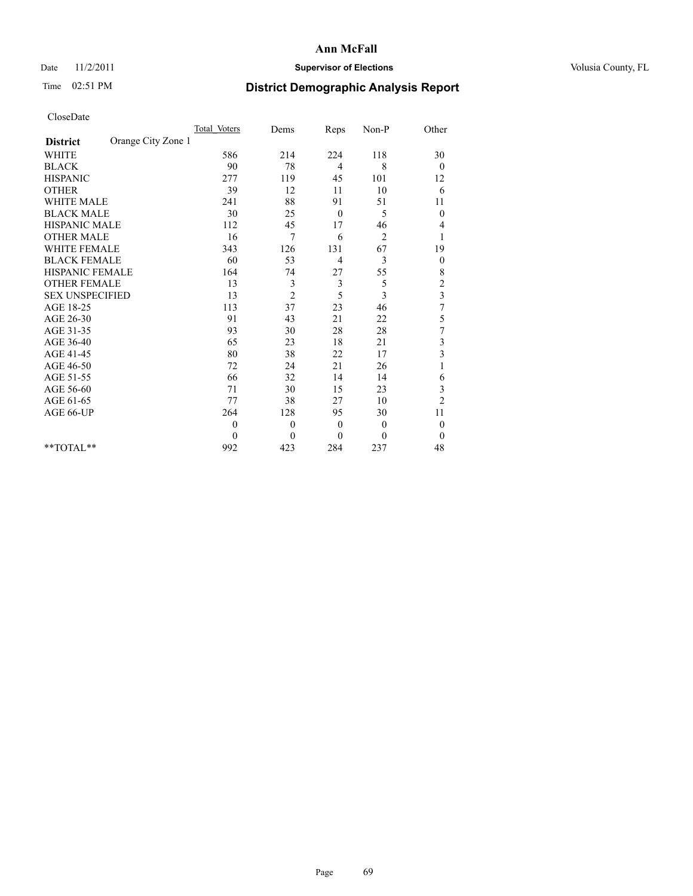## Date 11/2/2011 **Supervisor of Elections Supervisor of Elections** Volusia County, FL

# Time 02:51 PM **District Demographic Analysis Report**

|                                       | Total Voters | Dems           | Reps           | $Non-P$        | Other                   |  |
|---------------------------------------|--------------|----------------|----------------|----------------|-------------------------|--|
| Orange City Zone 1<br><b>District</b> |              |                |                |                |                         |  |
| <b>WHITE</b>                          | 586          | 214            | 224            | 118            | 30                      |  |
| <b>BLACK</b>                          | 90           | 78             | $\overline{4}$ | 8              | $\overline{0}$          |  |
| <b>HISPANIC</b>                       | 277          | 119            | 45             | 101            | 12                      |  |
| <b>OTHER</b>                          | 39           | 12             | 11             | 10             | 6                       |  |
| <b>WHITE MALE</b>                     | 241          | 88             | 91             | 51             | 11                      |  |
| <b>BLACK MALE</b>                     | 30           | 25             | $\mathbf{0}$   | 5              | $\boldsymbol{0}$        |  |
| <b>HISPANIC MALE</b>                  | 112          | 45             | 17             | 46             | 4                       |  |
| <b>OTHER MALE</b>                     | 16           | 7              | 6              | $\overline{2}$ |                         |  |
| WHITE FEMALE                          | 343          | 126            | 131            | 67             | 19                      |  |
| <b>BLACK FEMALE</b>                   | 60           | 53             | 4              | 3              | $\boldsymbol{0}$        |  |
| HISPANIC FEMALE                       | 164          | 74             | 27             | 55             | $\,$ 8 $\,$             |  |
| <b>OTHER FEMALE</b>                   | 13           | 3              | 3              | 5              | $\overline{\mathbf{c}}$ |  |
| <b>SEX UNSPECIFIED</b>                | 13           | $\overline{c}$ | 5              | 3              | 3                       |  |
| AGE 18-25                             | 113          | 37             | 23             | 46             | $\overline{7}$          |  |
| AGE 26-30                             | 91           | 43             | 21             | 22             | 5                       |  |
| AGE 31-35                             | 93           | 30             | 28             | 28             | $\boldsymbol{7}$        |  |
| AGE 36-40                             | 65           | 23             | 18             | 21             | 3                       |  |
| AGE 41-45                             | 80           | 38             | 22             | 17             | 3                       |  |
| AGE 46-50                             | 72           | 24             | 21             | 26             |                         |  |
| AGE 51-55                             | 66           | 32             | 14             | 14             | 6                       |  |
| AGE 56-60                             | 71           | 30             | 15             | 23             | 3                       |  |
| AGE 61-65                             | 77           | 38             | 27             | 10             | $\overline{c}$          |  |
| AGE 66-UP                             | 264          | 128            | 95             | 30             | 11                      |  |
|                                       | $\theta$     | $\theta$       | $\mathbf{0}$   | $\theta$       | $\theta$                |  |
|                                       | $\Omega$     | $\theta$       | $\theta$       | $\theta$       | $\theta$                |  |
| **TOTAL**                             | 992          | 423            | 284            | 237            | 48                      |  |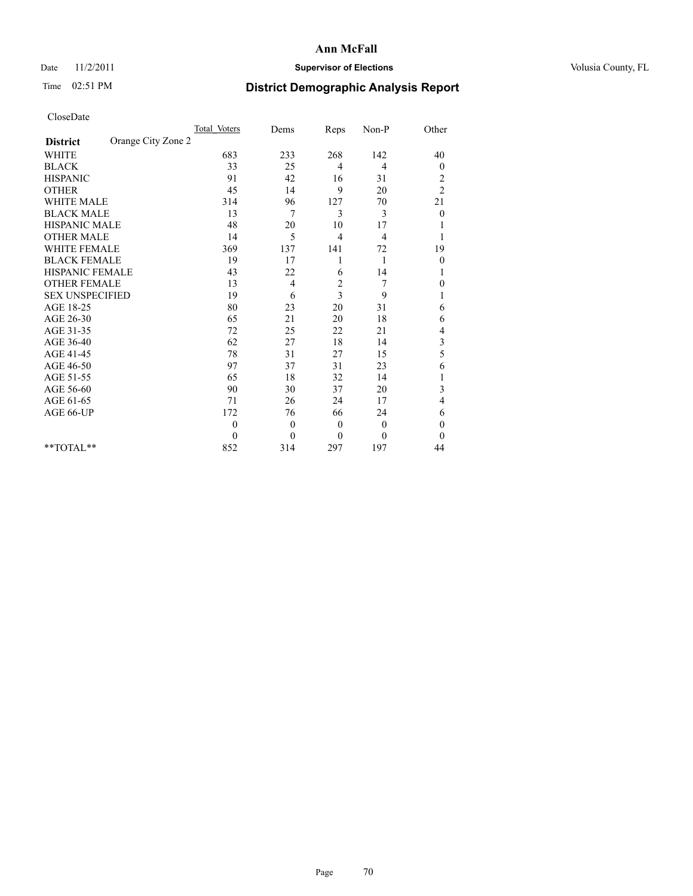## Date 11/2/2011 **Supervisor of Elections Supervisor of Elections** Volusia County, FL

# Time 02:51 PM **District Demographic Analysis Report**

|                                       | <b>Total Voters</b> | Dems           | Reps           | Non-P        | Other                   |
|---------------------------------------|---------------------|----------------|----------------|--------------|-------------------------|
| Orange City Zone 2<br><b>District</b> |                     |                |                |              |                         |
| <b>WHITE</b>                          | 683                 | 233            | 268            | 142          | 40                      |
| <b>BLACK</b>                          | 33                  | 25             | 4              | 4            | $\mathbf{0}$            |
| <b>HISPANIC</b>                       | 91                  | 42             | 16             | 31           | $\overline{\mathbf{c}}$ |
| <b>OTHER</b>                          | 45                  | 14             | 9              | 20           | $\overline{c}$          |
| <b>WHITE MALE</b>                     | 314                 | 96             | 127            | 70           | 21                      |
| <b>BLACK MALE</b>                     | 13                  | 7              | 3              | 3            | $\theta$                |
| <b>HISPANIC MALE</b>                  | 48                  | 20             | 10             | 17           |                         |
| <b>OTHER MALE</b>                     | 14                  | 5              | 4              | 4            |                         |
| <b>WHITE FEMALE</b>                   | 369                 | 137            | 141            | 72           | 19                      |
| <b>BLACK FEMALE</b>                   | 19                  | 17             | 1              | 1            | $\boldsymbol{0}$        |
| HISPANIC FEMALE                       | 43                  | 22             | 6              | 14           |                         |
| <b>OTHER FEMALE</b>                   | 13                  | 4              | $\overline{c}$ | 7            | $\theta$                |
| <b>SEX UNSPECIFIED</b>                | 19                  | 6              | 3              | 9            | 1                       |
| AGE 18-25                             | 80                  | 23             | 20             | 31           | 6                       |
| AGE 26-30                             | 65                  | 21             | 20             | 18           | 6                       |
| AGE 31-35                             | 72                  | 25             | 22             | 21           | 4                       |
| AGE 36-40                             | 62                  | 27             | 18             | 14           | 3                       |
| AGE 41-45                             | 78                  | 31             | 27             | 15           | 5                       |
| AGE 46-50                             | 97                  | 37             | 31             | 23           | 6                       |
| AGE 51-55                             | 65                  | 18             | 32             | 14           |                         |
| AGE 56-60                             | 90                  | 30             | 37             | 20           | 3                       |
| AGE 61-65                             | 71                  | 26             | 24             | 17           | 4                       |
| AGE 66-UP                             | 172                 | 76             | 66             | 24           | 6                       |
|                                       | $\mathbf{0}$        | $\overline{0}$ | $\theta$       | $\mathbf{0}$ | $\theta$                |
|                                       | $\theta$            | $\mathbf{0}$   | $\theta$       | $\mathbf{0}$ | $\Omega$                |
| $*$ $TOTAI.**$                        | 852                 | 314            | 297            | 197          | 44                      |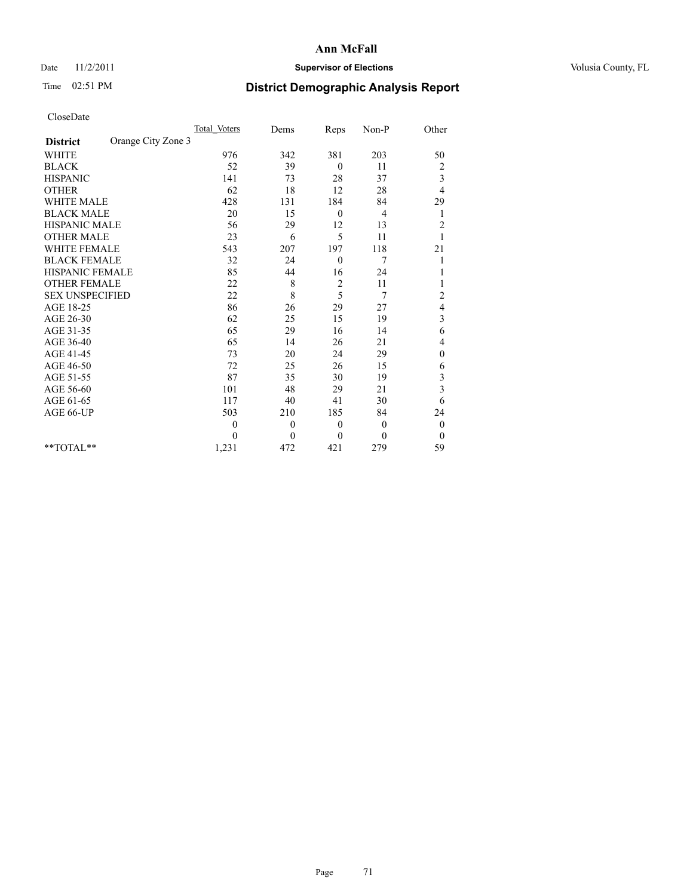## Date 11/2/2011 **Supervisor of Elections Supervisor of Elections** Volusia County, FL

# Time 02:51 PM **District Demographic Analysis Report**

|                                       | <b>Total Voters</b> | Dems         | Reps             | Non-P        | Other                    |
|---------------------------------------|---------------------|--------------|------------------|--------------|--------------------------|
| Orange City Zone 3<br><b>District</b> |                     |              |                  |              |                          |
| <b>WHITE</b>                          | 976                 | 342          | 381              | 203          | 50                       |
| <b>BLACK</b>                          | 52                  | 39           | $\overline{0}$   | 11           | $\overline{\mathbf{c}}$  |
| <b>HISPANIC</b>                       | 141                 | 73           | 28               | 37           | 3                        |
| <b>OTHER</b>                          | 62                  | 18           | 12               | $28\,$       | 4                        |
| <b>WHITE MALE</b>                     | 428                 | 131          | 184              | 84           | 29                       |
| <b>BLACK MALE</b>                     | 20                  | 15           | $\overline{0}$   | 4            | 1                        |
| <b>HISPANIC MALE</b>                  | 56                  | 29           | 12               | 13           | $\overline{c}$           |
| <b>OTHER MALE</b>                     | 23                  | 6            | 5                | 11           |                          |
| <b>WHITE FEMALE</b>                   | 543                 | 207          | 197              | 118          | 21                       |
| <b>BLACK FEMALE</b>                   | 32                  | 24           | $\mathbf{0}$     | 7            |                          |
| <b>HISPANIC FEMALE</b>                | 85                  | 44           | 16               | 24           |                          |
| <b>OTHER FEMALE</b>                   | 22                  | 8            | $\overline{c}$   | 11           |                          |
| <b>SEX UNSPECIFIED</b>                | 22                  | 8            | 5                | 7            | $\overline{c}$           |
| AGE 18-25                             | 86                  | 26           | 29               | 27           | $\overline{\mathcal{L}}$ |
| AGE 26-30                             | 62                  | 25           | 15               | 19           | 3                        |
| AGE 31-35                             | 65                  | 29           | 16               | 14           | 6                        |
| AGE 36-40                             | 65                  | 14           | 26               | 21           | 4                        |
| AGE 41-45                             | 73                  | 20           | 24               | 29           | $\mathbf{0}$             |
| AGE 46-50                             | 72                  | 25           | 26               | 15           | 6                        |
| AGE 51-55                             | 87                  | 35           | 30               | 19           | 3                        |
| AGE 56-60                             | 101                 | 48           | 29               | 21           | 3                        |
| AGE 61-65                             | 117                 | 40           | 41               | 30           | 6                        |
| AGE 66-UP                             | 503                 | 210          | 185              | 84           | 24                       |
|                                       | $\boldsymbol{0}$    | $\mathbf{0}$ | $\boldsymbol{0}$ | $\mathbf{0}$ | $\boldsymbol{0}$         |
|                                       | $\theta$            | $\theta$     | $\theta$         | $\mathbf{0}$ | $\theta$                 |
| $*$ $TOTAI.**$                        | 1,231               | 472          | 421              | 279          | 59                       |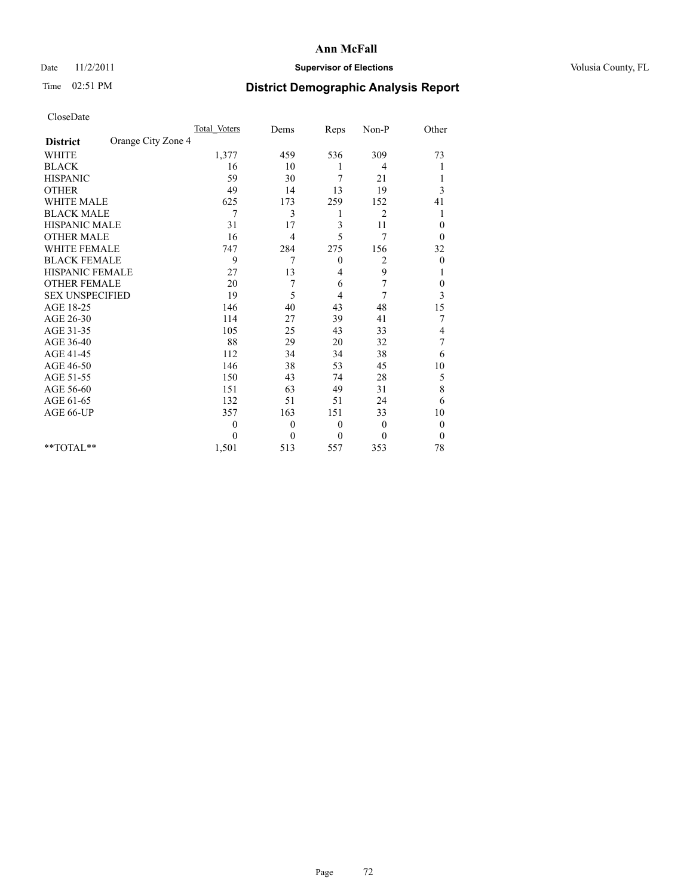## Date 11/2/2011 **Supervisor of Elections Supervisor of Elections** Volusia County, FL

# Time 02:51 PM **District Demographic Analysis Report**

|                                       | <b>Total Voters</b> | Dems     | Reps             | Non-P          | Other            |  |
|---------------------------------------|---------------------|----------|------------------|----------------|------------------|--|
| Orange City Zone 4<br><b>District</b> |                     |          |                  |                |                  |  |
| <b>WHITE</b>                          | 1,377               | 459      | 536              | 309            | 73               |  |
| <b>BLACK</b>                          | 16                  | 10       |                  | 4              |                  |  |
| <b>HISPANIC</b>                       | 59                  | 30       | 7                | 21             |                  |  |
| <b>OTHER</b>                          | 49                  | 14       | 13               | 19             | 3                |  |
| <b>WHITE MALE</b>                     | 625                 | 173      | 259              | 152            | 41               |  |
| <b>BLACK MALE</b>                     | 7                   | 3        | 1                | $\overline{2}$ | 1                |  |
| HISPANIC MALE                         | 31                  | 17       | 3                | 11             | $\mathbf{0}$     |  |
| <b>OTHER MALE</b>                     | 16                  | 4        | 5                | 7              | $\theta$         |  |
| <b>WHITE FEMALE</b>                   | 747                 | 284      | 275              | 156            | 32               |  |
| <b>BLACK FEMALE</b>                   | 9                   | 7        | $\boldsymbol{0}$ | 2              | $\boldsymbol{0}$ |  |
| <b>HISPANIC FEMALE</b>                | 27                  | 13       | 4                | 9              |                  |  |
| <b>OTHER FEMALE</b>                   | 20                  | 7        | 6                | 7              | $\boldsymbol{0}$ |  |
| <b>SEX UNSPECIFIED</b>                | 19                  | 5        | 4                | 7              | 3                |  |
| AGE 18-25                             | 146                 | 40       | 43               | 48             | 15               |  |
| AGE 26-30                             | 114                 | 27       | 39               | 41             | 7                |  |
| AGE 31-35                             | 105                 | 25       | 43               | 33             | 4                |  |
| AGE 36-40                             | 88                  | 29       | 20               | 32             | 7                |  |
| AGE 41-45                             | 112                 | 34       | 34               | 38             | 6                |  |
| AGE 46-50                             | 146                 | 38       | 53               | 45             | 10               |  |
| AGE 51-55                             | 150                 | 43       | 74               | 28             | 5                |  |
| AGE 56-60                             | 151                 | 63       | 49               | 31             | 8                |  |
| AGE 61-65                             | 132                 | 51       | 51               | 24             | 6                |  |
| AGE 66-UP                             | 357                 | 163      | 151              | 33             | 10               |  |
|                                       | $\theta$            | $\theta$ | $\mathbf{0}$     | $\mathbf{0}$   | $\boldsymbol{0}$ |  |
|                                       | $\Omega$            | $\theta$ | $\mathbf{0}$     | $\Omega$       | $\theta$         |  |
| $*$ $TOTAI.**$                        | 1,501               | 513      | 557              | 353            | 78               |  |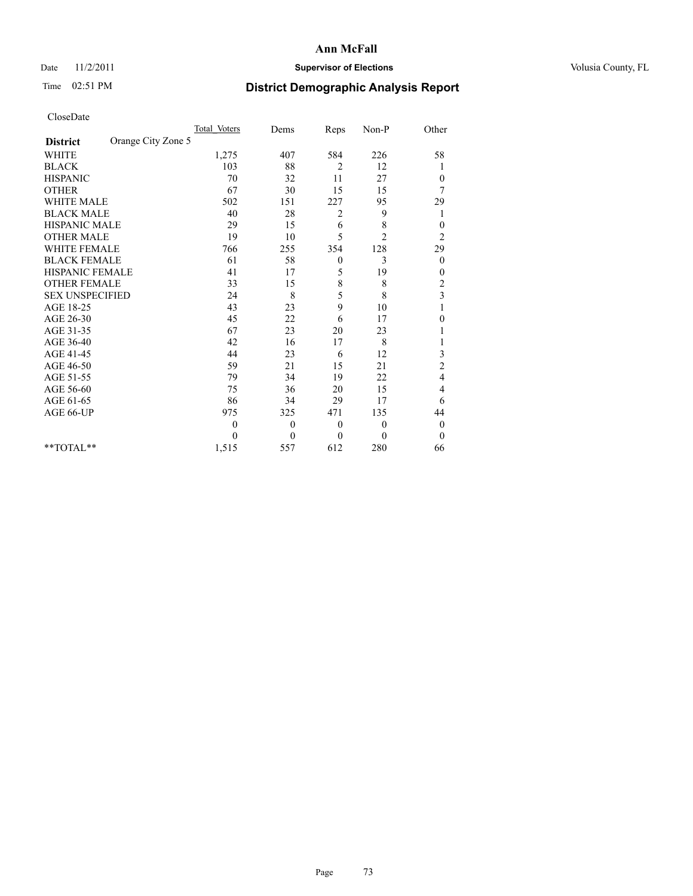## Date 11/2/2011 **Supervisor of Elections Supervisor of Elections** Volusia County, FL

# Time 02:51 PM **District Demographic Analysis Report**

|                                       | <b>Total Voters</b> | Dems         | Reps             | Non-P          | Other            |
|---------------------------------------|---------------------|--------------|------------------|----------------|------------------|
| Orange City Zone 5<br><b>District</b> |                     |              |                  |                |                  |
| <b>WHITE</b>                          | 1,275               | 407          | 584              | 226            | 58               |
| <b>BLACK</b>                          | 103                 | 88           | 2                | 12             |                  |
| <b>HISPANIC</b>                       | 70                  | 32           | 11               | 27             | $\mathbf{0}$     |
| <b>OTHER</b>                          | 67                  | 30           | 15               | 15             | 7                |
| <b>WHITE MALE</b>                     | 502                 | 151          | 227              | 95             | 29               |
| <b>BLACK MALE</b>                     | 40                  | 28           | 2                | 9              | 1                |
| <b>HISPANIC MALE</b>                  | 29                  | 15           | 6                | 8              | $\mathbf{0}$     |
| <b>OTHER MALE</b>                     | 19                  | 10           | 5                | $\overline{2}$ | $\overline{c}$   |
| <b>WHITE FEMALE</b>                   | 766                 | 255          | 354              | 128            | 29               |
| <b>BLACK FEMALE</b>                   | 61                  | 58           | $\boldsymbol{0}$ | 3              | $\overline{0}$   |
| <b>HISPANIC FEMALE</b>                | 41                  | 17           | 5                | 19             | $\theta$         |
| <b>OTHER FEMALE</b>                   | 33                  | 15           | 8                | 8              | $\overline{c}$   |
| <b>SEX UNSPECIFIED</b>                | 24                  | 8            | 5                | 8              | 3                |
| AGE 18-25                             | 43                  | 23           | 9                | 10             |                  |
| AGE 26-30                             | 45                  | 22           | 6                | 17             | $\theta$         |
| AGE 31-35                             | 67                  | 23           | 20               | 23             |                  |
| AGE 36-40                             | 42                  | 16           | 17               | 8              |                  |
| AGE 41-45                             | 44                  | 23           | 6                | 12             | 3                |
| AGE 46-50                             | 59                  | 21           | 15               | 21             | $\overline{c}$   |
| AGE 51-55                             | 79                  | 34           | 19               | 22             | 4                |
| AGE 56-60                             | 75                  | 36           | 20               | 15             | 4                |
| AGE 61-65                             | 86                  | 34           | 29               | 17             | 6                |
| AGE 66-UP                             | 975                 | 325          | 471              | 135            | 44               |
|                                       | $\theta$            | $\mathbf{0}$ | $\boldsymbol{0}$ | $\mathbf{0}$   | $\boldsymbol{0}$ |
|                                       | $\theta$            | $\theta$     | $\theta$         | 0              | $\theta$         |
| $*$ $TOTAI.**$                        | 1,515               | 557          | 612              | 280            | 66               |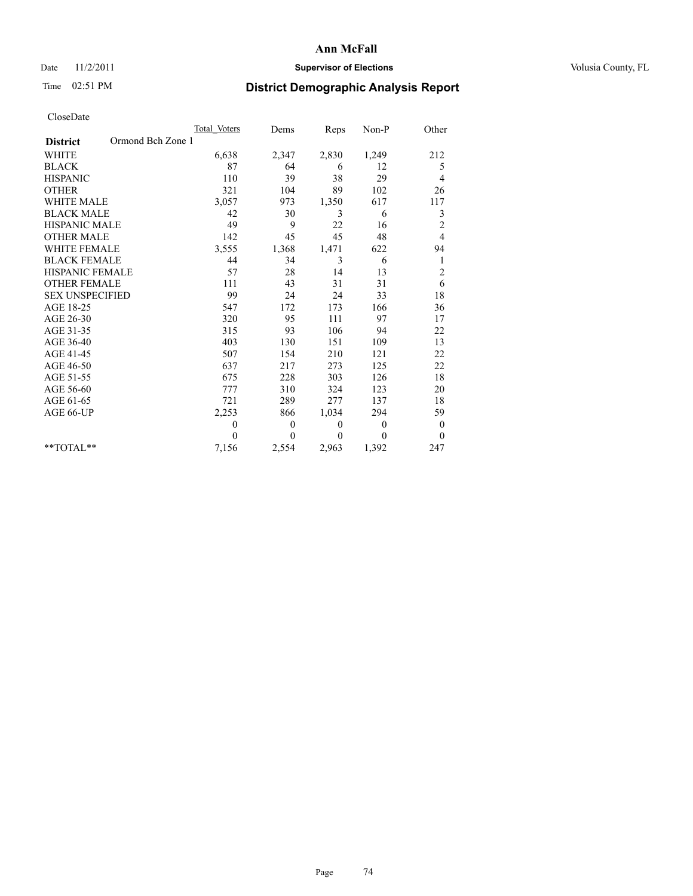## Date 11/2/2011 **Supervisor of Elections Supervisor of Elections** Volusia County, FL

## Time 02:51 PM **District Demographic Analysis Report**

|                                      | Total Voters | Dems         | Reps     | Non-P    | Other            |
|--------------------------------------|--------------|--------------|----------|----------|------------------|
| Ormond Bch Zone 1<br><b>District</b> |              |              |          |          |                  |
| <b>WHITE</b>                         | 6,638        | 2,347        | 2,830    | 1,249    | 212              |
| <b>BLACK</b>                         | 87           | 64           | 6        | 12       | 5                |
| <b>HISPANIC</b>                      | 110          | 39           | 38       | 29       | 4                |
| <b>OTHER</b>                         | 321          | 104          | 89       | 102      | 26               |
| <b>WHITE MALE</b>                    | 3,057        | 973          | 1,350    | 617      | 117              |
| <b>BLACK MALE</b>                    | 42           | 30           | 3        | 6        | 3                |
| <b>HISPANIC MALE</b>                 | 49           | 9            | 22       | 16       | $\overline{c}$   |
| <b>OTHER MALE</b>                    | 142          | 45           | 45       | 48       | 4                |
| <b>WHITE FEMALE</b>                  | 3,555        | 1,368        | 1,471    | 622      | 94               |
| <b>BLACK FEMALE</b>                  | 44           | 34           | 3        | 6        | 1                |
| HISPANIC FEMALE                      | 57           | 28           | 14       | 13       | $\overline{c}$   |
| <b>OTHER FEMALE</b>                  | 111          | 43           | 31       | 31       | 6                |
| <b>SEX UNSPECIFIED</b>               | 99           | 24           | 24       | 33       | 18               |
| AGE 18-25                            | 547          | 172          | 173      | 166      | 36               |
| AGE 26-30                            | 320          | 95           | 111      | 97       | 17               |
| AGE 31-35                            | 315          | 93           | 106      | 94       | 22               |
| AGE 36-40                            | 403          | 130          | 151      | 109      | 13               |
| AGE 41-45                            | 507          | 154          | 210      | 121      | 22               |
| AGE 46-50                            | 637          | 217          | 273      | 125      | 22               |
| AGE 51-55                            | 675          | 228          | 303      | 126      | 18               |
| AGE 56-60                            | 777          | 310          | 324      | 123      | 20               |
| AGE 61-65                            | 721          | 289          | 277      | 137      | 18               |
| AGE 66-UP                            | 2,253        | 866          | 1,034    | 294      | 59               |
|                                      | $\theta$     | $\mathbf{0}$ | $\theta$ | $\theta$ | $\boldsymbol{0}$ |
|                                      | $\theta$     | $\theta$     | $\theta$ | $\theta$ | $\theta$         |
| $*$ $TOTAI.**$                       | 7,156        | 2,554        | 2,963    | 1,392    | 247              |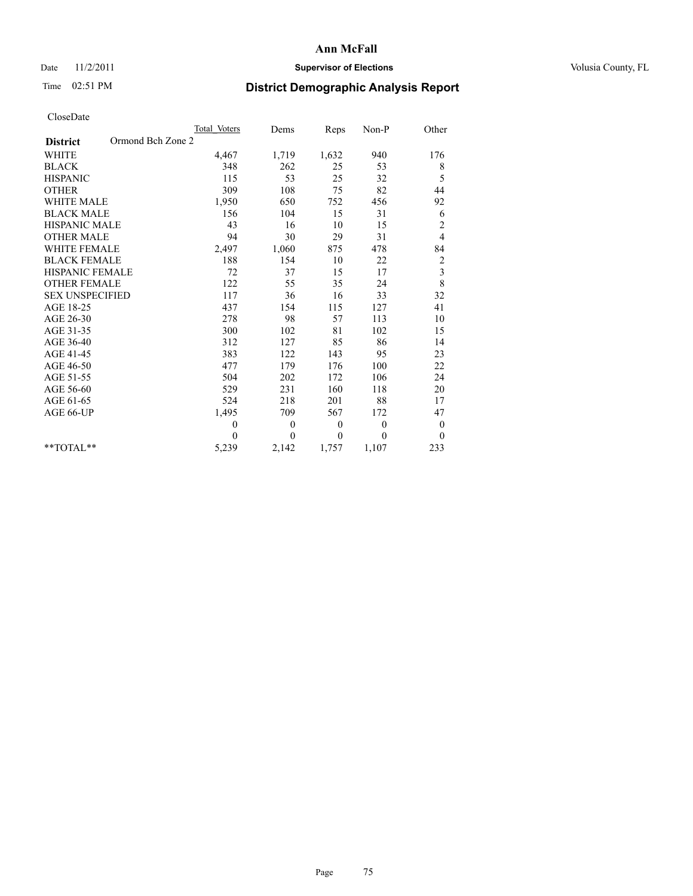## Date 11/2/2011 **Supervisor of Elections Supervisor of Elections** Volusia County, FL

# Time 02:51 PM **District Demographic Analysis Report**

|                                      | <b>Total Voters</b> | Dems           | Reps         | $Non-P$  | Other                   |
|--------------------------------------|---------------------|----------------|--------------|----------|-------------------------|
| Ormond Bch Zone 2<br><b>District</b> |                     |                |              |          |                         |
| <b>WHITE</b>                         | 4,467               | 1,719          | 1,632        | 940      | 176                     |
| <b>BLACK</b>                         | 348                 | 262            | 25           | 53       | 8                       |
| <b>HISPANIC</b>                      | 115                 | 53             | 25           | 32       | 5                       |
| <b>OTHER</b>                         | 309                 | 108            | 75           | 82       | 44                      |
| <b>WHITE MALE</b>                    | 1,950               | 650            | 752          | 456      | 92                      |
| <b>BLACK MALE</b>                    | 156                 | 104            | 15           | 31       | 6                       |
| HISPANIC MALE                        | 43                  | 16             | 10           | 15       | $\overline{c}$          |
| <b>OTHER MALE</b>                    | 94                  | 30             | 29           | 31       | 4                       |
| WHITE FEMALE                         | 2,497               | 1,060          | 875          | 478      | 84                      |
| <b>BLACK FEMALE</b>                  | 188                 | 154            | 10           | 22       | $\overline{c}$          |
| HISPANIC FEMALE                      | 72                  | 37             | 15           | 17       | $\overline{\mathbf{3}}$ |
| <b>OTHER FEMALE</b>                  | 122                 | 55             | 35           | 24       | 8                       |
| <b>SEX UNSPECIFIED</b>               | 117                 | 36             | 16           | 33       | 32                      |
| AGE 18-25                            | 437                 | 154            | 115          | 127      | 41                      |
| AGE 26-30                            | 278                 | 98             | 57           | 113      | 10                      |
| AGE 31-35                            | 300                 | 102            | 81           | 102      | 15                      |
| AGE 36-40                            | 312                 | 127            | 85           | 86       | 14                      |
| AGE 41-45                            | 383                 | 122            | 143          | 95       | 23                      |
| AGE 46-50                            | 477                 | 179            | 176          | 100      | 22                      |
| AGE 51-55                            | 504                 | 202            | 172          | 106      | 24                      |
| AGE 56-60                            | 529                 | 231            | 160          | 118      | 20                      |
| AGE 61-65                            | 524                 | 218            | 201          | 88       | 17                      |
| AGE 66-UP                            | 1,495               | 709            | 567          | 172      | 47                      |
|                                      | $\mathbf{0}$        | $\theta$       | $\mathbf{0}$ | $\theta$ | $\boldsymbol{0}$        |
|                                      | $\Omega$            | $\overline{0}$ | $\theta$     | $\theta$ | $\theta$                |
| $*$ $TOTAI.**$                       | 5,239               | 2,142          | 1,757        | 1,107    | 233                     |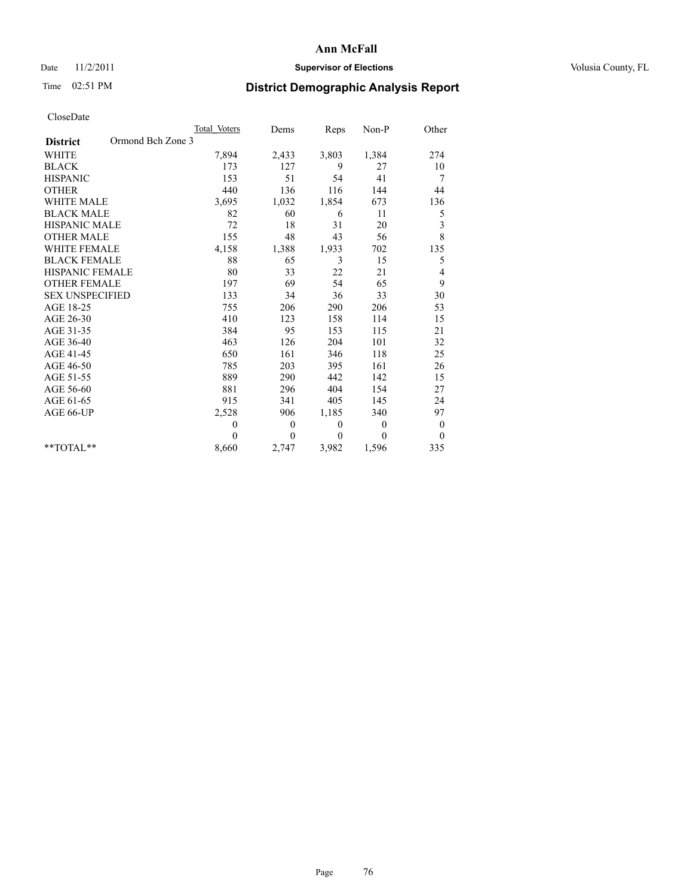## Date 11/2/2011 **Supervisor of Elections Supervisor of Elections** Volusia County, FL

## Time 02:51 PM **District Demographic Analysis Report**

|                                      | Total Voters | Dems         | Reps     | Non-P          | Other            |
|--------------------------------------|--------------|--------------|----------|----------------|------------------|
| Ormond Bch Zone 3<br><b>District</b> |              |              |          |                |                  |
| <b>WHITE</b>                         | 7,894        | 2,433        | 3,803    | 1,384          | 274              |
| <b>BLACK</b>                         | 173          | 127          | 9        | 27             | 10               |
| <b>HISPANIC</b>                      | 153          | 51           | 54       | 41             | 7                |
| <b>OTHER</b>                         | 440          | 136          | 116      | 144            | 44               |
| <b>WHITE MALE</b>                    | 3,695        | 1,032        | 1,854    | 673            | 136              |
| <b>BLACK MALE</b>                    | 82           | 60           | 6        | 11             | 5                |
| <b>HISPANIC MALE</b>                 | 72           | 18           | 31       | 20             | 3                |
| <b>OTHER MALE</b>                    | 155          | 48           | 43       | 56             | 8                |
| <b>WHITE FEMALE</b>                  | 4,158        | 1,388        | 1,933    | 702            | 135              |
| <b>BLACK FEMALE</b>                  | 88           | 65           | 3        | 15             | 5                |
| HISPANIC FEMALE                      | 80           | 33           | 22       | 21             | 4                |
| <b>OTHER FEMALE</b>                  | 197          | 69           | 54       | 65             | 9                |
| <b>SEX UNSPECIFIED</b>               | 133          | 34           | 36       | 33             | 30               |
| AGE 18-25                            | 755          | 206          | 290      | 206            | 53               |
| AGE 26-30                            | 410          | 123          | 158      | 114            | 15               |
| AGE 31-35                            | 384          | 95           | 153      | 115            | 21               |
| AGE 36-40                            | 463          | 126          | 204      | 101            | 32               |
| AGE 41-45                            | 650          | 161          | 346      | 118            | 25               |
| AGE 46-50                            | 785          | 203          | 395      | 161            | 26               |
| AGE 51-55                            | 889          | 290          | 442      | 142            | 15               |
| AGE 56-60                            | 881          | 296          | 404      | 154            | 27               |
| AGE 61-65                            | 915          | 341          | 405      | 145            | 24               |
| AGE 66-UP                            | 2,528        | 906          | 1,185    | 340            | 97               |
|                                      | $\theta$     | $\mathbf{0}$ | $\theta$ | $\overline{0}$ | $\boldsymbol{0}$ |
|                                      | $\theta$     | $\theta$     | $\Omega$ | $\theta$       | $\theta$         |
| $*$ $TOTAI.**$                       | 8,660        | 2,747        | 3,982    | 1,596          | 335              |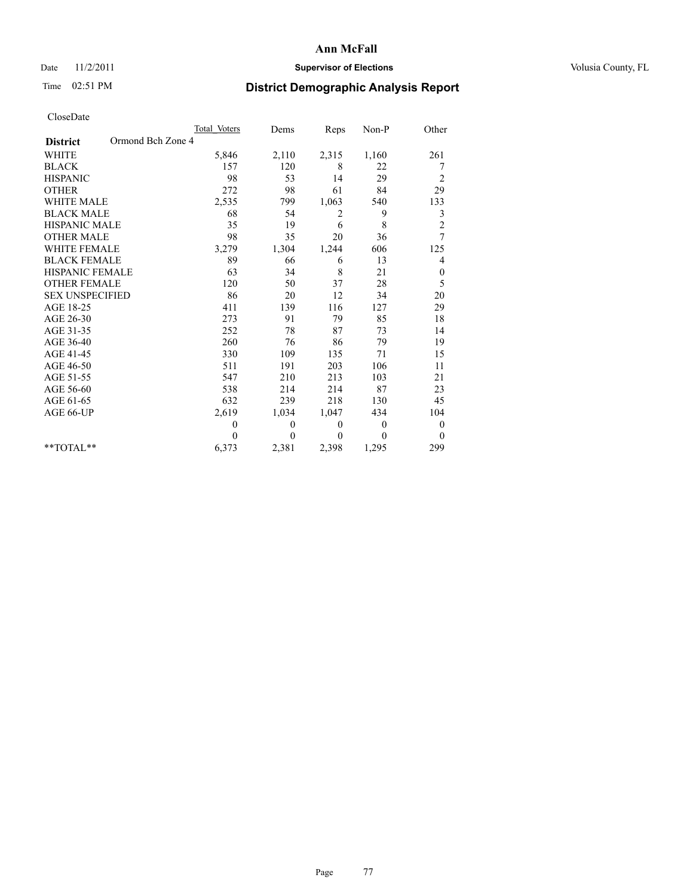## Date 11/2/2011 **Supervisor of Elections Supervisor of Elections** Volusia County, FL

## Time 02:51 PM **District Demographic Analysis Report**

|                                      | Total Voters | Dems         | Reps         | Non-P          | Other            |
|--------------------------------------|--------------|--------------|--------------|----------------|------------------|
| Ormond Bch Zone 4<br><b>District</b> |              |              |              |                |                  |
| <b>WHITE</b>                         | 5,846        | 2,110        | 2,315        | 1,160          | 261              |
| <b>BLACK</b>                         | 157          | 120          | 8            | 22             | 7                |
| <b>HISPANIC</b>                      | 98           | 53           | 14           | 29             | $\overline{c}$   |
| <b>OTHER</b>                         | 272          | 98           | 61           | 84             | 29               |
| <b>WHITE MALE</b>                    | 2,535        | 799          | 1,063        | 540            | 133              |
| <b>BLACK MALE</b>                    | 68           | 54           | 2            | 9              | 3                |
| <b>HISPANIC MALE</b>                 | 35           | 19           | 6            | 8              | $\overline{c}$   |
| <b>OTHER MALE</b>                    | 98           | 35           | 20           | 36             | 7                |
| <b>WHITE FEMALE</b>                  | 3,279        | 1,304        | 1,244        | 606            | 125              |
| <b>BLACK FEMALE</b>                  | 89           | 66           | 6            | 13             | 4                |
| HISPANIC FEMALE                      | 63           | 34           | 8            | 21             | $\boldsymbol{0}$ |
| <b>OTHER FEMALE</b>                  | 120          | 50           | 37           | 28             | 5                |
| <b>SEX UNSPECIFIED</b>               | 86           | 20           | 12           | 34             | 20               |
| AGE 18-25                            | 411          | 139          | 116          | 127            | 29               |
| AGE 26-30                            | 273          | 91           | 79           | 85             | 18               |
| AGE 31-35                            | 252          | 78           | 87           | 73             | 14               |
| AGE 36-40                            | 260          | 76           | 86           | 79             | 19               |
| AGE 41-45                            | 330          | 109          | 135          | 71             | 15               |
| AGE 46-50                            | 511          | 191          | 203          | 106            | 11               |
| AGE 51-55                            | 547          | 210          | 213          | 103            | 21               |
| AGE 56-60                            | 538          | 214          | 214          | 87             | 23               |
| AGE 61-65                            | 632          | 239          | 218          | 130            | 45               |
| AGE 66-UP                            | 2,619        | 1,034        | 1,047        | 434            | 104              |
|                                      | $\theta$     | $\mathbf{0}$ | $\mathbf{0}$ | $\overline{0}$ | $\boldsymbol{0}$ |
|                                      | $\theta$     | $\theta$     | $\mathbf{0}$ | $\theta$       | $\theta$         |
| $*$ $TOTAI.**$                       | 6,373        | 2,381        | 2,398        | 1,295          | 299              |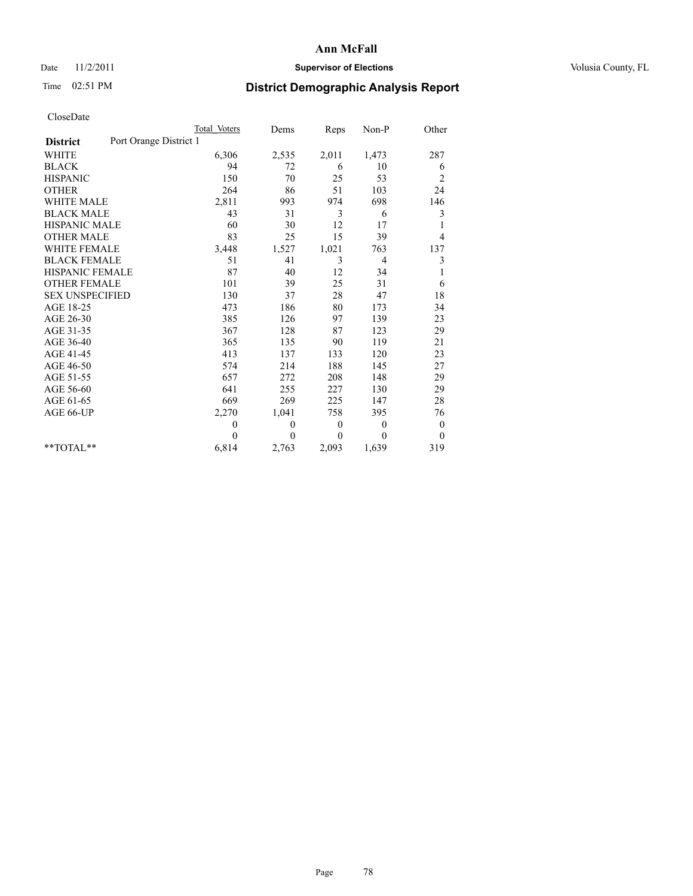## Date 11/2/2011 **Supervisor of Elections Supervisor of Elections** Volusia County, FL

# Time 02:51 PM **District Demographic Analysis Report**

|                                           | <b>Total Voters</b> | Dems     | Reps         | Non-P          | Other          |
|-------------------------------------------|---------------------|----------|--------------|----------------|----------------|
| Port Orange District 1<br><b>District</b> |                     |          |              |                |                |
| <b>WHITE</b>                              | 6,306               | 2,535    | 2,011        | 1,473          | 287            |
| <b>BLACK</b>                              | 94                  | 72       | 6            | 10             | 6              |
| <b>HISPANIC</b>                           | 150                 | 70       | 25           | 53             | $\overline{c}$ |
| <b>OTHER</b>                              | 264                 | 86       | 51           | 103            | 24             |
| <b>WHITE MALE</b>                         | 2,811               | 993      | 974          | 698            | 146            |
| <b>BLACK MALE</b>                         | 43                  | 31       | 3            | 6              | 3              |
| <b>HISPANIC MALE</b>                      | 60                  | 30       | 12           | 17             | 1              |
| <b>OTHER MALE</b>                         | 83                  | 25       | 15           | 39             | 4              |
| <b>WHITE FEMALE</b>                       | 3,448               | 1,527    | 1,021        | 763            | 137            |
| <b>BLACK FEMALE</b>                       | 51                  | 41       | 3            | $\overline{4}$ | 3              |
| HISPANIC FEMALE                           | 87                  | 40       | 12           | 34             |                |
| <b>OTHER FEMALE</b>                       | 101                 | 39       | 25           | 31             | 6              |
| <b>SEX UNSPECIFIED</b>                    | 130                 | 37       | 28           | 47             | 18             |
| AGE 18-25                                 | 473                 | 186      | 80           | 173            | 34             |
| AGE 26-30                                 | 385                 | 126      | 97           | 139            | 23             |
| AGE 31-35                                 | 367                 | 128      | 87           | 123            | 29             |
| AGE 36-40                                 | 365                 | 135      | 90           | 119            | 21             |
| AGE 41-45                                 | 413                 | 137      | 133          | 120            | 23             |
| AGE 46-50                                 | 574                 | 214      | 188          | 145            | 27             |
| AGE 51-55                                 | 657                 | 272      | 208          | 148            | 29             |
| AGE 56-60                                 | 641                 | 255      | 227          | 130            | 29             |
| AGE 61-65                                 | 669                 | 269      | 225          | 147            | 28             |
| AGE 66-UP                                 | 2,270               | 1,041    | 758          | 395            | 76             |
|                                           | $\theta$            | $\theta$ | $\mathbf{0}$ | $\mathbf{0}$   | $\mathbf{0}$   |
|                                           | $\theta$            | $\theta$ | $\Omega$     | $\theta$       | $\mathbf{0}$   |
| $*$ $TOTAI.**$                            | 6,814               | 2,763    | 2,093        | 1,639          | 319            |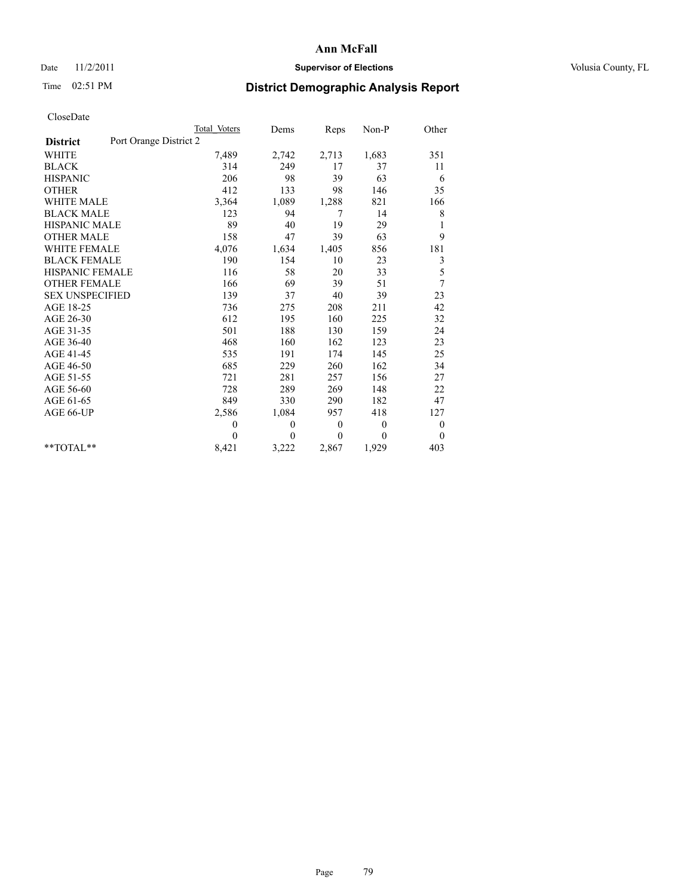## Date 11/2/2011 **Supervisor of Elections Supervisor of Elections** Volusia County, FL

# Time 02:51 PM **District Demographic Analysis Report**

|                                           | Total Voters | Dems     | <b>Reps</b>  | Non-P        | Other            |  |
|-------------------------------------------|--------------|----------|--------------|--------------|------------------|--|
| Port Orange District 2<br><b>District</b> |              |          |              |              |                  |  |
| <b>WHITE</b>                              | 7,489        | 2,742    | 2,713        | 1,683        | 351              |  |
| <b>BLACK</b>                              | 314          | 249      | 17           | 37           | 11               |  |
| <b>HISPANIC</b>                           | 206          | 98       | 39           | 63           | 6                |  |
| <b>OTHER</b>                              | 412          | 133      | 98           | 146          | 35               |  |
| <b>WHITE MALE</b>                         | 3,364        | 1,089    | 1,288        | 821          | 166              |  |
| <b>BLACK MALE</b>                         | 123          | 94       | 7            | 14           | 8                |  |
| <b>HISPANIC MALE</b>                      | 89           | 40       | 19           | 29           | 1                |  |
| <b>OTHER MALE</b>                         | 158          | 47       | 39           | 63           | 9                |  |
| WHITE FEMALE                              | 4,076        | 1,634    | 1,405        | 856          | 181              |  |
| <b>BLACK FEMALE</b>                       | 190          | 154      | 10           | 23           | 3                |  |
| HISPANIC FEMALE                           | 116          | 58       | 20           | 33           | 5                |  |
| <b>OTHER FEMALE</b>                       | 166          | 69       | 39           | 51           | 7                |  |
| <b>SEX UNSPECIFIED</b>                    | 139          | 37       | 40           | 39           | 23               |  |
| AGE 18-25                                 | 736          | 275      | 208          | 211          | 42               |  |
| AGE 26-30                                 | 612          | 195      | 160          | 225          | 32               |  |
| AGE 31-35                                 | 501          | 188      | 130          | 159          | 24               |  |
| AGE 36-40                                 | 468          | 160      | 162          | 123          | 23               |  |
| AGE 41-45                                 | 535          | 191      | 174          | 145          | 25               |  |
| AGE 46-50                                 | 685          | 229      | 260          | 162          | 34               |  |
| AGE 51-55                                 | 721          | 281      | 257          | 156          | 27               |  |
| AGE 56-60                                 | 728          | 289      | 269          | 148          | 22               |  |
| AGE 61-65                                 | 849          | 330      | 290          | 182          | 47               |  |
| AGE 66-UP                                 | 2,586        | 1,084    | 957          | 418          | 127              |  |
|                                           | $\theta$     | $\theta$ | $\mathbf{0}$ | $\theta$     | $\boldsymbol{0}$ |  |
|                                           | $\theta$     | $\theta$ | $\theta$     | $\mathbf{0}$ | $\overline{0}$   |  |
| $*$ $TOTAI.**$                            | 8,421        | 3,222    | 2,867        | 1,929        | 403              |  |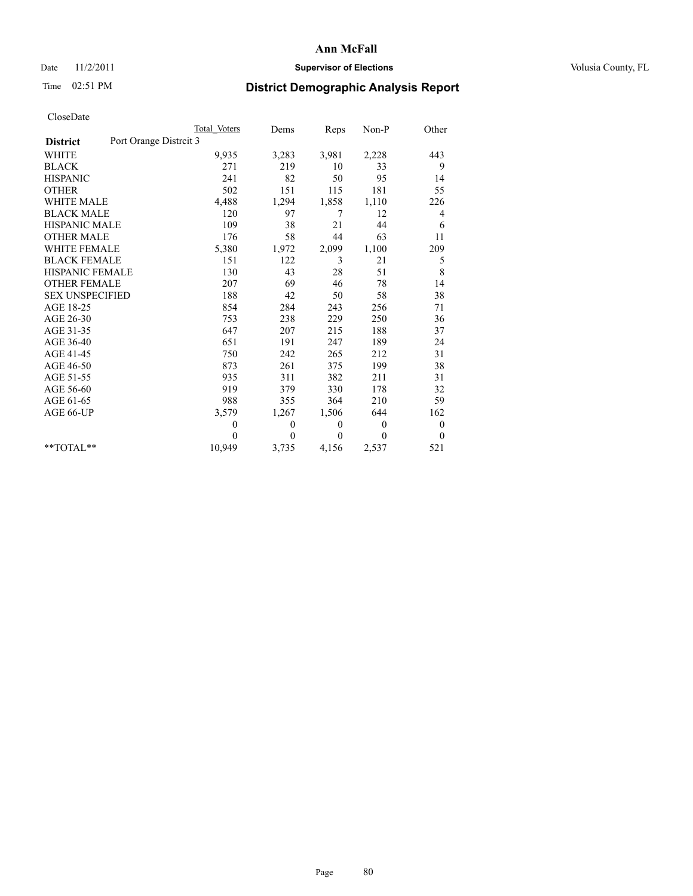#### Date 11/2/2011 **Supervisor of Elections Supervisor of Elections** Volusia County, FL

# Time 02:51 PM **District Demographic Analysis Report**

|                                          | Total Voters | Dems     | Reps         | Non-P          | Other            |
|------------------------------------------|--------------|----------|--------------|----------------|------------------|
| Port Orange Distrit 3<br><b>District</b> |              |          |              |                |                  |
| <b>WHITE</b>                             | 9,935        | 3,283    | 3,981        | 2,228          | 443              |
| <b>BLACK</b>                             | 271          | 219      | 10           | 33             | 9                |
| <b>HISPANIC</b>                          | 241          | 82       | 50           | 95             | 14               |
| <b>OTHER</b>                             | 502          | 151      | 115          | 181            | 55               |
| WHITE MALE                               | 4,488        | 1,294    | 1,858        | 1,110          | 226              |
| <b>BLACK MALE</b>                        | 120          | 97       | 7            | 12             | 4                |
| <b>HISPANIC MALE</b>                     | 109          | 38       | 21           | 44             | 6                |
| <b>OTHER MALE</b>                        | 176          | 58       | 44           | 63             | 11               |
| <b>WHITE FEMALE</b>                      | 5,380        | 1,972    | 2,099        | 1,100          | 209              |
| <b>BLACK FEMALE</b>                      | 151          | 122      | 3            | 21             | 5                |
| <b>HISPANIC FEMALE</b>                   | 130          | 43       | 28           | 51             | 8                |
| <b>OTHER FEMALE</b>                      | 207          | 69       | 46           | 78             | 14               |
| <b>SEX UNSPECIFIED</b>                   | 188          | 42       | 50           | 58             | 38               |
| AGE 18-25                                | 854          | 284      | 243          | 256            | 71               |
| AGE 26-30                                | 753          | 238      | 229          | 250            | 36               |
| AGE 31-35                                | 647          | 207      | 215          | 188            | 37               |
| AGE 36-40                                | 651          | 191      | 247          | 189            | 24               |
| AGE 41-45                                | 750          | 242      | 265          | 212            | 31               |
| AGE 46-50                                | 873          | 261      | 375          | 199            | 38               |
| AGE 51-55                                | 935          | 311      | 382          | 211            | 31               |
| AGE 56-60                                | 919          | 379      | 330          | 178            | 32               |
| AGE 61-65                                | 988          | 355      | 364          | 210            | 59               |
| AGE 66-UP                                | 3,579        | 1,267    | 1,506        | 644            | 162              |
|                                          | $\theta$     | 0        | $\mathbf{0}$ | $\overline{0}$ | $\boldsymbol{0}$ |
|                                          | $\Omega$     | $\theta$ | $\Omega$     | $\theta$       | $\overline{0}$   |
| $*$ $TOTAI.**$                           | 10,949       | 3,735    | 4,156        | 2,537          | 521              |